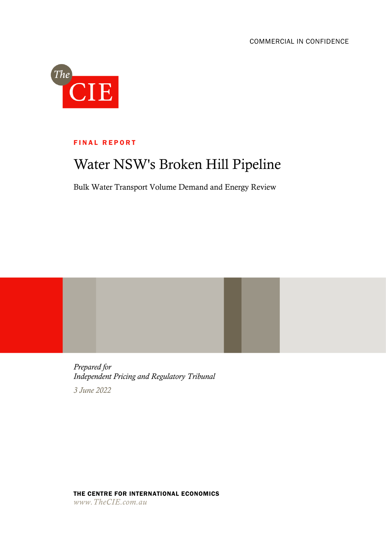

## **FINAL REPORT**

# Water NSW's Broken Hill Pipeline

Bulk Water Transport Volume Demand and Energy Review

*Prepared for Independent Pricing and Regulatory Tribunal 3 June 2022*

THE CENTRE FOR INTERNATIONAL ECONOMICS *www.TheCIE.com.au*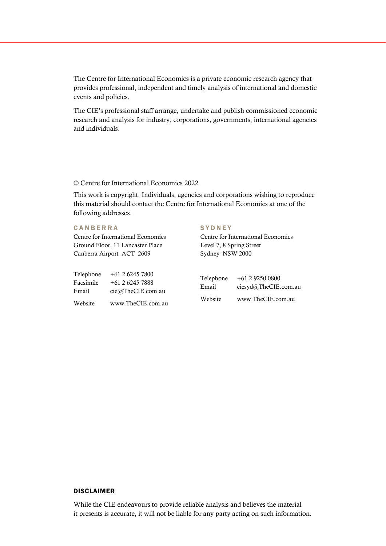The Centre for International Economics is a private economic research agency that provides professional, independent and timely analysis of international and domestic events and policies.

The CIE's professional staff arrange, undertake and publish commissioned economic research and analysis for industry, corporations, governments, international agencies and individuals.

## © Centre for International Economics 2022

This work is copyright. Individuals, agencies and corporations wishing to reproduce this material should contact the Centre for International Economics at one of the following addresses.

## **CANBERRA**

Centre for International Economics Ground Floor, 11 Lancaster Place Canberra Airport ACT 2609

| Telephone | $+61262457800$    |
|-----------|-------------------|
| Facsimile | +61 2 6245 7888   |
| Email     | cie@TheCIE.com.au |
| Website   | www.TheCIE.com.au |

### **SYDNEY**

Centre for International Economics Level 7, 8 Spring Street Sydney NSW 2000

| Telephone | +61 2 9250 0800      |
|-----------|----------------------|
| Email     | ciesyd@TheCIE.com.au |
| Website   | www.TheCIE.com.au    |

## DISCLAIMER

While the CIE endeavours to provide reliable analysis and believes the material it presents is accurate, it will not be liable for any party acting on such information.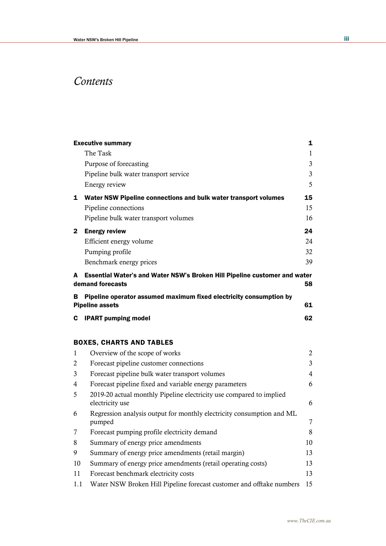# *Contents*

|              | <b>Executive summary</b>                                                                      | 1              |
|--------------|-----------------------------------------------------------------------------------------------|----------------|
|              | The Task                                                                                      | $\mathbf{1}$   |
|              | Purpose of forecasting                                                                        | 3              |
|              | Pipeline bulk water transport service                                                         | 3              |
|              | Energy review                                                                                 | 5              |
| $\mathbf{1}$ | Water NSW Pipeline connections and bulk water transport volumes                               | 15             |
|              | Pipeline connections                                                                          | 15             |
|              | Pipeline bulk water transport volumes                                                         | 16             |
| 2            | <b>Energy review</b>                                                                          | 24             |
|              | Efficient energy volume                                                                       | 24             |
|              | Pumping profile                                                                               | 32             |
|              | Benchmark energy prices                                                                       | 39             |
| A            | Essential Water's and Water NSW's Broken Hill Pipeline customer and water<br>demand forecasts | 58             |
| в            | Pipeline operator assumed maximum fixed electricity consumption by<br><b>Pipeline assets</b>  | 61             |
| C            | <b>IPART pumping model</b>                                                                    | 62             |
|              | <b>BOXES, CHARTS AND TABLES</b>                                                               |                |
| 1            | Overview of the scope of works                                                                | $\mathbf{2}$   |
| 2            | Forecast pipeline customer connections                                                        | 3              |
| 3            | Forecast pipeline bulk water transport volumes                                                | $\overline{4}$ |
| 4            | Forecast pipeline fixed and variable energy parameters                                        | 6              |
| 5            | 2019-20 actual monthly Pipeline electricity use compared to implied<br>electricity use        | 6              |
| 6            | Regression analysis output for monthly electricity consumption and ML<br>pumped               | 7              |
| 7            | Forecast pumping profile electricity demand                                                   | 8              |
| 8            | Summary of energy price amendments                                                            | 10             |
| 9            | Summary of energy price amendments (retail margin)                                            | 13             |
| 10           | Summary of energy price amendments (retail operating costs)                                   | 13             |
| 11           | Forecast benchmark electricity costs                                                          | 13             |
| 1.1          | Water NSW Broken Hill Pipeline forecast customer and offtake numbers                          | 15             |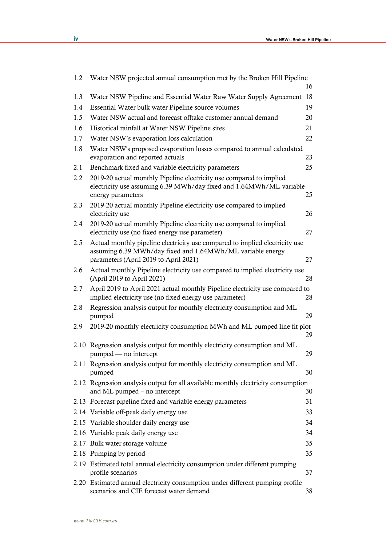| 1.2 | Water NSW projected annual consumption met by the Broken Hill Pipeline                                                                                                             |    |
|-----|------------------------------------------------------------------------------------------------------------------------------------------------------------------------------------|----|
|     |                                                                                                                                                                                    | 16 |
| 1.3 | Water NSW Pipeline and Essential Water Raw Water Supply Agreement                                                                                                                  | 18 |
| 1.4 | Essential Water bulk water Pipeline source volumes                                                                                                                                 | 19 |
| 1.5 | Water NSW actual and forecast offtake customer annual demand                                                                                                                       | 20 |
| 1.6 | Historical rainfall at Water NSW Pipeline sites                                                                                                                                    | 21 |
| 1.7 | Water NSW's evaporation loss calculation                                                                                                                                           | 22 |
| 1.8 | Water NSW's proposed evaporation losses compared to annual calculated<br>evaporation and reported actuals                                                                          | 23 |
| 2.1 | Benchmark fixed and variable electricity parameters                                                                                                                                | 25 |
| 2.2 | 2019-20 actual monthly Pipeline electricity use compared to implied<br>electricity use assuming 6.39 MWh/day fixed and 1.64MWh/ML variable<br>energy parameters                    | 25 |
| 2.3 | 2019-20 actual monthly Pipeline electricity use compared to implied<br>electricity use                                                                                             | 26 |
| 2.4 | 2019-20 actual monthly Pipeline electricity use compared to implied<br>electricity use (no fixed energy use parameter)                                                             | 27 |
| 2.5 | Actual monthly pipeline electricity use compared to implied electricity use<br>assuming 6.39 MWh/day fixed and 1.64MWh/ML variable energy<br>parameters (April 2019 to April 2021) | 27 |
| 2.6 | Actual monthly Pipeline electricity use compared to implied electricity use<br>(April 2019 to April 2021)                                                                          | 28 |
| 2.7 | April 2019 to April 2021 actual monthly Pipeline electricity use compared to<br>implied electricity use (no fixed energy use parameter)                                            | 28 |
| 2.8 | Regression analysis output for monthly electricity consumption and ML<br>pumped                                                                                                    | 29 |
| 2.9 | 2019-20 monthly electricity consumption MWh and ML pumped line fit plot                                                                                                            | 29 |
|     | 2.10 Regression analysis output for monthly electricity consumption and ML<br>pumped — no intercept                                                                                | 29 |
|     | 2.11 Regression analysis output for monthly electricity consumption and ML<br>pumped                                                                                               | 30 |
|     | 2.12 Regression analysis output for all available monthly electricity consumption<br>and ML pumped – no intercept                                                                  | 30 |
|     | 2.13 Forecast pipeline fixed and variable energy parameters                                                                                                                        | 31 |
|     | 2.14 Variable off-peak daily energy use                                                                                                                                            | 33 |
|     | 2.15 Variable shoulder daily energy use                                                                                                                                            | 34 |
|     | 2.16 Variable peak daily energy use                                                                                                                                                | 34 |
|     | 2.17 Bulk water storage volume                                                                                                                                                     | 35 |
|     | 2.18 Pumping by period                                                                                                                                                             | 35 |
|     | 2.19 Estimated total annual electricity consumption under different pumping<br>profile scenarios                                                                                   | 37 |
|     | 2.20 Estimated annual electricity consumption under different pumping profile<br>scenarios and CIE forecast water demand                                                           | 38 |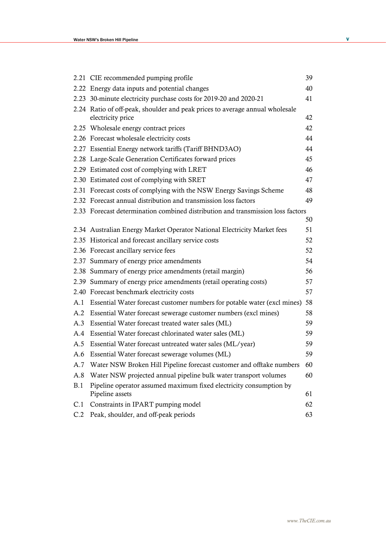|     | 2.21 CIE recommended pumping profile                                                              | 39 |
|-----|---------------------------------------------------------------------------------------------------|----|
|     | 2.22 Energy data inputs and potential changes                                                     | 40 |
|     | 2.23 30-minute electricity purchase costs for 2019-20 and 2020-21                                 | 41 |
|     | 2.24 Ratio of off-peak, shoulder and peak prices to average annual wholesale<br>electricity price | 42 |
|     | 2.25 Wholesale energy contract prices                                                             | 42 |
|     | 2.26 Forecast wholesale electricity costs                                                         | 44 |
|     | 2.27 Essential Energy network tariffs (Tariff BHND3AO)                                            | 44 |
|     | 2.28 Large-Scale Generation Certificates forward prices                                           | 45 |
|     | 2.29 Estimated cost of complying with LRET                                                        | 46 |
|     | 2.30 Estimated cost of complying with SRET                                                        | 47 |
|     | 2.31 Forecast costs of complying with the NSW Energy Savings Scheme                               | 48 |
|     | 2.32 Forecast annual distribution and transmission loss factors                                   | 49 |
|     | 2.33 Forecast determination combined distribution and transmission loss factors                   | 50 |
|     | 2.34 Australian Energy Market Operator National Electricity Market fees                           | 51 |
|     | 2.35 Historical and forecast ancillary service costs                                              | 52 |
|     | 2.36 Forecast ancillary service fees                                                              | 52 |
|     | 2.37 Summary of energy price amendments                                                           | 54 |
|     | 2.38 Summary of energy price amendments (retail margin)                                           | 56 |
|     | 2.39 Summary of energy price amendments (retail operating costs)                                  | 57 |
|     | 2.40 Forecast benchmark electricity costs                                                         | 57 |
| A.1 | Essential Water forecast customer numbers for potable water (excl mines)                          | 58 |
| A.2 | Essential Water forecast sewerage customer numbers (excl mines)                                   | 58 |
| A.3 | Essential Water forecast treated water sales (ML)                                                 | 59 |
| A.4 | Essential Water forecast chlorinated water sales (ML)                                             | 59 |
| A.5 | Essential Water forecast untreated water sales (ML/year)                                          | 59 |
| A.6 | Essential Water forecast sewerage volumes (ML)                                                    | 59 |
| A.7 | Water NSW Broken Hill Pipeline forecast customer and offtake numbers                              | 60 |
| A.8 | Water NSW projected annual pipeline bulk water transport volumes                                  | 60 |
| B.1 | Pipeline operator assumed maximum fixed electricity consumption by<br>Pipeline assets             | 61 |
| C.1 | Constraints in IPART pumping model                                                                | 62 |
| C.2 | Peak, shoulder, and off-peak periods                                                              | 63 |
|     |                                                                                                   |    |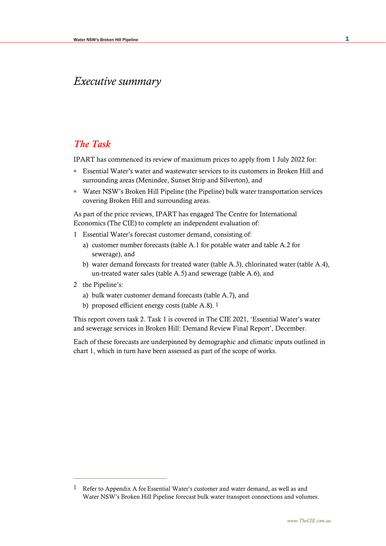## *Executive summary*

## *The Task*

IPART has commenced its review of maximum prices to apply from 1 July 2022 for:

- Essential Water's water and wastewater services to its customers in Broken Hill and surrounding areas (Menindee, Sunset Strip and Silverton), and
- Water NSW's Broken Hill Pipeline (the Pipeline) bulk water transportation services covering Broken Hill and surrounding areas.

As part of the price reviews, IPART has engaged The Centre for International Economics (The CIE) to complete an independent evaluation of:

- 1 Essential Water's forecast customer demand, consisting of:
	- a) customer number forecasts (table A.1 for potable water and table A.2 for sewerage), and
	- b) water demand forecasts for treated water (table A.3), chlorinated water (table A.4), un-treated water sales (table A.5) and sewerage (table A.6), and
- 2 the Pipeline's:
	- a) bulk water customer demand forecasts (table A.7), and
	- b) proposed efficient energy costs (table A.8). 1

This report covers task 2. Task 1 is covered in The CIE 2021, 'Essential Water's water and sewerage services in Broken Hill: Demand Review Final Report', December.

Each of these forecasts are underpinned by demographic and climatic inputs outlined in chart 1, which in turn have been assessed as part of the scope of works.

<sup>1</sup> Refer to Appendix A for Essential Water's customer and water demand, as well as and Water NSW's Broken Hill Pipeline forecast bulk water transport connections and volumes.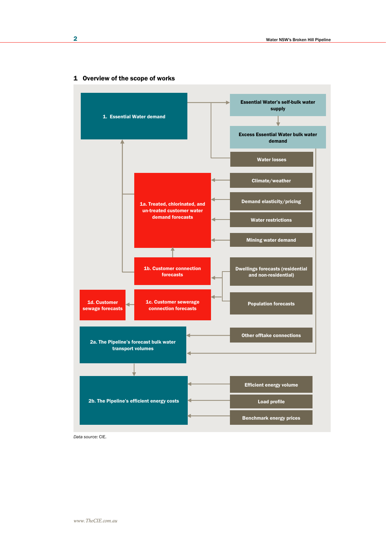

## 1 Overview of the scope of works

*Data source:* CIE.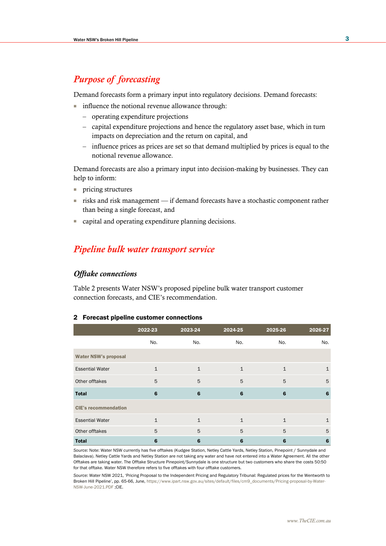## *Purpose of forecasting*

Demand forecasts form a primary input into regulatory decisions. Demand forecasts:

- influence the notional revenue allowance through:
	- operating expenditure projections
	- capital expenditure projections and hence the regulatory asset base, which in turn impacts on depreciation and the return on capital, and
	- influence prices as prices are set so that demand multiplied by prices is equal to the notional revenue allowance.

Demand forecasts are also a primary input into decision-making by businesses. They can help to inform:

- pricing structures
- risks and risk management if demand forecasts have a stochastic component rather than being a single forecast, and
- capital and operating expenditure planning decisions.

## *Pipeline bulk water transport service*

## *Offtake connections*

Table 2 presents Water NSW's proposed pipeline bulk water transport customer connection forecasts, and CIE's recommendation.

#### 2 Forecast pipeline customer connections

|                             | 2022-23      | 2023-24      | 2024-25      | 2025-26      | 2026-27      |
|-----------------------------|--------------|--------------|--------------|--------------|--------------|
|                             | No.          | No.          | No.          | No.          | No.          |
| <b>Water NSW's proposal</b> |              |              |              |              |              |
| <b>Essential Water</b>      | $\mathbf{1}$ | $\mathbf{1}$ | $\mathbf{1}$ | $\mathbf{1}$ | 1            |
| Other offtakes              | 5            | 5            | 5            | 5            | 5            |
| <b>Total</b>                | 6            | 6            | 6            | 6            | 6            |
| <b>CIE's recommendation</b> |              |              |              |              |              |
| <b>Essential Water</b>      | $\mathbf{1}$ | $\mathbf{1}$ | $\mathbf{1}$ | $\mathbf{1}$ | $\mathbf{1}$ |
| Other offtakes              | 5            | 5            | 5            | 5            | 5            |
| <b>Total</b>                | 6            | 6            | 6            | 6            | 6            |

*Source:* Note: Water NSW currently has five offtakes (Kudgee Station, Netley Cattle Yards, Netley Station, Pinepoint / Sunnydale and Balaclava). Netley Cattle Yards and Netley Station are not taking any water and have not entered into a Water Agreement. All the other Offtakes are taking water. The Offtake Structure Pinepoint/Sunnydale is one structure but two customers who share the costs 50:50 for that offtake. Water NSW therefore refers to five offtakes with four offtake customers.

*Source:* Water NSW 2021, 'Pricing Proposal to the Independent Pricing and Regulatory Tribunal: Regulated prices for the Wentworth to Broken Hill Pipeline', pp. 65-66, June[, https://www.ipart.nsw.gov.au/sites/default/files/cm9\\_documents/Pricing-proposal-by-Water-](https://www.ipart.nsw.gov.au/sites/default/files/cm9_documents/Pricing-proposal-by-Water-NSW-June-2021.PDF)[NSW-June-2021.PDF](https://www.ipart.nsw.gov.au/sites/default/files/cm9_documents/Pricing-proposal-by-Water-NSW-June-2021.PDF) ;CIE.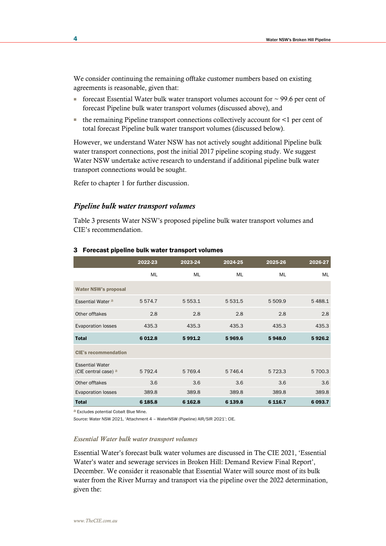We consider continuing the remaining offtake customer numbers based on existing agreements is reasonable, given that:

- forecast Essential Water bulk water transport volumes account for  $\sim$  99.6 per cent of forecast Pipeline bulk water transport volumes (discussed above), and
- $\blacksquare$  the remaining Pipeline transport connections collectively account for  $\lt 1$  per cent of total forecast Pipeline bulk water transport volumes (discussed below).

However, we understand Water NSW has not actively sought additional Pipeline bulk water transport connections, post the initial 2017 pipeline scoping study. We suggest Water NSW undertake active research to understand if additional pipeline bulk water transport connections would be sought.

Refer to chapter 1 for further discussion.

### *Pipeline bulk water transport volumes*

Table 3 presents Water NSW's proposed pipeline bulk water transport volumes and CIE's recommendation.

|                                                | 2022-23   | 2023-24   | 2024-25   | 2025-26     | 2026-27 |
|------------------------------------------------|-----------|-----------|-----------|-------------|---------|
|                                                | ML        | ML        | ML        | ML          | ML      |
| <b>Water NSW's proposal</b>                    |           |           |           |             |         |
| Essential Water <sup>a</sup>                   | 5574.7    | 5 5 5 3.1 | 5 5 3 1.5 | 5 509.9     | 5488.1  |
| Other offtakes                                 | 2.8       | 2.8       | 2.8       | 2.8         | 2.8     |
| <b>Evaporation losses</b>                      | 435.3     | 435.3     | 435.3     | 435.3       | 435.3   |
| <b>Total</b>                                   | 6 0 1 2.8 | 5991.2    | 5969.6    | 5948.0      | 5926.2  |
| <b>CIE's recommendation</b>                    |           |           |           |             |         |
| <b>Essential Water</b><br>(CIE central case) a | 5 7 9 2.4 | 5 7 6 9.4 | 5 7 4 6.4 | 5 7 2 3 . 3 | 5 700.3 |
| Other offtakes                                 | 3.6       | 3.6       | 3.6       | 3.6         | 3.6     |
| <b>Evaporation losses</b>                      | 389.8     | 389.8     | 389.8     | 389.8       | 389.8   |
| <b>Total</b>                                   | 6 185.8   | 6 162.8   | 6 139.8   | 6 1 16.7    | 6 093.7 |

#### 3 Forecast pipeline bulk water transport volumes

a Excludes potential Cobalt Blue Mine.

*Source:* Water NSW 2021, 'Attachment 4 – WaterNSW (Pipeline) AIR/SIR 2021'; CIE.

#### *Essential Water bulk water transport volumes*

Essential Water's forecast bulk water volumes are discussed in The CIE 2021, 'Essential Water's water and sewerage services in Broken Hill: Demand Review Final Report', December. We consider it reasonable that Essential Water will source most of its bulk water from the River Murray and transport via the pipeline over the 2022 determination, given the: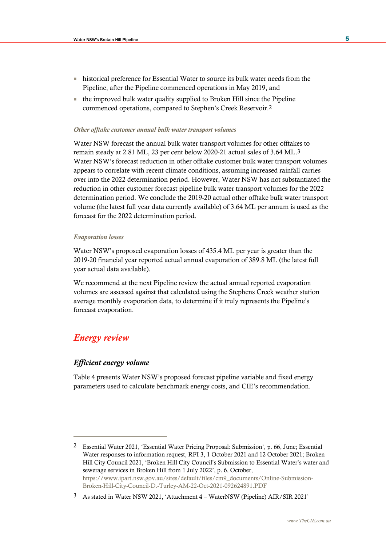- historical preference for Essential Water to source its bulk water needs from the Pipeline, after the Pipeline commenced operations in May 2019, and
- the improved bulk water quality supplied to Broken Hill since the Pipeline commenced operations, compared to Stephen's Creek Reservoir.2

#### *Other offtake customer annual bulk water transport volumes*

Water NSW forecast the annual bulk water transport volumes for other offtakes to remain steady at 2.81 ML, 23 per cent below 2020-21 actual sales of 3.64 ML.3 Water NSW's forecast reduction in other offtake customer bulk water transport volumes appears to correlate with recent climate conditions, assuming increased rainfall carries over into the 2022 determination period. However, Water NSW has not substantiated the reduction in other customer forecast pipeline bulk water transport volumes for the 2022 determination period. We conclude the 2019-20 actual other offtake bulk water transport volume (the latest full year data currently available) of 3.64 ML per annum is used as the forecast for the 2022 determination period.

#### *Evaporation losses*

Water NSW's proposed evaporation losses of 435.4 ML per year is greater than the 2019-20 financial year reported actual annual evaporation of 389.8 ML (the latest full year actual data available).

We recommend at the next Pipeline review the actual annual reported evaporation volumes are assessed against that calculated using the Stephens Creek weather station average monthly evaporation data, to determine if it truly represents the Pipeline's forecast evaporation.

## *Energy review*

## *Efficient energy volume*

Table 4 presents Water NSW's proposed forecast pipeline variable and fixed energy parameters used to calculate benchmark energy costs, and CIE's recommendation.

<sup>2</sup> Essential Water 2021, 'Essential Water Pricing Proposal: Submission', p. 66, June; Essential Water responses to information request, RFI 3, 1 October 2021 and 12 October 2021; Broken Hill City Council 2021, 'Broken Hill City Council's Submission to Essential Water's water and sewerage services in Broken Hill from 1 July 2022', p. 6, October, [https://www.ipart.nsw.gov.au/sites/default/files/cm9\\_documents/Online-Submission-](https://www.ipart.nsw.gov.au/sites/default/files/cm9_documents/Online-Submission-Broken-Hill-City-Council-D.-Turley-AM-22-Oct-2021-092624891.PDF)[Broken-Hill-City-Council-D.-Turley-AM-22-Oct-2021-092624891.PDF](https://www.ipart.nsw.gov.au/sites/default/files/cm9_documents/Online-Submission-Broken-Hill-City-Council-D.-Turley-AM-22-Oct-2021-092624891.PDF)

<sup>3</sup> As stated in Water NSW 2021, 'Attachment 4 – WaterNSW (Pipeline) AIR/SIR 2021'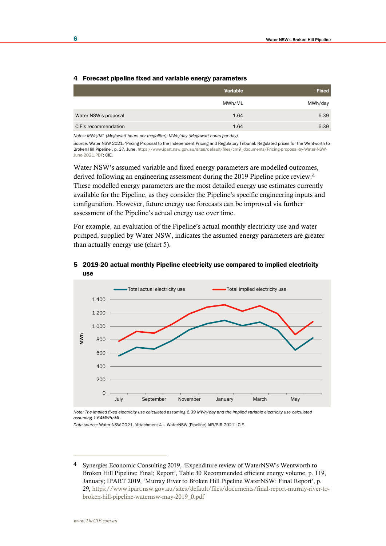#### 4 Forecast pipeline fixed and variable energy parameters

|                      | Variable | <b>Fixed</b> |
|----------------------|----------|--------------|
|                      | MWh/ML   | MWh/day      |
| Water NSW's proposal | 1.64     | 6.39         |
| CIE's recommendation | 1.64     | 6.39         |

*Notes: MWh/ML (Megawatt hours per megalitre); MWh/day (Megawatt hours per day).* 

*Source:* Water NSW 2021, 'Pricing Proposal to the Independent Pricing and Regulatory Tribunal: Regulated prices for the Wentworth to Broken Hill Pipeline', p. 37, June[, https://www.ipart.nsw.gov.au/sites/default/files/cm9\\_documents/Pricing-proposal-by-Water-NSW-](https://www.ipart.nsw.gov.au/sites/default/files/cm9_documents/Pricing-proposal-by-Water-NSW-June-2021.PDF)[June-2021.PDF;](https://www.ipart.nsw.gov.au/sites/default/files/cm9_documents/Pricing-proposal-by-Water-NSW-June-2021.PDF) CIE.

Water NSW's assumed variable and fixed energy parameters are modelled outcomes, derived following an engineering assessment during the 2019 Pipeline price review.4 These modelled energy parameters are the most detailed energy use estimates currently available for the Pipeline, as they consider the Pipeline's specific engineering inputs and configuration. However, future energy use forecasts can be improved via further assessment of the Pipeline's actual energy use over time.

For example, an evaluation of the Pipeline's actual monthly electricity use and water pumped, supplied by Water NSW, indicates the assumed energy parameters are greater than actually energy use (chart 5).



#### 5 2019-20 actual monthly Pipeline electricity use compared to implied electricity use

*Note: The implied fixed electricity use calculated assuming 6.39 MWh/day and the implied variable electricity use calculated assuming 1.64MWh/ML.*

*Data source:* Water NSW 2021, 'Attachment 4 – WaterNSW (Pipeline) AIR/SIR 2021'; CIE.

<sup>4</sup> Synergies Economic Consulting 2019, 'Expenditure review of WaterNSW's Wentworth to Broken Hill Pipeline: Final; Report', Table 30 Recommended efficient energy volume, p. 119, January; IPART 2019, 'Murray River to Broken Hill Pipeline WaterNSW: Final Report', p. 29, [https://www.ipart.nsw.gov.au/sites/default/files/documents/final-report-murray-river-to](https://www.ipart.nsw.gov.au/sites/default/files/documents/final-report-murray-river-to-broken-hill-pipeline-waternsw-may-2019_0.pdf)[broken-hill-pipeline-waternsw-may-2019\\_0.pdf](https://www.ipart.nsw.gov.au/sites/default/files/documents/final-report-murray-river-to-broken-hill-pipeline-waternsw-may-2019_0.pdf)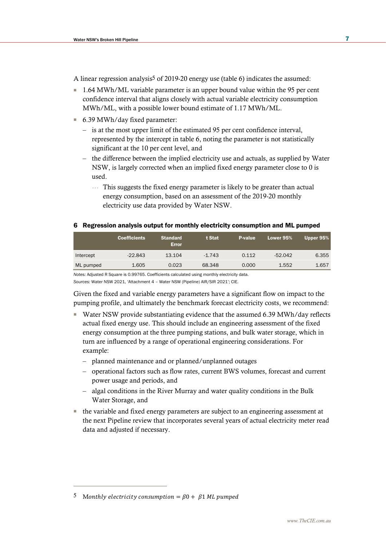A linear regression analysis<sup>5</sup> of 2019-20 energy use (table 6) indicates the assumed:

- 1.64 MWh/ML variable parameter is an upper bound value within the 95 per cent confidence interval that aligns closely with actual variable electricity consumption MWh/ML, with a possible lower bound estimate of 1.17 MWh/ML.
- 6.39 MWh/day fixed parameter:
	- is at the most upper limit of the estimated 95 per cent confidence interval, represented by the intercept in table 6, noting the parameter is not statistically significant at the 10 per cent level, and
	- the difference between the implied electricity use and actuals, as supplied by Water NSW, is largely corrected when an implied fixed energy parameter close to 0 is used.
		- … This suggests the fixed energy parameter is likely to be greater than actual energy consumption, based on an assessment of the 2019-20 monthly electricity use data provided by Water NSW.

## 6 Regression analysis output for monthly electricity consumption and ML pumped

| <b>Coefficients</b> | <b>Standard</b><br><b>Error</b> | t Stat   | <b>P-value</b> | Lower 95% | Upper 95% |
|---------------------|---------------------------------|----------|----------------|-----------|-----------|
| $-22.843$           | 13.104                          | $-1.743$ | 0.112          | $-52.042$ | 6.355     |
| 1.605               | 0.023                           | 68.348   | 0.000          | 1.552     | 1.657     |
|                     |                                 |          |                |           |           |

*Notes:* Adjusted R Square is 0.99765. Coefficients calculated using monthly electricity data.

*Sources:* Water NSW 2021, 'Attachment 4 – Water NSW (Pipeline) AIR/SIR 2021'; CIE.

Given the fixed and variable energy parameters have a significant flow on impact to the pumping profile, and ultimately the benchmark forecast electricity costs, we recommend:

- Water NSW provide substantiating evidence that the assumed 6.39 MWh/day reflects actual fixed energy use. This should include an engineering assessment of the fixed energy consumption at the three pumping stations, and bulk water storage, which in turn are influenced by a range of operational engineering considerations. For example:
	- planned maintenance and or planned/unplanned outages
	- operational factors such as flow rates, current BWS volumes, forecast and current power usage and periods, and
	- algal conditions in the River Murray and water quality conditions in the Bulk Water Storage, and
- the variable and fixed energy parameters are subject to an engineering assessment at the next Pipeline review that incorporates several years of actual electricity meter read data and adjusted if necessary.

<sup>5</sup> Monthly electricity consumption =  $\beta$ 0 +  $\beta$ 1 ML pumped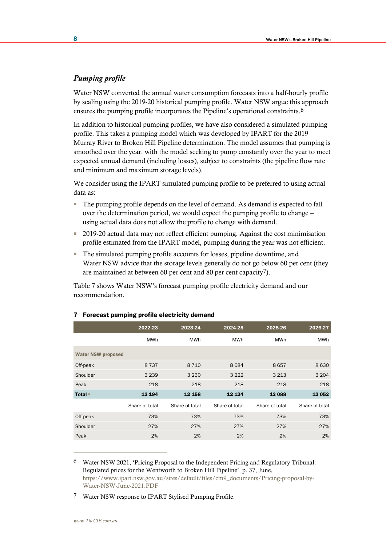## *Pumping profile*

Water NSW converted the annual water consumption forecasts into a half-hourly profile by scaling using the 2019-20 historical pumping profile. Water NSW argue this approach ensures the pumping profile incorporates the Pipeline's operational constraints.6

In addition to historical pumping profiles, we have also considered a simulated pumping profile. This takes a pumping model which was developed by IPART for the 2019 Murray River to Broken Hill Pipeline determination. The model assumes that pumping is smoothed over the year, with the model seeking to pump constantly over the year to meet expected annual demand (including losses), subject to constraints (the pipeline flow rate and minimum and maximum storage levels).

We consider using the IPART simulated pumping profile to be preferred to using actual data as:

- The pumping profile depends on the level of demand. As demand is expected to fall over the determination period, we would expect the pumping profile to change – using actual data does not allow the profile to change with demand.
- 2019-20 actual data may not reflect efficient pumping. Against the cost minimisation profile estimated from the IPART model, pumping during the year was not efficient.
- The simulated pumping profile accounts for losses, pipeline downtime, and Water NSW advice that the storage levels generally do not go below 60 per cent (they are maintained at between 60 per cent and 80 per cent capacity7).

Table 7 shows Water NSW's forecast pumping profile electricity demand and our recommendation.

|                           | 2022-23        | 2023-24        | 2024-25        | 2025-26        | 2026-27        |
|---------------------------|----------------|----------------|----------------|----------------|----------------|
|                           | MWh            | MWh            | <b>MWh</b>     | <b>MWh</b>     | MWh            |
| <b>Water NSW proposed</b> |                |                |                |                |                |
| Off-peak                  | 8737           | 8710           | 8684           | 8657           | 8630           |
| Shoulder                  | 3 2 3 9        | 3 2 3 0        | 3 2 2 2        | 3 2 1 3        | 3 2 0 4        |
| Peak                      | 218            | 218            | 218            | 218            | 218            |
| Total <sup>a</sup>        | 12 194         | 12 158         | 12 1 24        | 12 088         | 12 052         |
|                           | Share of total | Share of total | Share of total | Share of total | Share of total |
| Off-peak                  | 73%            | 73%            | 73%            | 73%            | 73%            |
| Shoulder                  | 27%            | 27%            | 27%            | 27%            | 27%            |
| Peak                      | 2%             | 2%             | 2%             | 2%             | 2%             |

#### 7 Forecast pumping profile electricity demand

6 Water NSW 2021, 'Pricing Proposal to the Independent Pricing and Regulatory Tribunal: Regulated prices for the Wentworth to Broken Hill Pipeline', p. 37, June, [https://www.ipart.nsw.gov.au/sites/default/files/cm9\\_documents/Pricing-proposal-by-](https://www.ipart.nsw.gov.au/sites/default/files/cm9_documents/Pricing-proposal-by-Water-NSW-June-2021.PDF)[Water-NSW-June-2021.PDF](https://www.ipart.nsw.gov.au/sites/default/files/cm9_documents/Pricing-proposal-by-Water-NSW-June-2021.PDF)

7 Water NSW response to IPART Stylised Pumping Profile.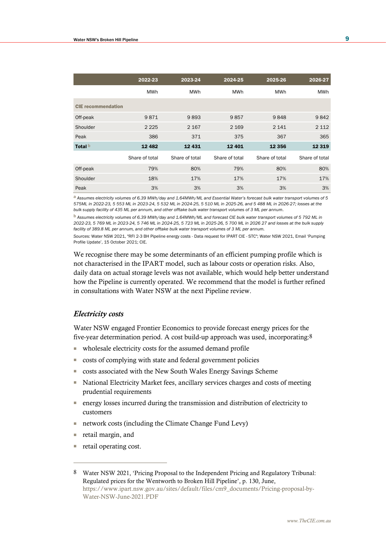|                           | 2022-23        |                | 2024-25        | 2025-26        | 2026-27        |  |
|---------------------------|----------------|----------------|----------------|----------------|----------------|--|
|                           | <b>MWh</b>     | <b>MWh</b>     | <b>MWh</b>     | <b>MWh</b>     | <b>MWh</b>     |  |
| <b>CIE</b> recommendation |                |                |                |                |                |  |
| Off-peak                  | 9871           | 9893           | 9857           | 9848           | 9842           |  |
| Shoulder                  | 2 2 2 5        | 2 1 6 7        | 2 1 6 9        | 2 1 4 1        | 2 1 1 2        |  |
| Peak                      | 386            | 371            | 375            | 367            | 365            |  |
| Total <sup>b</sup>        | 12 4 8 2       | 12 4 31        | 12 4 01        | 12 3 5 6       | 12 3 19        |  |
|                           | Share of total | Share of total | Share of total | Share of total | Share of total |  |
| Off-peak                  | 79%            | 80%            | 79%            | 80%            | 80%            |  |
| Shoulder                  | 18%            | 17%            | 17%            | 17%            | 17%            |  |
| Peak                      | 3%             | 3%             | 3%             | 3%             | 3%             |  |

a *Assumes electricity volumes of 6.39 MWh/day and 1.64MWh/ML and Essential Water's forecast bulk water transport volumes of 5 575ML in 2022-23, 5 553 ML in 2023-24, 5 532 ML in 2024-25, 5 510 ML in 2025-26, and 5 488 ML in 2026-27; losses at the bulk supply facility of 435 ML per annum, and other offtake bulk water transport volumes of 3 ML per annum.* 

b *Assumes electricity volumes of 6.39 MWh/day and 1.64MWh/ML and forecast CIE bulk water transport volumes of 5 792 ML in 2022-23, 5 769 ML in 2023-24, 5 746 ML in 2024-25, 5 723 ML in 2025-26, 5 700 ML in 2026 27 and losses at the bulk supply facility of 389.8 ML per annum, and other offtake bulk water transport volumes of 3 ML per annum.*

*Sources:* Water NSW 2021, "RFI 2-3 BH Pipeline energy costs - Data request for IPART CIE - STC"; Water NSW 2021, Email 'Pumping Profile Update', 15 October 2021; CIE.

We recognise there may be some determinants of an efficient pumping profile which is not characterised in the IPART model, such as labour costs or operation risks. Also, daily data on actual storage levels was not available, which would help better understand how the Pipeline is currently operated. We recommend that the model is further refined in consultations with Water NSW at the next Pipeline review.

## *Electricity costs*

Water NSW engaged Frontier Economics to provide forecast energy prices for the five-year determination period. A cost build-up approach was used, incorporating:8

- wholesale electricity costs for the assumed demand profile
- costs of complying with state and federal government policies
- costs associated with the New South Wales Energy Savings Scheme
- National Electricity Market fees, ancillary services charges and costs of meeting prudential requirements
- energy losses incurred during the transmission and distribution of electricity to customers
- network costs (including the Climate Change Fund Levy)
- retail margin, and
- retail operating cost.

<sup>8</sup> Water NSW 2021, 'Pricing Proposal to the Independent Pricing and Regulatory Tribunal: Regulated prices for the Wentworth to Broken Hill Pipeline', p. 130, June, [https://www.ipart.nsw.gov.au/sites/default/files/cm9\\_documents/Pricing-proposal-by-](https://www.ipart.nsw.gov.au/sites/default/files/cm9_documents/Pricing-proposal-by-Water-NSW-June-2021.PDF)[Water-NSW-June-2021.PDF](https://www.ipart.nsw.gov.au/sites/default/files/cm9_documents/Pricing-proposal-by-Water-NSW-June-2021.PDF)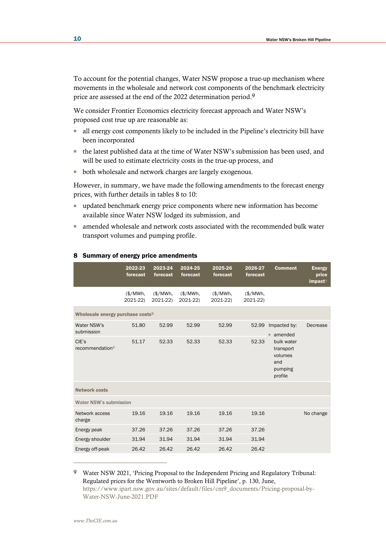To account for the potential changes, Water NSW propose a true-up mechanism where movements in the wholesale and network cost components of the benchmark electricity price are assessed at the end of the 2022 determination period.9

We consider Frontier Economics electricity forecast approach and Water NSW's proposed cost true up are reasonable as:

- all energy cost components likely to be included in the Pipeline's electricity bill have been incorporated
- the latest published data at the time of Water NSW's submission has been used, and will be used to estimate electricity costs in the true-up process, and
- both wholesale and network charges are largely exogenous.

However, in summary, we have made the following amendments to the forecast energy prices, with further details in tables 8 to 10:

- updated benchmark energy price components where new information has become available since Water NSW lodged its submission, and
- amended wholesale and network costs associated with the recommended bulk water transport volumes and pumping profile.

|                                              | 2022-23<br>forecast   | 2023-24<br>forecast | 2024-25<br>forecast  | 2025-26<br>forecast | 2026-27<br>forecast  | <b>Comment</b>                                                  | <b>Energy</b><br>price<br>impacta |
|----------------------------------------------|-----------------------|---------------------|----------------------|---------------------|----------------------|-----------------------------------------------------------------|-----------------------------------|
|                                              | $(*/MWh,$<br>2021-22) | \$/MWh.<br>2021-22) | (\$/MWh,<br>2021-22) | \$/MWh.<br>2021-22) | (\$/MWh,<br>2021-22) |                                                                 |                                   |
| Wholesale energy purchase costs <sup>b</sup> |                       |                     |                      |                     |                      |                                                                 |                                   |
| Water NSW's<br>submission                    | 51.80                 | 52.99               | 52.99                | 52.99               | 52.99                | Impacted by:<br>$\blacksquare$ amended                          | Decrease                          |
| CIE's<br>recommendation <sup>c</sup>         | 51.17                 | 52.33               | 52.33                | 52.33               | 52.33                | bulk water<br>transport<br>volumes<br>and<br>pumping<br>profile |                                   |
| <b>Network costs</b>                         |                       |                     |                      |                     |                      |                                                                 |                                   |
| <b>Water NSW's submission</b>                |                       |                     |                      |                     |                      |                                                                 |                                   |
| Network access<br>charge                     | 19.16                 | 19.16               | 19.16                | 19.16               | 19.16                |                                                                 | No change                         |
| Energy peak                                  | 37.26                 | 37.26               | 37.26                | 37.26               | 37.26                |                                                                 |                                   |
| Energy shoulder                              | 31.94                 | 31.94               | 31.94                | 31.94               | 31.94                |                                                                 |                                   |
| Energy off-peak                              | 26.42                 | 26.42               | 26.42                | 26.42               | 26.42                |                                                                 |                                   |

#### 8 Summary of energy price amendments

9 Water NSW 2021, 'Pricing Proposal to the Independent Pricing and Regulatory Tribunal: Regulated prices for the Wentworth to Broken Hill Pipeline', p. 130, June, [https://www.ipart.nsw.gov.au/sites/default/files/cm9\\_documents/Pricing-proposal-by-](https://www.ipart.nsw.gov.au/sites/default/files/cm9_documents/Pricing-proposal-by-Water-NSW-June-2021.PDF)[Water-NSW-June-2021.PDF](https://www.ipart.nsw.gov.au/sites/default/files/cm9_documents/Pricing-proposal-by-Water-NSW-June-2021.PDF)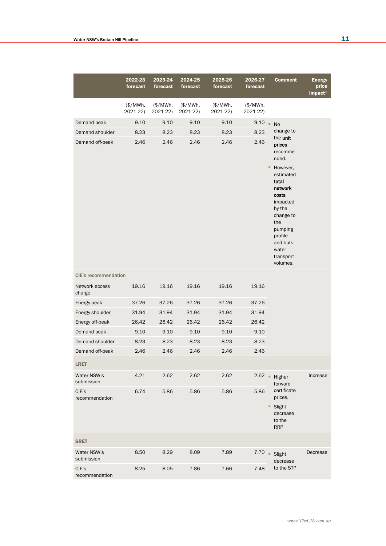|                             | 2022-23<br>forecast   | 2023-24<br>forecast  | 2024-25<br>forecast   | 2025-26<br>forecast   | 2026-27<br>forecast   | <b>Comment</b>                                                                                                                                                    | <b>Energy</b><br>price<br>impacta |
|-----------------------------|-----------------------|----------------------|-----------------------|-----------------------|-----------------------|-------------------------------------------------------------------------------------------------------------------------------------------------------------------|-----------------------------------|
|                             | $(*/MWh,$<br>2021-22) | (\$/MWh,<br>2021-22) | $(*/MWh,$<br>2021-22) | $(*/MWh,$<br>2021-22) | $(*/MWh,$<br>2021-22) |                                                                                                                                                                   |                                   |
| Demand peak                 | 9.10                  | 9.10                 | 9.10                  | 9.10                  | 9.10                  | $\alpha$<br><b>No</b>                                                                                                                                             |                                   |
| Demand shoulder             | 8.23                  | 8.23                 | 8.23                  | 8.23                  | 8.23                  | change to                                                                                                                                                         |                                   |
| Demand off-peak             | 2.46                  | 2.46                 | 2.46                  | 2.46                  | 2.46                  | the unit<br>prices<br>recomme<br>nded.<br>However,<br>۰<br>estimated<br>total<br>network<br>costs<br>impacted<br>by the<br>change to<br>the<br>pumping<br>profile |                                   |
| <b>CIE's recommendation</b> |                       |                      |                       |                       |                       | and bulk<br>water<br>transport<br>volumes.                                                                                                                        |                                   |
| Network access<br>charge    | 19.16                 | 19.16                | 19.16                 | 19.16                 | 19.16                 |                                                                                                                                                                   |                                   |
| Energy peak                 | 37.26                 | 37.26                | 37.26                 | 37.26                 | 37.26                 |                                                                                                                                                                   |                                   |
| Energy shoulder             | 31.94                 | 31.94                | 31.94                 | 31.94                 | 31.94                 |                                                                                                                                                                   |                                   |
| Energy off-peak             | 26.42                 | 26.42                | 26.42                 | 26.42                 | 26.42                 |                                                                                                                                                                   |                                   |
| Demand peak                 | 9.10                  | 9.10                 | 9.10                  | 9.10                  | 9.10                  |                                                                                                                                                                   |                                   |
| Demand shoulder             | 8.23                  | 8.23                 | 8.23                  | 8.23                  | 8.23                  |                                                                                                                                                                   |                                   |
| Demand off-peak             | 2.46                  | 2.46                 | 2.46                  | 2.46                  | 2.46                  |                                                                                                                                                                   |                                   |
| <b>LRET</b>                 |                       |                      |                       |                       |                       |                                                                                                                                                                   |                                   |
| Water NSW's<br>submission   | 4.21                  | 2.62                 | 2.62                  | 2.62                  |                       | $2.62$ Higher<br>forward                                                                                                                                          | Increase                          |
| CIE's<br>recommendation     | 6.74                  | 5.86                 | 5.86                  | 5.86                  | 5.86                  | certificate<br>prices.<br>■ Slight<br>decrease<br>to the<br><b>RRP</b>                                                                                            |                                   |
| <b>SRET</b>                 |                       |                      |                       |                       |                       |                                                                                                                                                                   |                                   |
| Water NSW's<br>submission   | 8.50                  | 8.29                 | 8.09                  | 7.89                  | 7.70                  | $\alpha$<br>Slight<br>decrease                                                                                                                                    | Decrease                          |
| CIE's<br>recommendation     | 8.25                  | 8.05                 | 7.86                  | 7.66                  | 7.48                  | to the STP                                                                                                                                                        |                                   |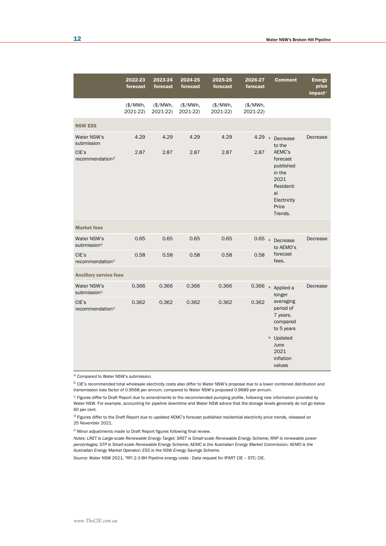|                                                                   | 2022-23<br>forecast   | 2023-24<br>forecast  | 2024-25<br>forecast  | 2025-26<br>forecast   | 2026-27<br>forecast   | <b>Comment</b>                                                                                                                             | <b>Energy</b><br>price<br>impacta |
|-------------------------------------------------------------------|-----------------------|----------------------|----------------------|-----------------------|-----------------------|--------------------------------------------------------------------------------------------------------------------------------------------|-----------------------------------|
|                                                                   | $(*/MWh,$<br>2021-22) | (\$/MWh,<br>2021-22) | (\$/MWh,<br>2021-22) | $(*/MWh,$<br>2021-22) | $(*/MWh,$<br>2021-22) |                                                                                                                                            |                                   |
| <b>NSW ESS</b>                                                    |                       |                      |                      |                       |                       |                                                                                                                                            |                                   |
| Water NSW's<br>submission<br>CIE's<br>recommendation <sup>d</sup> | 4.29<br>2.87          | 4.29<br>2.87         | 4.29<br>2.87         | 4.29<br>2.87          | 4.29<br>2.87          | $\bar{a}$<br>Decrease<br>to the<br>AEMC's<br>forecast<br>published<br>in the<br>2021<br>Residenti<br>al<br>Electricity<br>Price<br>Trends. | Decrease                          |
| <b>Market fees</b>                                                |                       |                      |                      |                       |                       |                                                                                                                                            |                                   |
| Water NSW's<br>submissione                                        | 0.65                  | 0.65                 | 0.65                 | 0.65                  | 0.65                  | $\alpha$<br>Decrease<br>to AEMO's                                                                                                          | Decrease                          |
| CIE's<br>recommendatione                                          | 0.58                  | 0.58                 | 0.58                 | 0.58                  | 0.58                  | forecast<br>fees.                                                                                                                          |                                   |
| <b>Ancillary service fees</b>                                     |                       |                      |                      |                       |                       |                                                                                                                                            |                                   |
| Water NSW's<br>submissione                                        | 0.366                 | 0.366                | 0.366                | 0.366                 | 0.366                 | ×<br>Applied a<br>longer                                                                                                                   | Decrease                          |
| CIE's<br>recommendatione                                          | 0.362                 | 0.362                | 0.362                | 0.362                 | 0.362                 | averaging<br>period of<br>7 years,<br>compared<br>to 5 years<br>■ Updated<br>June<br>2021<br>inflation<br>values                           |                                   |

a Compared to Water NSW's submission.

b CIE's recommended total wholesale electricity costs also differ to Water NSW's proposal due to a lower combined distribution and transmission loss factor of 0.9568 per annum, compared to Water NSW's proposed 0.9689 per annum.

 $c$  Figures differ to Draft Report due to amendments to the recommended pumping profile, following new information provided by Water NSW. For example, accounting for pipeline downtime and Water NSW advice that the storage levels generally do not go below 60 per cent.

d Figures differ to the Draft Report due to updated AEMC's forecast published residential electricity price trends, released on 25 November 2021.

e Minor adjustments made to Draft Report figures following final review.

*Notes: LRET is Large-scale Renewable Energy Target; SRET is Small-scale Renewable Energy Scheme; RRP is renewable power percentages; STP is Small-scale Renewable Energy Scheme; AEMC is the Australian Energy Market Commission; AEMO is the Australian Energy Market Operator; ESS is the NSW Energy Savings Scheme.*

*Source:* Water NSW 2021, "RFI 2-3 BH Pipeline energy costs - Data request for IPART CIE – STC; CIE.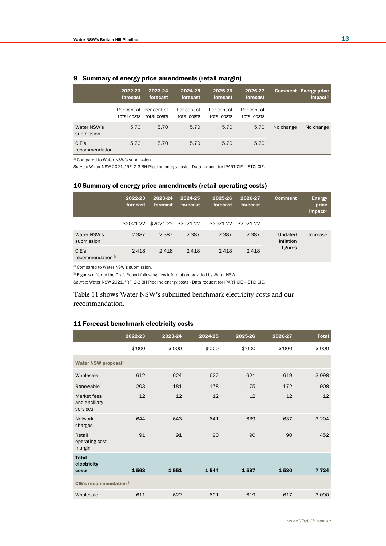|                           | 2022-23<br>forecast | 2023-24<br>forecast                    | 2024-25<br>forecast        | 2025-26<br>forecast        | 2026-27<br>forecast        |           | <b>Comment Energy price</b><br>impacta |
|---------------------------|---------------------|----------------------------------------|----------------------------|----------------------------|----------------------------|-----------|----------------------------------------|
|                           | total costs         | Per cent of Per cent of<br>total costs | Per cent of<br>total costs | Per cent of<br>total costs | Per cent of<br>total costs |           |                                        |
| Water NSW's<br>submission | 5.70                | 5.70                                   | 5.70                       | 5.70                       | 5.70                       | No change | No change                              |
| CIE's<br>recommendation   | 5.70                | 5.70                                   | 5.70                       | 5.70                       | 5.70                       |           |                                        |

### 9 Summary of energy price amendments (retail margin)

a Compared to Water NSW's submission.

*Source:* Water NSW 2021, "RFI 2-3 BH Pipeline energy costs - Data request for IPART CIE – STC; CIE.

### 10 Summary of energy price amendments (retail operating costs)

|                                  | 2022-23<br>forecast | 2023-24<br>forecast | 2024-25<br>forecast | 2025-26<br>forecast | 2026-27<br>forecast | <b>Comment</b>       | <b>Energy</b><br>price<br>impacta |
|----------------------------------|---------------------|---------------------|---------------------|---------------------|---------------------|----------------------|-----------------------------------|
|                                  | \$2021-22           | \$2021-22 \$2021-22 |                     | \$2021-22           | \$2021-22           |                      |                                   |
| Water NSW's<br>submission        | 2 3 8 7             | 2 3 8 7             | 2 3 8 7             | 2 3 8 7             | 2 3 8 7             | Updated<br>inflation | Increase                          |
| CIE's<br>recommendation <b>b</b> | 2418                | 2418                | 2418                | 2418                | 2418                | figures              |                                   |

a Compared to Water NSW's submission.

b Figures differ to the Draft Report following new information provided by Water NSW.

*Source:* Water NSW 2021, "RFI 2-3 BH Pipeline energy costs - Data request for IPART CIE – STC; CIE.

Table 11 shows Water NSW's submitted benchmark electricity costs and our recommendation.

### 11 Forecast benchmark electricity costs

|                                          | 2022-23 | 2023-24 | 2024-25 | 2025-26 | 2026-27 | <b>Total</b> |  |
|------------------------------------------|---------|---------|---------|---------|---------|--------------|--|
|                                          | \$'000  | \$'000  | \$'000  | \$'000  | \$'000  | \$'000       |  |
| Water NSW proposal <sup>a</sup>          |         |         |         |         |         |              |  |
| Wholesale                                | 612     | 624     | 622     | 621     | 619     | 3098         |  |
| Renewable                                | 203     | 181     | 178     | 175     | 172     | 908          |  |
| Market fees<br>and ancillary<br>services | 12      | 12      | 12      | 12      | 12      | 12           |  |
| <b>Network</b><br>charges                | 644     | 643     | 641     | 639     | 637     | 3 2 0 4      |  |
| Retail<br>operating cost<br>margin       | 91      | 91      | 90      | 90      | 90      | 452          |  |
| <b>Total</b><br>electricity<br>costs     | 1563    | 1551    | 1544    | 1537    | 1530    | 7 7 2 4      |  |
| CIE's recommendation b                   |         |         |         |         |         |              |  |
| Wholesale                                | 611     | 622     | 621     | 619     | 617     | 3 0 9 0      |  |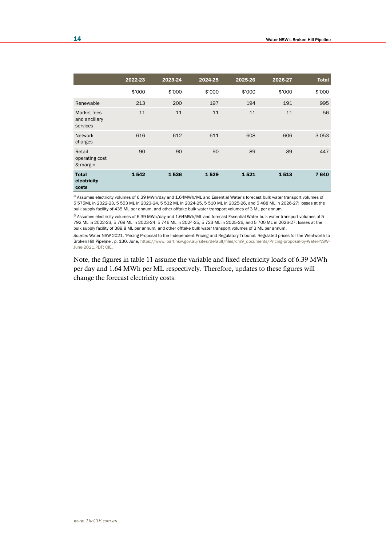|                                          | 2022-23 | 2023-24 | 2024-25 | 2025-26 | 2026-27 | <b>Total</b> |
|------------------------------------------|---------|---------|---------|---------|---------|--------------|
|                                          | \$'000  | \$'000  | \$'000  | \$'000  | \$'000  | \$'000       |
| Renewable                                | 213     | 200     | 197     | 194     | 191     | 995          |
| Market fees<br>and ancillary<br>services | 11      | 11      | 11      | 11      | 11      | 56           |
| <b>Network</b><br>charges                | 616     | 612     | 611     | 608     | 606     | 3 0 5 3      |
| Retail<br>operating cost<br>& margin     | 90      | 90      | 90      | 89      | 89      | 447          |
| <b>Total</b><br>electricity<br>costs     | 1542    | 1536    | 1529    | 1521    | 1513    | 7640         |

a Assumes electricity volumes of 6.39 MWh/day and 1.64MWh/ML and Essential Water's forecast bulk water transport volumes of 5 575ML in 2022-23, 5 553 ML in 2023-24, 5 532 ML in 2024-25, 5 510 ML in 2025-26, and 5 488 ML in 2026-27; losses at the bulk supply facility of 435 ML per annum, and other offtake bulk water transport volumes of 3 ML per annum.

b Assumes electricity volumes of 6.39 MWh/day and 1.64MWh/ML and forecast Essential Water bulk water transport volumes of 5 792 ML in 2022-23, 5 769 ML in 2023-24, 5 746 ML in 2024-25, 5 723 ML in 2025-26, and 5 700 ML in 2026-27; losses at the bulk supply facility of 389.8 ML per annum, and other offtake bulk water transport volumes of 3 ML per annum.

*Source:* Water NSW 2021, 'Pricing Proposal to the Independent Pricing and Regulatory Tribunal: Regulated prices for the Wentworth to Broken Hill Pipeline', p. 130, June, [https://www.ipart.nsw.gov.au/sites/default/files/cm9\\_documents/Pricing-proposal-by-Water-NSW-](https://www.ipart.nsw.gov.au/sites/default/files/cm9_documents/Pricing-proposal-by-Water-NSW-June-2021.PDF)[June-2021.PDF;](https://www.ipart.nsw.gov.au/sites/default/files/cm9_documents/Pricing-proposal-by-Water-NSW-June-2021.PDF) CIE.

Note, the figures in table 11 assume the variable and fixed electricity loads of 6.39 MWh per day and 1.64 MWh per ML respectively. Therefore, updates to these figures will change the forecast electricity costs.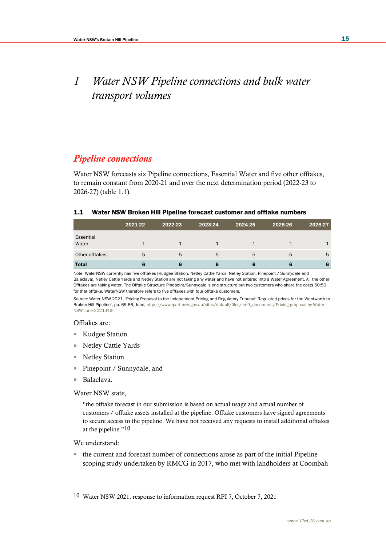# *1 Water NSW Pipeline connections and bulk water transport volumes*

## *Pipeline connections*

Water NSW forecasts six Pipeline connections, Essential Water and five other offtakes, to remain constant from 2020-21 and over the next determination period (2022-23 to 2026-27) (table 1.1).

## 1.1 Water NSW Broken Hill Pipeline forecast customer and offtake numbers

|                    | 2021-22 | 2022-23 | 2023-24 | 2024-25 | 2025-26 | 2026-27 |
|--------------------|---------|---------|---------|---------|---------|---------|
| Essential<br>Water |         |         |         |         |         |         |
| Other offtakes     | 5       | 5       | 5       | 5       | 5       | 5       |
| <b>Total</b>       |         |         |         |         |         |         |

Note: WaterNSW currently has five offtakes (Kudgee Station, Netley Cattle Yards, Netley Station, Pinepoint / Sunnydale and Balaclava). Netley Cattle Yards and Netley Station are not taking any water and have not entered into a Water Agreement. All the other Offtakes are taking water. The Offtake Structure Pinepoint/Sunnydale is one structure but two customers who share the costs 50:50 for that offtake. WaterNSW therefore refers to five offtakes with four offtake customers.

*Source:* Water NSW 2021, 'Pricing Proposal to the Independent Pricing and Regulatory Tribunal: Regulated prices for the Wentworth to Broken Hill Pipeline', pp. 65-66, June[, https://www.ipart.nsw.gov.au/sites/default/files/cm9\\_documents/Pricing-proposal-by-Water-](https://www.ipart.nsw.gov.au/sites/default/files/cm9_documents/Pricing-proposal-by-Water-NSW-June-2021.PDF)[NSW-June-2021.PDF.](https://www.ipart.nsw.gov.au/sites/default/files/cm9_documents/Pricing-proposal-by-Water-NSW-June-2021.PDF) 

## Offtakes are:

- Kudgee Station
- Netley Cattle Yards
- Netley Station
- Pinepoint / Sunnydale, and
- Balaclava.

Water NSW state,

"the offtake forecast in our submission is based on actual usage and actual number of customers / offtake assets installed at the pipeline. Offtake customers have signed agreements to secure access to the pipeline. We have not received any requests to install additional offtakes at the pipeline."10

We understand:

■ the current and forecast number of connections arose as part of the initial Pipeline scoping study undertaken by RMCG in 2017, who met with landholders at Coombah

<sup>10</sup> Water NSW 2021, response to information request RFI 7, October 7, 2021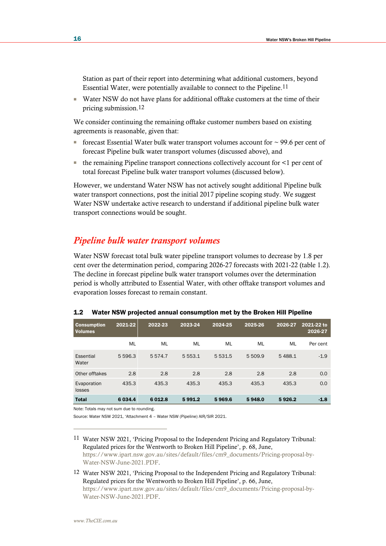Station as part of their report into determining what additional customers, beyond Essential Water, were potentially available to connect to the Pipeline.11

■ Water NSW do not have plans for additional offtake customers at the time of their pricing submission.12

We consider continuing the remaining offtake customer numbers based on existing agreements is reasonable, given that:

- **•** forecast Essential Water bulk water transport volumes account for  $\sim$  99.6 per cent of forecast Pipeline bulk water transport volumes (discussed above), and
- the remaining Pipeline transport connections collectively account for <1 per cent of total forecast Pipeline bulk water transport volumes (discussed below).

However, we understand Water NSW has not actively sought additional Pipeline bulk water transport connections, post the initial 2017 pipeline scoping study. We suggest Water NSW undertake active research to understand if additional pipeline bulk water transport connections would be sought.

## *Pipeline bulk water transport volumes*

Water NSW forecast total bulk water pipeline transport volumes to decrease by 1.8 per cent over the determination period, comparing 2026-27 forecasts with 2021-22 (table 1.2). The decline in forecast pipeline bulk water transport volumes over the determination period is wholly attributed to Essential Water, with other offtake transport volumes and evaporation losses forecast to remain constant.

| <b>Consumption</b><br><b>Volumes</b> | 2021-22  | 2022-23   | 2023-24     | 2024-25 | 2025-26 | 2026-27 | 2021-22 to<br>2026-27 |
|--------------------------------------|----------|-----------|-------------|---------|---------|---------|-----------------------|
|                                      | ML       | ML        | ML          | ML      | ML      | ML      | Per cent              |
| Essential<br>Water                   | 5596.3   | 5574.7    | 5 5 5 3 . 1 | 5531.5  | 5 509.9 | 5488.1  | $-1.9$                |
| Other offtakes                       | 2.8      | 2.8       | 2.8         | 2.8     | 2.8     | 2.8     | 0.0                   |
| Evaporation<br>losses                | 435.3    | 435.3     | 435.3       | 435.3   | 435.3   | 435.3   | 0.0                   |
| <b>Total</b>                         | 6 0 34.4 | 6 0 1 2.8 | 5991.2      | 5969.6  | 5948.0  | 5926.2  | $-1.8$                |

#### 1.2 Water NSW projected annual consumption met by the Broken Hill Pipeline

Note: Totals may not sum due to rounding.

Source: Water NSW 2021, 'Attachment 4 – Water NSW (Pipeline) AIR/SIR 2021.

- 11 Water NSW 2021, 'Pricing Proposal to the Independent Pricing and Regulatory Tribunal: Regulated prices for the Wentworth to Broken Hill Pipeline', p. 68, June, [https://www.ipart.nsw.gov.au/sites/default/files/cm9\\_documents/Pricing-proposal-by-](https://www.ipart.nsw.gov.au/sites/default/files/cm9_documents/Pricing-proposal-by-Water-NSW-June-2021.PDF)[Water-NSW-June-2021.PDF.](https://www.ipart.nsw.gov.au/sites/default/files/cm9_documents/Pricing-proposal-by-Water-NSW-June-2021.PDF)
- 12 Water NSW 2021, 'Pricing Proposal to the Independent Pricing and Regulatory Tribunal: Regulated prices for the Wentworth to Broken Hill Pipeline', p. 66, June, [https://www.ipart.nsw.gov.au/sites/default/files/cm9\\_documents/Pricing-proposal-by-](https://www.ipart.nsw.gov.au/sites/default/files/cm9_documents/Pricing-proposal-by-Water-NSW-June-2021.PDF)[Water-NSW-June-2021.PDF.](https://www.ipart.nsw.gov.au/sites/default/files/cm9_documents/Pricing-proposal-by-Water-NSW-June-2021.PDF)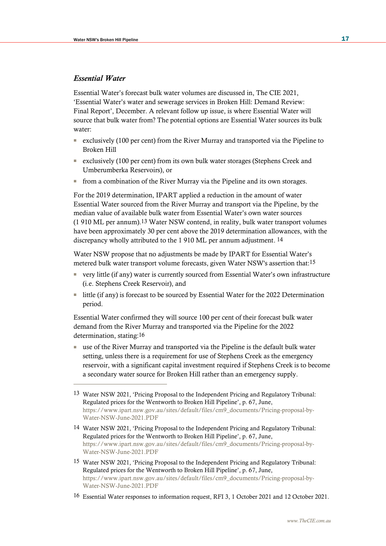## *Essential Water*

Essential Water's forecast bulk water volumes are discussed in, The CIE 2021, 'Essential Water's water and sewerage services in Broken Hill: Demand Review: Final Report', December. A relevant follow up issue, is where Essential Water will source that bulk water from? The potential options are Essential Water sources its bulk water:

- exclusively (100 per cent) from the River Murray and transported via the Pipeline to Broken Hill
- exclusively (100 per cent) from its own bulk water storages (Stephens Creek and Umberumberka Reservoirs), or
- from a combination of the River Murray via the Pipeline and its own storages.

For the 2019 determination, IPART applied a reduction in the amount of water Essential Water sourced from the River Murray and transport via the Pipeline, by the median value of available bulk water from Essential Water's own water sources (1 910 ML per annum).13 Water NSW contend, in reality, bulk water transport volumes have been approximately 30 per cent above the 2019 determination allowances, with the discrepancy wholly attributed to the 1 910 ML per annum adjustment. 14

Water NSW propose that no adjustments be made by IPART for Essential Water's metered bulk water transport volume forecasts, given Water NSW's assertion that:15

- very little (if any) water is currently sourced from Essential Water's own infrastructure (i.e. Stephens Creek Reservoir), and
- little (if any) is forecast to be sourced by Essential Water for the 2022 Determination period.

Essential Water confirmed they will source 100 per cent of their forecast bulk water demand from the River Murray and transported via the Pipeline for the 2022 determination, stating:16

■ use of the River Murray and transported via the Pipeline is the default bulk water setting, unless there is a requirement for use of Stephens Creek as the emergency reservoir, with a significant capital investment required if Stephens Creek is to become a secondary water source for Broken Hill rather than an emergency supply.

- 14 Water NSW 2021, 'Pricing Proposal to the Independent Pricing and Regulatory Tribunal: Regulated prices for the Wentworth to Broken Hill Pipeline', p. 67, June, [https://www.ipart.nsw.gov.au/sites/default/files/cm9\\_documents/Pricing-proposal-by-](https://www.ipart.nsw.gov.au/sites/default/files/cm9_documents/Pricing-proposal-by-Water-NSW-June-2021.PDF)[Water-NSW-June-2021.PDF](https://www.ipart.nsw.gov.au/sites/default/files/cm9_documents/Pricing-proposal-by-Water-NSW-June-2021.PDF)
- 15 Water NSW 2021, 'Pricing Proposal to the Independent Pricing and Regulatory Tribunal: Regulated prices for the Wentworth to Broken Hill Pipeline', p. 67, June, [https://www.ipart.nsw.gov.au/sites/default/files/cm9\\_documents/Pricing-proposal-by-](https://www.ipart.nsw.gov.au/sites/default/files/cm9_documents/Pricing-proposal-by-Water-NSW-June-2021.PDF)[Water-NSW-June-2021.PDF](https://www.ipart.nsw.gov.au/sites/default/files/cm9_documents/Pricing-proposal-by-Water-NSW-June-2021.PDF)
- 16 Essential Water responses to information request, RFI 3, 1 October 2021 and 12 October 2021.

<sup>13</sup> Water NSW 2021, 'Pricing Proposal to the Independent Pricing and Regulatory Tribunal: Regulated prices for the Wentworth to Broken Hill Pipeline', p. 67, June, [https://www.ipart.nsw.gov.au/sites/default/files/cm9\\_documents/Pricing-proposal-by-](https://www.ipart.nsw.gov.au/sites/default/files/cm9_documents/Pricing-proposal-by-Water-NSW-June-2021.PDF)[Water-NSW-June-2021.PDF](https://www.ipart.nsw.gov.au/sites/default/files/cm9_documents/Pricing-proposal-by-Water-NSW-June-2021.PDF)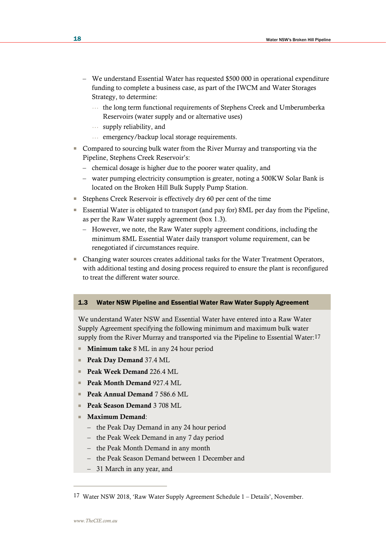- We understand Essential Water has requested \$500 000 in operational expenditure funding to complete a business case, as part of the IWCM and Water Storages Strategy, to determine:
	- … the long term functional requirements of Stephens Creek and Umberumberka Reservoirs (water supply and or alternative uses)
	- … supply reliability, and
	- … emergency/backup local storage requirements.
- Compared to sourcing bulk water from the River Murray and transporting via the Pipeline, Stephens Creek Reservoir's:
	- chemical dosage is higher due to the poorer water quality, and
	- water pumping electricity consumption is greater, noting a 500KW Solar Bank is located on the Broken Hill Bulk Supply Pump Station.
- Stephens Creek Reservoir is effectively dry 60 per cent of the time
- Essential Water is obligated to transport (and pay for) 8ML per day from the Pipeline, as per the Raw Water supply agreement (box 1.3).
	- However, we note, the Raw Water supply agreement conditions, including the minimum 8ML Essential Water daily transport volume requirement, can be renegotiated if circumstances require.
- Changing water sources creates additional tasks for the Water Treatment Operators, with additional testing and dosing process required to ensure the plant is reconfigured to treat the different water source.

### 1.3 Water NSW Pipeline and Essential Water Raw Water Supply Agreement

We understand Water NSW and Essential Water have entered into a Raw Water Supply Agreement specifying the following minimum and maximum bulk water supply from the River Murray and transported via the Pipeline to Essential Water:<sup>17</sup>

- **Minimum take** 8 ML in any 24 hour period
- Peak Day Demand 37.4 ML
- Peak Week Demand 226.4 ML
- **Peak Month Demand 927.4 ML**
- Peak Annual Demand 7 586.6 ML
- Peak Season Demand 3 708 ML
- Maximum Demand:
	- the Peak Day Demand in any 24 hour period
	- the Peak Week Demand in any 7 day period
	- the Peak Month Demand in any month
	- the Peak Season Demand between 1 December and
	- 31 March in any year, and

<sup>17</sup> Water NSW 2018, 'Raw Water Supply Agreement Schedule 1 – Details', November.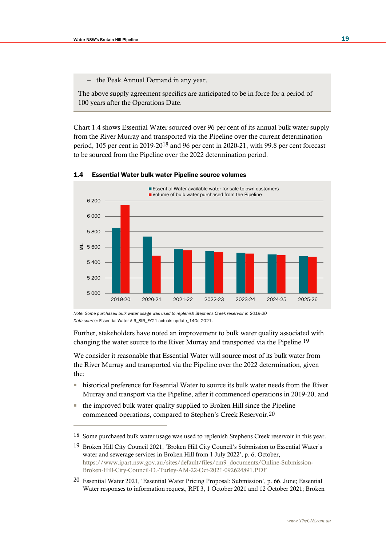the Peak Annual Demand in any year.

The above supply agreement specifics are anticipated to be in force for a period of 100 years after the Operations Date.

Chart 1.4 shows Essential Water sourced over 96 per cent of its annual bulk water supply from the River Murray and transported via the Pipeline over the current determination period, 105 per cent in 2019-2018 and 96 per cent in 2020-21, with 99.8 per cent forecast to be sourced from the Pipeline over the 2022 determination period.



#### 1.4 Essential Water bulk water Pipeline source volumes

*Note: Some purchased bulk water usage was used to replenish Stephens Creek reservoir in 2019-20 Data source:* Essential Water AIR\_SIR\_FY21 actuals update\_14Oct2021.

Further, stakeholders have noted an improvement to bulk water quality associated with changing the water source to the River Murray and transported via the Pipeline.19

We consider it reasonable that Essential Water will source most of its bulk water from the River Murray and transported via the Pipeline over the 2022 determination, given the:

- historical preference for Essential Water to source its bulk water needs from the River Murray and transport via the Pipeline, after it commenced operations in 2019-20, and
- the improved bulk water quality supplied to Broken Hill since the Pipeline commenced operations, compared to Stephen's Creek Reservoir.20

20 Essential Water 2021, 'Essential Water Pricing Proposal: Submission', p. 66, June; Essential Water responses to information request, RFI 3, 1 October 2021 and 12 October 2021; Broken

<sup>18</sup> Some purchased bulk water usage was used to replenish Stephens Creek reservoir in this year.

<sup>19</sup> Broken Hill City Council 2021, 'Broken Hill City Council's Submission to Essential Water's water and sewerage services in Broken Hill from 1 July 2022', p. 6, October, [https://www.ipart.nsw.gov.au/sites/default/files/cm9\\_documents/Online-Submission-](https://www.ipart.nsw.gov.au/sites/default/files/cm9_documents/Online-Submission-Broken-Hill-City-Council-D.-Turley-AM-22-Oct-2021-092624891.PDF)[Broken-Hill-City-Council-D.-Turley-AM-22-Oct-2021-092624891.PDF](https://www.ipart.nsw.gov.au/sites/default/files/cm9_documents/Online-Submission-Broken-Hill-City-Council-D.-Turley-AM-22-Oct-2021-092624891.PDF)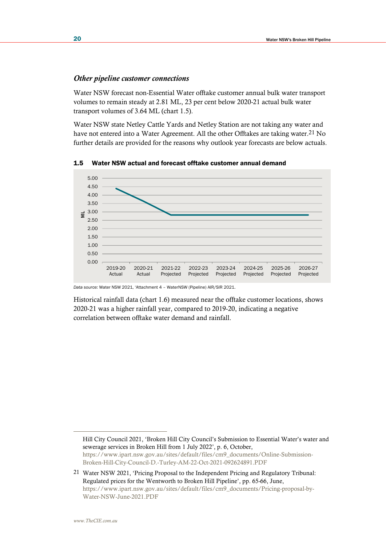#### *Other pipeline customer connections*

Water NSW forecast non-Essential Water offtake customer annual bulk water transport volumes to remain steady at 2.81 ML, 23 per cent below 2020-21 actual bulk water transport volumes of 3.64 ML (chart 1.5).

Water NSW state Netley Cattle Yards and Netley Station are not taking any water and have not entered into a Water Agreement. All the other Offtakes are taking water.<sup>21</sup> No further details are provided for the reasons why outlook year forecasts are below actuals.

1.5 Water NSW actual and forecast offtake customer annual demand



*Data source:* Water NSW 2021, 'Attachment 4 – WaterNSW (Pipeline) AIR/SIR 2021.

Historical rainfall data (chart 1.6) measured near the offtake customer locations, shows 2020-21 was a higher rainfall year, compared to 2019-20, indicating a negative correlation between offtake water demand and rainfall.

Hill City Council 2021, 'Broken Hill City Council's Submission to Essential Water's water and sewerage services in Broken Hill from 1 July 2022', p. 6, October, [https://www.ipart.nsw.gov.au/sites/default/files/cm9\\_documents/Online-Submission-](https://www.ipart.nsw.gov.au/sites/default/files/cm9_documents/Online-Submission-Broken-Hill-City-Council-D.-Turley-AM-22-Oct-2021-092624891.PDF)[Broken-Hill-City-Council-D.-Turley-AM-22-Oct-2021-092624891.PDF](https://www.ipart.nsw.gov.au/sites/default/files/cm9_documents/Online-Submission-Broken-Hill-City-Council-D.-Turley-AM-22-Oct-2021-092624891.PDF)

21 Water NSW 2021, 'Pricing Proposal to the Independent Pricing and Regulatory Tribunal: Regulated prices for the Wentworth to Broken Hill Pipeline', pp. 65-66, June, [https://www.ipart.nsw.gov.au/sites/default/files/cm9\\_documents/Pricing-proposal-by-](https://www.ipart.nsw.gov.au/sites/default/files/cm9_documents/Pricing-proposal-by-Water-NSW-June-2021.PDF)[Water-NSW-June-2021.PDF](https://www.ipart.nsw.gov.au/sites/default/files/cm9_documents/Pricing-proposal-by-Water-NSW-June-2021.PDF)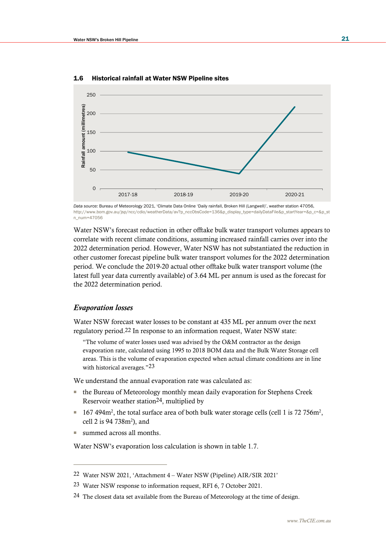

1.6 Historical rainfall at Water NSW Pipeline sites

Water NSW's forecast reduction in other offtake bulk water transport volumes appears to correlate with recent climate conditions, assuming increased rainfall carries over into the 2022 determination period. However, Water NSW has not substantiated the reduction in other customer forecast pipeline bulk water transport volumes for the 2022 determination period. We conclude the 2019-20 actual other offtake bulk water transport volume (the latest full year data currently available) of 3.64 ML per annum is used as the forecast for the 2022 determination period.

#### *Evaporation losses*

Water NSW forecast water losses to be constant at 435 ML per annum over the next regulatory period.22 In response to an information request, Water NSW state:

"The volume of water losses used was advised by the O&M contractor as the design evaporation rate, calculated using 1995 to 2018 BOM data and the Bulk Water Storage cell areas. This is the volume of evaporation expected when actual climate conditions are in line with historical averages."<sup>23</sup>

We understand the annual evaporation rate was calculated as:

- the Bureau of Meteorology monthly mean daily evaporation for Stephens Creek Reservoir weather station24, multiplied by
- $\blacksquare$  167 494m<sup>2</sup>, the total surface area of both bulk water storage cells (cell 1 is 72 756m<sup>2</sup>, cell 2 is 94 738m<sup>2</sup> ), and
- summed across all months.

Water NSW's evaporation loss calculation is shown in table 1.7.

*Data source:* Bureau of Meteorology 2021, 'Climate Data Online 'Daily rainfall, Broken Hill (Langwell)', weather station 47056, [http://www.bom.gov.au/jsp/ncc/cdio/weatherData/av?p\\_nccObsCode=136&p\\_display\\_type=dailyDataFile&p\\_startYear=&p\\_c=&p\\_st](http://www.bom.gov.au/jsp/ncc/cdio/weatherData/av?p_nccObsCode=136&p_display_type=dailyDataFile&p_startYear=&p_c=&p_stn_num=47056) [n\\_num=47056](http://www.bom.gov.au/jsp/ncc/cdio/weatherData/av?p_nccObsCode=136&p_display_type=dailyDataFile&p_startYear=&p_c=&p_stn_num=47056)

<sup>22</sup> Water NSW 2021, 'Attachment 4 – Water NSW (Pipeline) AIR/SIR 2021'

<sup>23</sup> Water NSW response to information request, RFI 6, 7 October 2021.

<sup>&</sup>lt;sup>24</sup> The closest data set available from the Bureau of Meteorology at the time of design.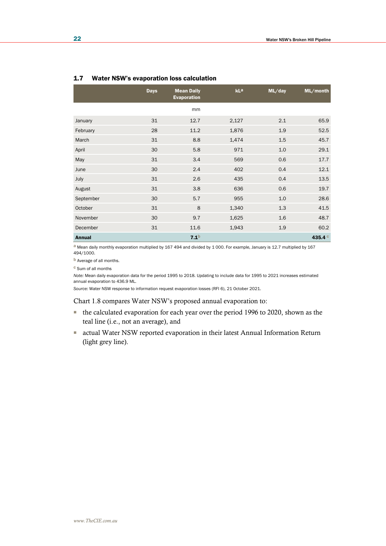|               | <b>Days</b> | <b>Mean Daily</b><br><b>Evaporation</b> | kLa   | ML/day | ML/month  |
|---------------|-------------|-----------------------------------------|-------|--------|-----------|
|               |             | mm                                      |       |        |           |
| January       | 31          | 12.7                                    | 2,127 | 2.1    | 65.9      |
| February      | 28          | 11.2                                    | 1,876 | 1.9    | 52.5      |
| March         | 31          | 8.8                                     | 1,474 | 1.5    | 45.7      |
| April         | 30          | 5.8                                     | 971   | 1.0    | 29.1      |
| May           | 31          | 3.4                                     | 569   | 0.6    | 17.7      |
| June          | 30          | 2.4                                     | 402   | 0.4    | 12.1      |
| July          | 31          | 2.6                                     | 435   | 0.4    | 13.5      |
| August        | 31          | 3.8                                     | 636   | 0.6    | 19.7      |
| September     | 30          | 5.7                                     | 955   | 1.0    | 28.6      |
| October       | 31          | 8                                       | 1,340 | 1.3    | 41.5      |
| November      | 30          | 9.7                                     | 1,625 | 1.6    | 48.7      |
| December      | 31          | 11.6                                    | 1,943 | 1.9    | 60.2      |
| <b>Annual</b> |             | 7.1 <sup>b</sup>                        |       |        | 435.4 $C$ |

#### 1.7 Water NSW's evaporation loss calculation

a Mean daily monthly evaporation multiplied by 167 494 and divided by 1 000. For example, January is 12.7 multiplied by 167 494/1000.

b Average of all months.

c Sum of all months

*Note:* Mean daily evaporation data for the period 1995 to 2018. Updating to include data for 1995 to 2021 increases estimated annual evaporation to 436.9 ML.

*Source:* Water NSW response to information request evaporation losses (RFI 6), 21 October 2021.

Chart 1.8 compares Water NSW's proposed annual evaporation to:

- the calculated evaporation for each year over the period 1996 to 2020, shown as the teal line (i.e., not an average), and
- actual Water NSW reported evaporation in their latest Annual Information Return (light grey line).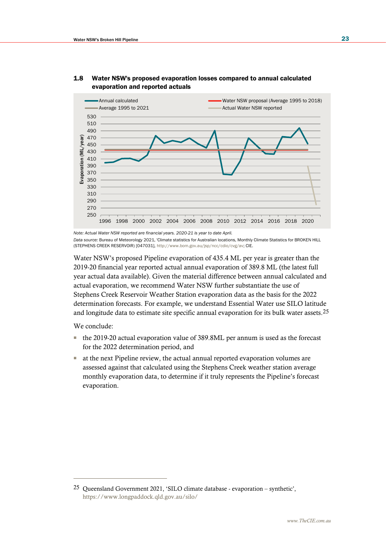

## 1.8 Water NSW's proposed evaporation losses compared to annual calculated evaporation and reported actuals

*Note: Actual Water NSW reported are financial years. 2020-21 is year to date April.* 

*Data source:* Bureau of Meteorology 2021, 'Climate statistics for Australian locations, Monthly Climate Statistics for BROKEN HILL (STEPHENS CREEK RESERVOIR) [047031], [http://www.bom.gov.au/jsp/ncc/cdio/cvg/av;](http://www.bom.gov.au/jsp/ncc/cdio/cvg/av) CIE.

Water NSW's proposed Pipeline evaporation of 435.4 ML per year is greater than the 2019-20 financial year reported actual annual evaporation of 389.8 ML (the latest full year actual data available). Given the material difference between annual calculated and actual evaporation, we recommend Water NSW further substantiate the use of Stephens Creek Reservoir Weather Station evaporation data as the basis for the 2022 determination forecasts. For example, we understand Essential Water use SILO latitude and longitude data to estimate site specific annual evaporation for its bulk water assets.25

We conclude:

- the 2019-20 actual evaporation value of 389.8ML per annum is used as the forecast for the 2022 determination period, and
- at the next Pipeline review, the actual annual reported evaporation volumes are assessed against that calculated using the Stephens Creek weather station average monthly evaporation data, to determine if it truly represents the Pipeline's forecast evaporation.

<sup>25</sup> Queensland Government 2021, 'SILO climate database - evaporation – synthetic', <https://www.longpaddock.qld.gov.au/silo/>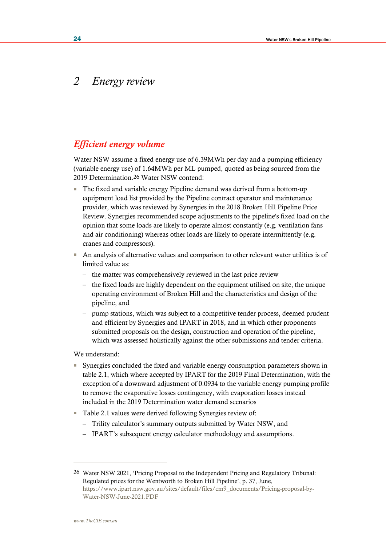## *2 Energy review*

## *Efficient energy volume*

Water NSW assume a fixed energy use of 6.39MWh per day and a pumping efficiency (variable energy use) of 1.64MWh per ML pumped, quoted as being sourced from the 2019 Determination.26 Water NSW contend:

- The fixed and variable energy Pipeline demand was derived from a bottom-up equipment load list provided by the Pipeline contract operator and maintenance provider, which was reviewed by Synergies in the 2018 Broken Hill Pipeline Price Review. Synergies recommended scope adjustments to the pipeline's fixed load on the opinion that some loads are likely to operate almost constantly (e.g. ventilation fans and air conditioning) whereas other loads are likely to operate intermittently (e.g. cranes and compressors).
- An analysis of alternative values and comparison to other relevant water utilities is of limited value as:
	- the matter was comprehensively reviewed in the last price review
	- the fixed loads are highly dependent on the equipment utilised on site, the unique operating environment of Broken Hill and the characteristics and design of the pipeline, and
	- pump stations, which was subject to a competitive tender process, deemed prudent and efficient by Synergies and IPART in 2018, and in which other proponents submitted proposals on the design, construction and operation of the pipeline, which was assessed holistically against the other submissions and tender criteria.

We understand:

- Synergies concluded the fixed and variable energy consumption parameters shown in table 2.1, which where accepted by IPART for the 2019 Final Determination, with the exception of a downward adjustment of 0.0934 to the variable energy pumping profile to remove the evaporative losses contingency, with evaporation losses instead included in the 2019 Determination water demand scenarios
- Table 2.1 values were derived following Synergies review of:
	- Trility calculator's summary outputs submitted by Water NSW, and
	- IPART's subsequent energy calculator methodology and assumptions.

<sup>26</sup> Water NSW 2021, 'Pricing Proposal to the Independent Pricing and Regulatory Tribunal: Regulated prices for the Wentworth to Broken Hill Pipeline', p. 37, June, [https://www.ipart.nsw.gov.au/sites/default/files/cm9\\_documents/Pricing-proposal-by-](https://www.ipart.nsw.gov.au/sites/default/files/cm9_documents/Pricing-proposal-by-Water-NSW-June-2021.PDF)[Water-NSW-June-2021.PDF](https://www.ipart.nsw.gov.au/sites/default/files/cm9_documents/Pricing-proposal-by-Water-NSW-June-2021.PDF)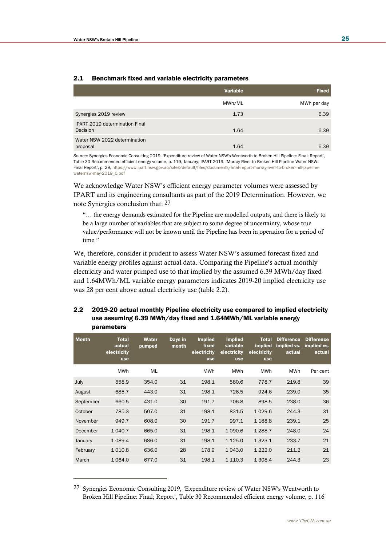|                                                   | Variable | <b>Fixed</b> |
|---------------------------------------------------|----------|--------------|
|                                                   | MWh/ML   | MWh per day  |
| Synergies 2019 review                             | 1.73     | 6.39         |
| <b>IPART 2019 determination Final</b><br>Decision | 1.64     | 6.39         |
| Water NSW 2022 determination<br>proposal          | 1.64     | 6.39         |

### 2.1 Benchmark fixed and variable electricity parameters

*Source:* Synergies Economic Consulting 2019, 'Expenditure review of Water NSW's Wentworth to Broken Hill Pipeline: Final; Report', Table 30 Recommended efficient energy volume, p. 119, January; IPART 2019, 'Murray River to Broken Hill Pipeline Water NSW: Final Report', p. 29, [https://www.ipart.nsw.gov.au/sites/default/files/documents/final-report-murray-river-to-broken-hill-pipeline](https://www.ipart.nsw.gov.au/sites/default/files/documents/final-report-murray-river-to-broken-hill-pipeline-waternsw-may-2019_0.pdf)[waternsw-may-2019\\_0.pdf](https://www.ipart.nsw.gov.au/sites/default/files/documents/final-report-murray-river-to-broken-hill-pipeline-waternsw-may-2019_0.pdf)

We acknowledge Water NSW's efficient energy parameter volumes were assessed by IPART and its engineering consultants as part of the 2019 Determination. However, we note Synergies conclusion that: 27

"… the energy demands estimated for the Pipeline are modelled outputs, and there is likely to be a large number of variables that are subject to some degree of uncertainty, whose true value/performance will not be known until the Pipeline has been in operation for a period of time."

We, therefore, consider it prudent to assess Water NSW's assumed forecast fixed and variable energy profiles against actual data. Comparing the Pipeline's actual monthly electricity and water pumped use to that implied by the assumed 6.39 MWh/day fixed and 1.64MWh/ML variable energy parameters indicates 2019-20 implied electricity use was 28 per cent above actual electricity use (table 2.2).

## 2.2 2019-20 actual monthly Pipeline electricity use compared to implied electricity use assuming 6.39 MWh/day fixed and 1.64MWh/ML variable energy parameters

| <b>Month</b> | <b>Total</b><br>actual<br>electricity<br><b>use</b> | Water<br>pumped | Days in<br>month | <b>Implied</b><br>fixed<br>electricity<br><b>use</b> | <b>Implied</b><br>variable<br>electricity<br><b>use</b> | <b>Total</b><br><i>implied</i><br>electricity<br><b>use</b> | <b>Difference</b><br>implied vs.<br>actual | <b>Difference</b><br>implied vs.<br>actual |
|--------------|-----------------------------------------------------|-----------------|------------------|------------------------------------------------------|---------------------------------------------------------|-------------------------------------------------------------|--------------------------------------------|--------------------------------------------|
|              | <b>MWh</b>                                          | ML              |                  | <b>MWh</b>                                           | <b>MWh</b>                                              | <b>MWh</b>                                                  | <b>MWh</b>                                 | Per cent                                   |
| July         | 558.9                                               | 354.0           | 31               | 198.1                                                | 580.6                                                   | 778.7                                                       | 219.8                                      | 39                                         |
| August       | 685.7                                               | 443.0           | 31               | 198.1                                                | 726.5                                                   | 924.6                                                       | 239.0                                      | 35                                         |
| September    | 660.5                                               | 431.0           | 30               | 191.7                                                | 706.8                                                   | 898.5                                                       | 238.0                                      | 36                                         |
| October      | 785.3                                               | 507.0           | 31               | 198.1                                                | 831.5                                                   | 1029.6                                                      | 244.3                                      | 31                                         |
| November     | 949.7                                               | 608.0           | 30               | 191.7                                                | 997.1                                                   | 1 1 88.8                                                    | 239.1                                      | 25                                         |
| December     | 1 0 4 0.7                                           | 665.0           | 31               | 198.1                                                | 1 0 9 0.6                                               | 1 2 8 8.7                                                   | 248.0                                      | 24                                         |
| January      | 1089.4                                              | 686.0           | 31               | 198.1                                                | 1 1 2 5 . 0                                             | 1 3 2 3 . 1                                                 | 233.7                                      | 21                                         |
| February     | 1010.8                                              | 636.0           | 28               | 178.9                                                | 1 0 4 3 .0                                              | 1 2 2 2 .0                                                  | 211.2                                      | 21                                         |
| March        | 1 0 64.0                                            | 677.0           | 31               | 198.1                                                | 1 1 1 0 . 3                                             | 1 308.4                                                     | 244.3                                      | 23                                         |

<sup>27</sup> Synergies Economic Consulting 2019, 'Expenditure review of Water NSW's Wentworth to Broken Hill Pipeline: Final; Report', Table 30 Recommended efficient energy volume, p. 116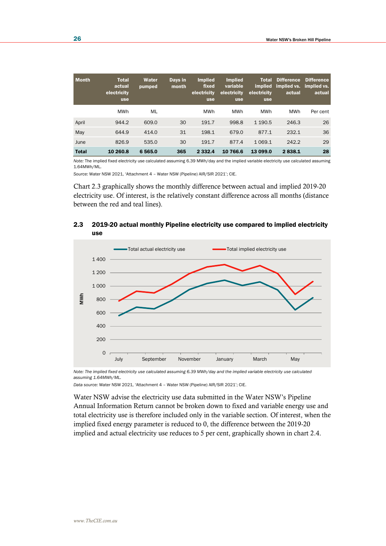| <b>Month</b> | <b>Total</b><br>actual<br>electricity<br><b>use</b> | Water<br>pumped | Days in<br>month | <b>Implied</b><br>fixed<br>electricity<br><b>use</b> | <b>Implied</b><br>variable<br>electricity<br><b>use</b> | <b>Total</b><br><i>implied</i><br>electricity<br><b>use</b> | <b>Difference</b><br>implied vs. implied vs.<br>actual | <b>Difference</b><br>actual |
|--------------|-----------------------------------------------------|-----------------|------------------|------------------------------------------------------|---------------------------------------------------------|-------------------------------------------------------------|--------------------------------------------------------|-----------------------------|
|              | MWh                                                 | ML              |                  | MWh                                                  | <b>MWh</b>                                              | MWh                                                         | MWh                                                    | Per cent                    |
| April        | 944.2                                               | 609.0           | 30               | 191.7                                                | 998.8                                                   | 1 1 9 0.5                                                   | 246.3                                                  | 26                          |
| May          | 644.9                                               | 414.0           | 31               | 198.1                                                | 679.0                                                   | 877.1                                                       | 232.1                                                  | 36                          |
| June         | 826.9                                               | 535.0           | 30               | 191.7                                                | 877.4                                                   | 1 0 6 9 . 1                                                 | 242.2                                                  | 29                          |
| <b>Total</b> | 10 260.8                                            | 6 5 6 5 .0      | 365              | 2 3 3 2 . 4                                          | 10 766.6                                                | 13 099.0                                                    | 2838.1                                                 | 28                          |

*Note:* The implied fixed electricity use calculated assuming 6.39 MWh/day and the implied variable electricity use calculated assuming 1.64MWh/ML.

*Source:* Water NSW 2021, 'Attachment 4 – Water NSW (Pipeline) AIR/SIR 2021'; CIE.

Chart 2.3 graphically shows the monthly difference between actual and implied 2019-20 electricity use. Of interest, is the relatively constant difference across all months (distance between the red and teal lines).

## 2.3 2019-20 actual monthly Pipeline electricity use compared to implied electricity use



*Note: The implied fixed electricity use calculated assuming 6.39 MWh/day and the implied variable electricity use calculated assuming 1.64MWh/ML.*

*Data source:* Water NSW 2021, 'Attachment 4 – Water NSW (Pipeline) AIR/SIR 2021'; CIE.

Water NSW advise the electricity use data submitted in the Water NSW's Pipeline Annual Information Return cannot be broken down to fixed and variable energy use and total electricity use is therefore included only in the variable section. Of interest, when the implied fixed energy parameter is reduced to 0, the difference between the 2019-20 implied and actual electricity use reduces to 5 per cent, graphically shown in chart 2.4.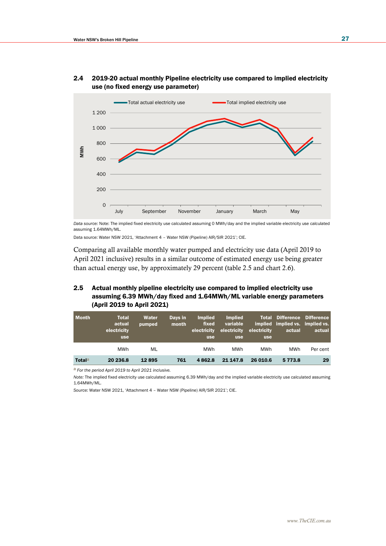

## 2.4 2019-20 actual monthly Pipeline electricity use compared to implied electricity use (no fixed energy use parameter)

*Data source:* Note: The implied fixed electricity use calculated assuming 0 MWh/day and the implied variable electricity use calculated assuming 1.64MWh/ML.

Data source: Water NSW 2021, 'Attachment 4 – Water NSW (Pipeline) AIR/SIR 2021'; CIE.

Comparing all available monthly water pumped and electricity use data (April 2019 to April 2021 inclusive) results in a similar outcome of estimated energy use being greater than actual energy use, by approximately 29 percent (table 2.5 and chart 2.6).

## 2.5 Actual monthly pipeline electricity use compared to implied electricity use assuming 6.39 MWh/day fixed and 1.64MWh/ML variable energy parameters (April 2019 to April 2021)

| <b>Month</b>  | <b>Total</b><br>actual<br>electricity<br><b>use</b> | Water<br>pumped | Days in<br>month | <b>Implied</b><br>fixed<br>electricity<br><b>use</b> | <b>Implied</b><br>variable<br>electricity<br><b>use</b> | electricity<br><b>use</b> | <b>Total Difference Difference</b><br>implied implied vs. implied vs.<br>actual | actual   |
|---------------|-----------------------------------------------------|-----------------|------------------|------------------------------------------------------|---------------------------------------------------------|---------------------------|---------------------------------------------------------------------------------|----------|
|               | MWh                                                 | ML              |                  | MWh                                                  | <b>MWh</b>                                              | <b>MWh</b>                | <b>MWh</b>                                                                      | Per cent |
| <b>Totala</b> | 20 236.8                                            | 12895           | 761              | 4862.8                                               | 21 147.8                                                | 26 010.6                  | 5 7 7 3.8                                                                       | 29       |

a *For the period April 2019 to April 2021 inclusive.*

*Note:* The implied fixed electricity use calculated assuming 6.39 MWh/day and the implied variable electricity use calculated assuming 1.64MWh/ML.

*Source:* Water NSW 2021, 'Attachment 4 – Water NSW (Pipeline) AIR/SIR 2021'; CIE.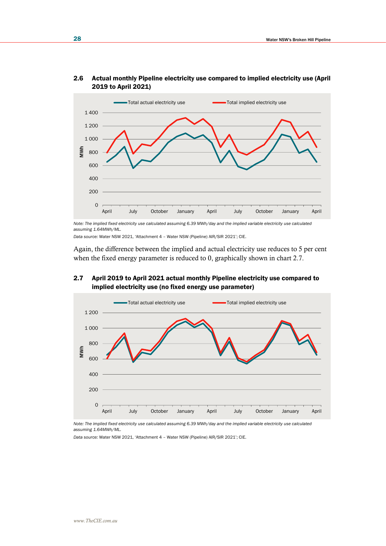

### 2.6 Actual monthly Pipeline electricity use compared to implied electricity use (April 2019 to April 2021)

*Note: The implied fixed electricity use calculated assuming 6.39 MWh/day and the implied variable electricity use calculated assuming 1.64MWh/ML.*

*Data source:* Water NSW 2021, 'Attachment 4 – Water NSW (Pipeline) AIR/SIR 2021'; CIE.

Again, the difference between the implied and actual electricity use reduces to 5 per cent when the fixed energy parameter is reduced to 0, graphically shown in chart 2.7.



## 2.7 April 2019 to April 2021 actual monthly Pipeline electricity use compared to implied electricity use (no fixed energy use parameter)

*Note: The implied fixed electricity use calculated assuming 6.39 MWh/day and the implied variable electricity use calculated assuming 1.64MWh/ML.*

*Data source:* Water NSW 2021, 'Attachment 4 – Water NSW (Pipeline) AIR/SIR 2021'; CIE.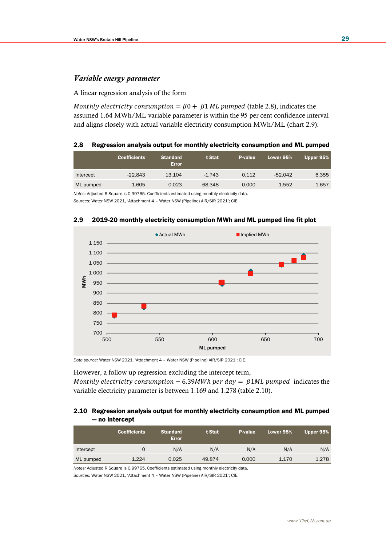### *Variable energy parameter*

#### A linear regression analysis of the form

Monthly electricity consumption =  $\beta$ 0 +  $\beta$ 1 ML pumped (table 2.8), indicates the assumed 1.64 MWh/ML variable parameter is within the 95 per cent confidence interval and aligns closely with actual variable electricity consumption MWh/ML (chart 2.9).

#### 2.8 Regression analysis output for monthly electricity consumption and ML pumped

|           | <b>Coefficients</b> | <b>Standard</b><br><b>Error</b> | t Stat   | <b>P-value</b> | Lower 95% | Upper 95% |
|-----------|---------------------|---------------------------------|----------|----------------|-----------|-----------|
| Intercept | $-22.843$           | 13.104                          | $-1.743$ | 0.112          | $-52.042$ | 6.355     |
| ML pumped | 1.605               | 0.023                           | 68.348   | 0.000          | 1.552     | 1.657     |

*Notes:* Adjusted R Square is 0.99765. Coefficients estimated using monthly electricity data. *Sources:* Water NSW 2021, 'Attachment 4 – Water NSW (Pipeline) AIR/SIR 2021'; CIE.



### 2.9 2019-20 monthly electricity consumption MWh and ML pumped line fit plot

*Data source:* Water NSW 2021, 'Attachment 4 – Water NSW (Pipeline) AIR/SIR 2021'; CIE.

However, a follow up regression excluding the intercept term,

Monthly electricity consumption  $-6.39MWh$  per day =  $\beta$ 1ML pumped indicates the variable electricity parameter is between 1.169 and 1.278 (table 2.10).

### 2.10 Regression analysis output for monthly electricity consumption and ML pumped — no intercept

|           | <b>Coefficients</b> | <b>Standard</b><br><b>Error</b> | t Stat | P-value | Lower 95% | Upper 95% |
|-----------|---------------------|---------------------------------|--------|---------|-----------|-----------|
| Intercept |                     | N/A                             | N/A    | N/A     | N/A       | N/A       |
| ML pumped | 1.224               | 0.025                           | 49.874 | 0.000   | 1.170     | 1.278     |

*Notes:* Adjusted R Square is 0.99765. Coefficients estimated using monthly electricity data.

*Sources:* Water NSW 2021, 'Attachment 4 – Water NSW (Pipeline) AIR/SIR 2021'; CIE.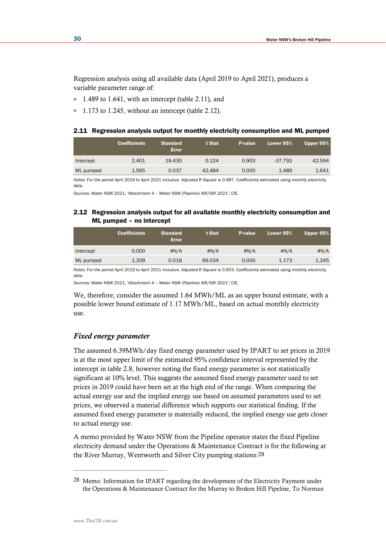Regression analysis using all available data (April 2019 to April 2021), produces a variable parameter range of:

- 1.489 to 1.641, with an intercept (table 2.11), and
- 1.173 to 1.245, without an intercept (table 2.12).

|  |  |  |  |  |  | 2.11 Regression analysis output for monthly electricity consumption and ML pumped |  |  |
|--|--|--|--|--|--|-----------------------------------------------------------------------------------|--|--|
|--|--|--|--|--|--|-----------------------------------------------------------------------------------|--|--|

|           | <b>Coefficients</b> | <b>Standard</b><br><b>Error</b> | t Stat | <b>P-value</b> | Lower $95\%$ | Upper $95%$ |
|-----------|---------------------|---------------------------------|--------|----------------|--------------|-------------|
| Intercept | 2.401               | 19.430                          | 0.124  | 0.903          | $-37.792$    | 42.594      |
| ML pumped | 1.565               | 0.037                           | 42.484 | 0.000          | 1.489        | 1.641       |

*Notes:* For the period April 2019 to April 2021 inclusive. Adjusted R Square is 0.987. Coefficients estimated using monthly electricity data.

*Sources:* Water NSW 2021, 'Attachment 4 – Water NSW (Pipeline) AIR/SIR 2021'; CIE.

## 2.12 Regression analysis output for all available monthly electricity consumption and ML pumped – no intercept

|           | <b>Coefficients</b> | <b>Standard</b><br><b>Error</b> | t Stat | P-value | Lower 95% | Upper 95% |
|-----------|---------------------|---------------------------------|--------|---------|-----------|-----------|
| Intercept | 0.000               | #N/A                            | #N/A   | #N/A    | #N/A      | #N/A      |
| ML pumped | 1.209               | 0.018                           | 69.034 | 0.000   | 1.173     | 1.245     |

*Notes:* For the period April 2019 to April 2021 inclusive. Adjusted R Square is 0.953. Coefficients estimated using monthly electricity data.

*Sources:* Water NSW 2021, 'Attachment 4 – Water NSW (Pipeline) AIR/SIR 2021'; CIE.

We, therefore, consider the assumed 1.64 MWh/ML as an upper bound estimate, with a possible lower bound estimate of 1.17 MWh/ML, based on actual monthly electricity use.

### *Fixed energy parameter*

The assumed 6.39MWh/day fixed energy parameter used by IPART to set prices in 2019 is at the most upper limit of the estimated 95% confidence interval represented by the intercept in table 2.8, however noting the fixed energy parameter is not statistically significant at 10% level. This suggests the assumed fixed energy parameter used to set prices in 2019 could have been set at the high end of the range. When comparing the actual energy use and the implied energy use based on assumed parameters used to set prices, we observed a material difference which supports our statistical finding. If the assumed fixed energy parameter is materially reduced, the implied energy use gets closer to actual energy use.

A memo provided by Water NSW from the Pipeline operator states the fixed Pipeline electricity demand under the Operations & Maintenance Contract is for the following at the River Murray, Wentworth and Silver City pumping stations:28

<sup>28</sup> Memo: Information for IPART regarding the development of the Electricity Payment under the Operations & Maintenance Contract for the Murray to Broken Hill Pipeline, To Norman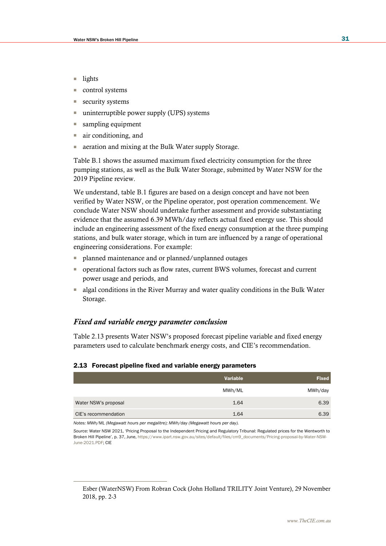- lights
- control systems
- security systems
- uninterruptible power supply (UPS) systems
- sampling equipment
- air conditioning, and
- aeration and mixing at the Bulk Water supply Storage.

Table B.1 shows the assumed maximum fixed electricity consumption for the three pumping stations, as well as the Bulk Water Storage, submitted by Water NSW for the 2019 Pipeline review.

We understand, table B.1 figures are based on a design concept and have not been verified by Water NSW, or the Pipeline operator, post operation commencement. We conclude Water NSW should undertake further assessment and provide substantiating evidence that the assumed 6.39 MWh/day reflects actual fixed energy use. This should include an engineering assessment of the fixed energy consumption at the three pumping stations, and bulk water storage, which in turn are influenced by a range of operational engineering considerations. For example:

- planned maintenance and or planned/unplanned outages
- operational factors such as flow rates, current BWS volumes, forecast and current power usage and periods, and
- algal conditions in the River Murray and water quality conditions in the Bulk Water Storage.

### *Fixed and variable energy parameter conclusion*

Table 2.13 presents Water NSW's proposed forecast pipeline variable and fixed energy parameters used to calculate benchmark energy costs, and CIE's recommendation.

#### 2.13 Forecast pipeline fixed and variable energy parameters

|                      | Variable | <b>Fixed</b> |
|----------------------|----------|--------------|
|                      | MWh/ML   | MWh/day      |
| Water NSW's proposal | 1.64     | 6.39         |
| CIE's recommendation | 1.64     | 6.39         |

*Notes: MWh/ML (Megawatt hours per megalitre); MWh/day (Megawatt hours per day).* 

*Source:* Water NSW 2021, 'Pricing Proposal to the Independent Pricing and Regulatory Tribunal: Regulated prices for the Wentworth to Broken Hill Pipeline', p. 37, June[, https://www.ipart.nsw.gov.au/sites/default/files/cm9\\_documents/Pricing-proposal-by-Water-NSW-](https://www.ipart.nsw.gov.au/sites/default/files/cm9_documents/Pricing-proposal-by-Water-NSW-June-2021.PDF)[June-2021.PDF;](https://www.ipart.nsw.gov.au/sites/default/files/cm9_documents/Pricing-proposal-by-Water-NSW-June-2021.PDF) CIE

Esber (WaterNSW) From Robran Cock (John Holland TRILITY Joint Venture), 29 November 2018, pp. 2-3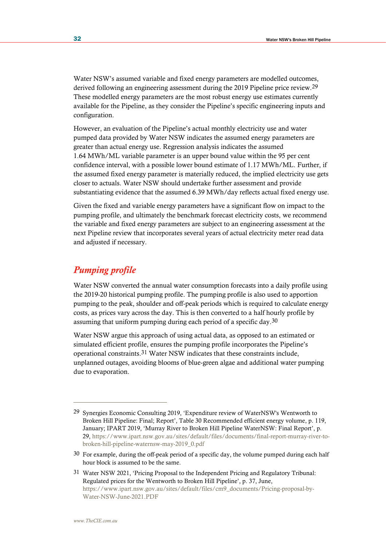Water NSW's assumed variable and fixed energy parameters are modelled outcomes, derived following an engineering assessment during the 2019 Pipeline price review.29 These modelled energy parameters are the most robust energy use estimates currently available for the Pipeline, as they consider the Pipeline's specific engineering inputs and configuration.

However, an evaluation of the Pipeline's actual monthly electricity use and water pumped data provided by Water NSW indicates the assumed energy parameters are greater than actual energy use. Regression analysis indicates the assumed 1.64 MWh/ML variable parameter is an upper bound value within the 95 per cent confidence interval, with a possible lower bound estimate of 1.17 MWh/ML. Further, if the assumed fixed energy parameter is materially reduced, the implied electricity use gets closer to actuals. Water NSW should undertake further assessment and provide substantiating evidence that the assumed 6.39 MWh/day reflects actual fixed energy use.

Given the fixed and variable energy parameters have a significant flow on impact to the pumping profile, and ultimately the benchmark forecast electricity costs, we recommend the variable and fixed energy parameters are subject to an engineering assessment at the next Pipeline review that incorporates several years of actual electricity meter read data and adjusted if necessary.

## *Pumping profile*

Water NSW converted the annual water consumption forecasts into a daily profile using the 2019-20 historical pumping profile. The pumping profile is also used to apportion pumping to the peak, shoulder and off-peak periods which is required to calculate energy costs, as prices vary across the day. This is then converted to a half hourly profile by assuming that uniform pumping during each period of a specific day.30

Water NSW argue this approach of using actual data, as opposed to an estimated or simulated efficient profile, ensures the pumping profile incorporates the Pipeline's operational constraints.31 Water NSW indicates that these constraints include, unplanned outages, avoiding blooms of blue-green algae and additional water pumping due to evaporation.

<sup>29</sup> Synergies Economic Consulting 2019, 'Expenditure review of WaterNSW's Wentworth to Broken Hill Pipeline: Final; Report', Table 30 Recommended efficient energy volume, p. 119, January; IPART 2019, 'Murray River to Broken Hill Pipeline WaterNSW: Final Report', p. 29, [https://www.ipart.nsw.gov.au/sites/default/files/documents/final-report-murray-river-to](https://www.ipart.nsw.gov.au/sites/default/files/documents/final-report-murray-river-to-broken-hill-pipeline-waternsw-may-2019_0.pdf)[broken-hill-pipeline-waternsw-may-2019\\_0.pdf](https://www.ipart.nsw.gov.au/sites/default/files/documents/final-report-murray-river-to-broken-hill-pipeline-waternsw-may-2019_0.pdf) 

<sup>30</sup> For example, during the off-peak period of a specific day, the volume pumped during each half hour block is assumed to be the same.

<sup>31</sup> Water NSW 2021, 'Pricing Proposal to the Independent Pricing and Regulatory Tribunal: Regulated prices for the Wentworth to Broken Hill Pipeline', p. 37, June, [https://www.ipart.nsw.gov.au/sites/default/files/cm9\\_documents/Pricing-proposal-by-](https://www.ipart.nsw.gov.au/sites/default/files/cm9_documents/Pricing-proposal-by-Water-NSW-June-2021.PDF)[Water-NSW-June-2021.PDF](https://www.ipart.nsw.gov.au/sites/default/files/cm9_documents/Pricing-proposal-by-Water-NSW-June-2021.PDF)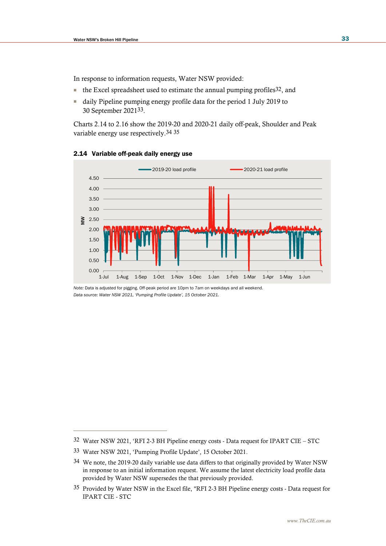In response to information requests, Water NSW provided:

- the Excel spreadsheet used to estimate the annual pumping profiles 32, and
- daily Pipeline pumping energy profile data for the period 1 July 2019 to 30 September 202133.

Charts 2.14 to 2.16 show the 2019-20 and 2020-21 daily off-peak, Shoulder and Peak variable energy use respectively.34 35



## 2.14 Variable off-peak daily energy use

*Note:* Data is adjusted for pigging. Off-peak period are 10pm to 7am on weekdays and all weekend. *Data source: Water NSW 2021, 'Pumping Profile Update', 15 October 2021.*

<sup>32</sup> Water NSW 2021, 'RFI 2-3 BH Pipeline energy costs - Data request for IPART CIE – STC

<sup>33</sup> Water NSW 2021, 'Pumping Profile Update', 15 October 2021.

<sup>34</sup> We note, the 2019-20 daily variable use data differs to that originally provided by Water NSW in response to an initial information request. We assume the latest electricity load profile data provided by Water NSW supersedes the that previously provided.

<sup>35</sup> Provided by Water NSW in the Excel file, "RFI 2-3 BH Pipeline energy costs - Data request for IPART CIE - STC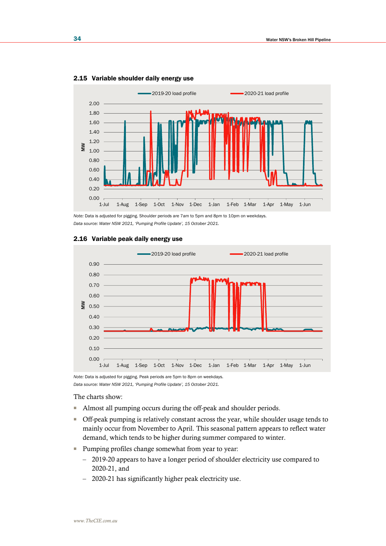

2.15 Variable shoulder daily energy use

*Note:* Data is adjusted for pigging. Shoulder periods are 7am to 5pm and 8pm to 10pm on weekdays. *Data source: Water NSW 2021, 'Pumping Profile Update', 15 October 2021.*



#### 2.16 Variable peak daily energy use

*Note:* Data is adjusted for pigging. Peak periods are 5pm to 8pm on weekdays. *Data source: Water NSW 2021, 'Pumping Profile Update', 15 October 2021.*

The charts show:

- Almost all pumping occurs during the off-peak and shoulder periods.
- Off-peak pumping is relatively constant across the year, while shoulder usage tends to mainly occur from November to April. This seasonal pattern appears to reflect water demand, which tends to be higher during summer compared to winter.
- Pumping profiles change somewhat from year to year:
	- 2019-20 appears to have a longer period of shoulder electricity use compared to 2020-21, and
	- 2020-21 has significantly higher peak electricity use.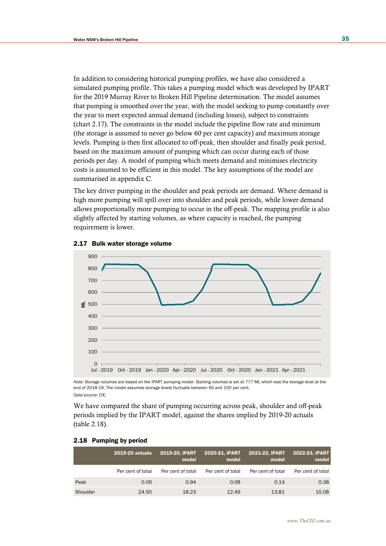In addition to considering historical pumping profiles, we have also considered a simulated pumping profile. This takes a pumping model which was developed by IPART for the 2019 Murray River to Broken Hill Pipeline determination. The model assumes that pumping is smoothed over the year, with the model seeking to pump constantly over the year to meet expected annual demand (including losses), subject to constraints (chart 2.17). The constraints in the model include the pipeline flow rate and minimum (the storage is assumed to never go below 60 per cent capacity) and maximum storage levels. Pumping is then first allocated to off-peak, then shoulder and finally peak period, based on the maximum amount of pumping which can occur during each of those periods per day. A model of pumping which meets demand and minimises electricity costs is assumed to be efficient in this model. The key assumptions of the model are summarised in appendix C.

The key driver pumping in the shoulder and peak periods are demand. Where demand is high more pumping will spill over into shoulder and peak periods, while lower demand allows proportionally more pumping to occur in the off-peak. The mapping profile is also slightly affected by starting volumes, as where capacity is reached, the pumping requirement is lower.



#### 2.17 Bulk water storage volume

*Note:* Storage volumes are based on the IPART pumping model. Starting volumes is set at 777 ML which was the storage level at the end of 2018-19. The model assumes storage levels fluctuate between 60 and 100 per cent. *Data source:* CIE.

We have compared the share of pumping occurring across peak, shoulder and off-peak periods implied by the IPART model, against the shares implied by 2019-20 actuals (table 2.18).

|          | <b>2019-20 actuals</b> | 2019-20, IPART<br>model | 2020-21, IPART<br>model | 2021-22, IPART<br>model | 2022-23, IPART<br>model |
|----------|------------------------|-------------------------|-------------------------|-------------------------|-------------------------|
|          | Per cent of total      | Per cent of total       | Per cent of total       | Per cent of total       | Per cent of total       |
| Peak     | 0.09                   | 0.94                    | 0.08                    | 0.14                    | 0.38                    |
| Shoulder | 24.50                  | 18.23                   | 12.49                   | 13.81                   | 15.08                   |

#### 2.18 Pumping by period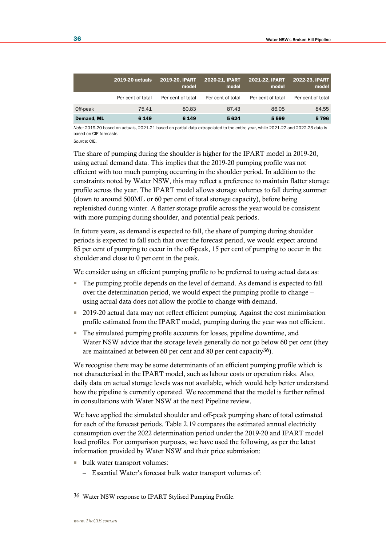|            | <b>2019-20 actuals</b> | 2019-20, IPART<br>model | 2020-21, IPART<br>model | <b>2021-22, IPART</b><br>model | 2022-23, IPART<br>model |
|------------|------------------------|-------------------------|-------------------------|--------------------------------|-------------------------|
|            | Per cent of total      | Per cent of total       | Per cent of total       | Per cent of total              | Per cent of total       |
| Off-peak   | 75.41                  | 80.83                   | 87.43                   | 86.05                          | 84.55                   |
| Demand, ML | 6 1 4 9                | 6 1 4 9                 | 5624                    | 5 5 9 9                        | 5796                    |

*Note:* 2019-20 based on actuals, 2021-21 based on partial data extrapolated to the entire year, while 2021-22 and 2022-23 data is based on CIE forecasts.

*Source:* CIE.

The share of pumping during the shoulder is higher for the IPART model in 2019-20, using actual demand data. This implies that the 2019-20 pumping profile was not efficient with too much pumping occurring in the shoulder period. In addition to the constraints noted by Water NSW, this may reflect a preference to maintain flatter storage profile across the year. The IPART model allows storage volumes to fall during summer (down to around 500ML or 60 per cent of total storage capacity), before being replenished during winter. A flatter storage profile across the year would be consistent with more pumping during shoulder, and potential peak periods.

In future years, as demand is expected to fall, the share of pumping during shoulder periods is expected to fall such that over the forecast period, we would expect around 85 per cent of pumping to occur in the off-peak, 15 per cent of pumping to occur in the shoulder and close to 0 per cent in the peak.

We consider using an efficient pumping profile to be preferred to using actual data as:

- The pumping profile depends on the level of demand. As demand is expected to fall over the determination period, we would expect the pumping profile to change – using actual data does not allow the profile to change with demand.
- 2019-20 actual data may not reflect efficient pumping. Against the cost minimisation profile estimated from the IPART model, pumping during the year was not efficient.
- The simulated pumping profile accounts for losses, pipeline downtime, and Water NSW advice that the storage levels generally do not go below 60 per cent (they are maintained at between 60 per cent and 80 per cent capacity36).

We recognise there may be some determinants of an efficient pumping profile which is not characterised in the IPART model, such as labour costs or operation risks. Also, daily data on actual storage levels was not available, which would help better understand how the pipeline is currently operated. We recommend that the model is further refined in consultations with Water NSW at the next Pipeline review.

We have applied the simulated shoulder and off-peak pumping share of total estimated for each of the forecast periods. Table 2.19 compares the estimated annual electricity consumption over the 2022 determination period under the 2019-20 and IPART model load profiles. For comparison purposes, we have used the following, as per the latest information provided by Water NSW and their price submission:

- bulk water transport volumes:
	- Essential Water's forecast bulk water transport volumes of:

<sup>36</sup> Water NSW response to IPART Stylised Pumping Profile.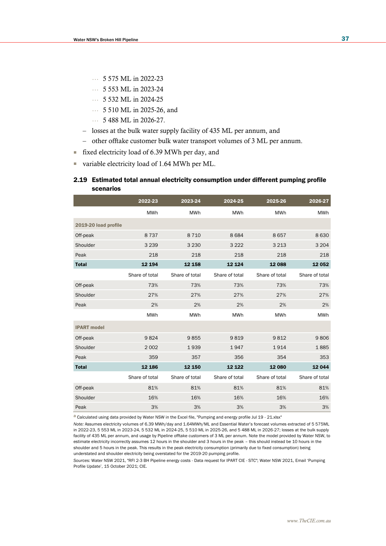- … 5 575 ML in 2022-23
- … 5 553 ML in 2023-24
- … 5 532 ML in 2024-25
- … 5 510 ML in 2025-26, and
- … 5 488 ML in 2026-27.
- losses at the bulk water supply facility of 435 ML per annum, and
- other offtake customer bulk water transport volumes of 3 ML per annum.
- fixed electricity load of 6.39 MWh per day, and
- variable electricity load of 1.64 MWh per ML.

#### 2.19 Estimated total annual electricity consumption under different pumping profile scenarios

|                      | 2022-23        | 2023-24        | 2024-25        | 2025-26        | 2026-27        |
|----------------------|----------------|----------------|----------------|----------------|----------------|
|                      | <b>MWh</b>     | <b>MWh</b>     | <b>MWh</b>     | <b>MWh</b>     | <b>MWh</b>     |
| 2019-20 load profile |                |                |                |                |                |
| Off-peak             | 8737           | 8 7 1 0        | 8684           | 8657           | 8630           |
| Shoulder             | 3 2 3 9        | 3 2 3 0        | 3 2 2 2        | 3 2 1 3        | 3 2 0 4        |
| Peak                 | 218            | 218            | 218            | 218            | 218            |
| <b>Total</b>         | 12 194         | 12 158         | 12 1 24        | 12 088         | 12052          |
|                      | Share of total | Share of total | Share of total | Share of total | Share of total |
| Off-peak             | 73%            | 73%            | 73%            | 73%            | 73%            |
| Shoulder             | 27%            | 27%            | 27%            | 27%            | 27%            |
| Peak                 | 2%             | 2%             | 2%             | 2%             | 2%             |
|                      | <b>MWh</b>     | <b>MWh</b>     | <b>MWh</b>     | <b>MWh</b>     | <b>MWh</b>     |
| <b>IPART</b> model   |                |                |                |                |                |
| Off-peak             | 9824           | 9855           | 9819           | 9812           | 9806           |
| Shoulder             | 2002           | 1939           | 1947           | 1914           | 1885           |
| Peak                 | 359            | 357            | 356            | 354            | 353            |
| <b>Total</b>         | 12 186         | 12 150         | 12 1 22        | 12 080         | 12044          |
|                      | Share of total | Share of total | Share of total | Share of total | Share of total |
| Off-peak             | 81%            | 81%            | 81%            | 81%            | 81%            |
| Shoulder             | 16%            | 16%            | 16%            | 16%            | 16%            |
| Peak                 | 3%             | 3%             | 3%             | 3%             | 3%             |

a Calculated using data provided by Water NSW in the Excel file, "Pumping and energy profile Jul 19 - 21.xlsx"

*Note:* Assumes electricity volumes of 6.39 MWh/day and 1.64MWh/ML and Essential Water's forecast volumes extracted of 5 575ML in 2022-23, 5 553 ML in 2023-24, 5 532 ML in 2024-25, 5 510 ML in 2025-26, and 5 488 ML in 2026-27; losses at the bulk supply facility of 435 ML per annum, and usage by Pipeline offtake customers of 3 ML per annum. Note the model provided by Water NSW, to estimate electricity incorrectly assumes 12 hours in the shoulder and 3 hours in the peak – this should instead be 10 hours in the shoulder and 5 hours in the peak. This results in the peak electricity consumption (primarily due to fixed consumption) being understated and shoulder electricity being overstated for the 2019-20 pumping profile.

*Sources:* Water NSW 2021, "RFI 2-3 BH Pipeline energy costs - Data request for IPART CIE - STC"; Water NSW 2021, Email 'Pumping Profile Update', 15 October 2021; CIE.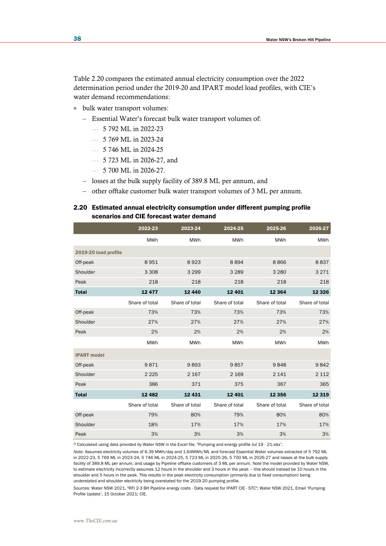Table 2.20 compares the estimated annual electricity consumption over the 2022 determination period under the 2019-20 and IPART model load profiles, with CIE's water demand recommendations:

- bulk water transport volumes:
	- Essential Water's forecast bulk water transport volumes of:
		- … 5 792 ML in 2022-23
		- … 5 769 ML in 2023-24
		- … 5 746 ML in 2024-25
		- … 5 723 ML in 2026-27, and
		- … 5 700 ML in 2026-27.
	- losses at the bulk supply facility of 389.8 ML per annum, and
	- other offtake customer bulk water transport volumes of 3 ML per annum.

### 2.20 Estimated annual electricity consumption under different pumping profile scenarios and CIE forecast water demand

|                      | 2022-23        | 2023-24        | 2024-25        | 2025-26        | 2026-27        |
|----------------------|----------------|----------------|----------------|----------------|----------------|
|                      | <b>MWh</b>     | <b>MWh</b>     | <b>MWh</b>     | <b>MWh</b>     | <b>MWh</b>     |
| 2019-20 load profile |                |                |                |                |                |
| Off-peak             | 8951           | 8923           | 8894           | 8866           | 8837           |
| Shoulder             | 3 3 0 8        | 3 2 9 9        | 3 2 8 9        | 3 2 8 0        | 3 2 7 1        |
| Peak                 | 218            | 218            | 218            | 218            | 218            |
| <b>Total</b>         | 12477          | 12 440         | 12 4 01        | 12 3 64        | 12 3 26        |
|                      | Share of total | Share of total | Share of total | Share of total | Share of total |
| Off-peak             | 73%            | 73%            | 73%            | 73%            | 73%            |
| Shoulder             | 27%            | 27%            | 27%            | 27%            | 27%            |
| Peak                 | 2%             | 2%             | 2%             | 2%             | 2%             |
|                      | <b>MWh</b>     | <b>MWh</b>     | <b>MWh</b>     | <b>MWh</b>     | <b>MWh</b>     |
| <b>IPART</b> model   |                |                |                |                |                |
| Off-peak             | 9871           | 9893           | 9857           | 9848           | 9842           |
| Shoulder             | 2 2 2 5        | 2 1 6 7        | 2 1 6 9        | 2 1 4 1        | 2 1 1 2        |
| Peak                 | 386            | 371            | 375            | 367            | 365            |
| <b>Total</b>         | 12 4 8 2       | 12 4 31        | 12 4 01        | 12 3 5 6       | 12 3 19        |
|                      | Share of total | Share of total | Share of total | Share of total | Share of total |
| Off-peak             | 79%            | 80%            | 79%            | 80%            | 80%            |
| Shoulder             | 18%            | 17%            | 17%            | 17%            | 17%            |
| Peak                 | 3%             | 3%             | 3%             | 3%             | 3%             |

a Calculated using data provided by Water NSW in the Excel file, "Pumping and energy profile Jul 19 - 21.xlsx".

*Note:* Assumes electricity volumes of 6.39 MWh/day and 1.64MWh/ML and forecast Essential Water volumes extracted of 5 792 ML in 2022-23, 5 769 ML in 2023-24, 5 746 ML in 2024-25, 5 723 ML in 2025-26, 5 700 ML in 2026-27 and losses at the bulk supply facility of 389.8 ML per annum, and usage by Pipeline offtake customers of 3 ML per annum. Note the model provided by Water NSW, to estimate electricity incorrectly assumes 12 hours in the shoulder and 3 hours in the peak – this should instead be 10 hours in the shoulder and 5 hours in the peak. This results in the peak electricity consumption (primarily due to fixed consumption) being understated and shoulder electricity being overstated for the 2019-20 pumping profile.

*Sources:* Water NSW 2021, "RFI 2-3 BH Pipeline energy costs - Data request for IPART CIE - STC"; Water NSW 2021, Email 'Pumping Profile Update', 15 October 2021; CIE.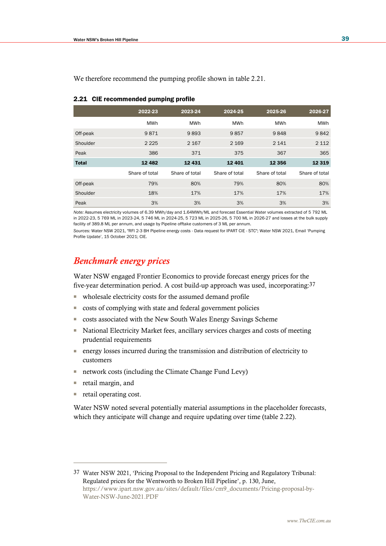|              | 2022-23        | 2023-24        | 2024-25        | 2025-26        | 2026-27        |
|--------------|----------------|----------------|----------------|----------------|----------------|
|              | <b>MWh</b>     | <b>MWh</b>     | <b>MWh</b>     | <b>MWh</b>     | <b>MWh</b>     |
| Off-peak     | 9871           | 9893           | 9857           | 9848           | 9842           |
| Shoulder     | 2 2 2 5        | 2 1 6 7        | 2 1 6 9        | 2 1 4 1        | 2 1 1 2        |
| Peak         | 386            | 371            | 375            | 367            | 365            |
| <b>Total</b> | 12 4 8 2       | 12 4 31        | 12 4 01        | 12 3 5 6       | 12 3 19        |
|              | Share of total | Share of total | Share of total | Share of total | Share of total |
| Off-peak     | 79%            | 80%            | 79%            | 80%            | 80%            |
| Shoulder     | 18%            | 17%            | 17%            | 17%            | 17%            |
| Peak         | 3%             | 3%             | 3%             | 3%             | 3%             |

We therefore recommend the pumping profile shown in table 2.21.

| We therefore recommend the pumping profile shown in table 2.2 |  |  |  |  |  |  |
|---------------------------------------------------------------|--|--|--|--|--|--|
|---------------------------------------------------------------|--|--|--|--|--|--|

| 2.21 CIE recommended pumping profile |  |
|--------------------------------------|--|
|                                      |  |

*Note:* Assumes electricity volumes of 6.39 MWh/day and 1.64MWh/ML and forecast Essential Water volumes extracted of 5 792 ML in 2022-23, 5 769 ML in 2023-24, 5 746 ML in 2024-25, 5 723 ML in 2025-26, 5 700 ML in 2026-27 and losses at the bulk supply facility of 389.8 ML per annum, and usage by Pipeline offtake customers of 3 ML per annum.

*Sources:* Water NSW 2021, "RFI 2-3 BH Pipeline energy costs - Data request for IPART CIE - STC"; Water NSW 2021, Email 'Pumping Profile Update', 15 October 2021; CIE.

## *Benchmark energy prices*

Water NSW engaged Frontier Economics to provide forecast energy prices for the five-year determination period. A cost build-up approach was used, incorporating:37

- wholesale electricity costs for the assumed demand profile
- costs of complying with state and federal government policies
- costs associated with the New South Wales Energy Savings Scheme
- National Electricity Market fees, ancillary services charges and costs of meeting prudential requirements
- energy losses incurred during the transmission and distribution of electricity to customers
- network costs (including the Climate Change Fund Levy)
- retail margin, and
- retail operating cost.

Water NSW noted several potentially material assumptions in the placeholder forecasts, which they anticipate will change and require updating over time (table 2.22).

<sup>37</sup> Water NSW 2021, 'Pricing Proposal to the Independent Pricing and Regulatory Tribunal: Regulated prices for the Wentworth to Broken Hill Pipeline', p. 130, June, [https://www.ipart.nsw.gov.au/sites/default/files/cm9\\_documents/Pricing-proposal-by-](https://www.ipart.nsw.gov.au/sites/default/files/cm9_documents/Pricing-proposal-by-Water-NSW-June-2021.PDF)[Water-NSW-June-2021.PDF](https://www.ipart.nsw.gov.au/sites/default/files/cm9_documents/Pricing-proposal-by-Water-NSW-June-2021.PDF)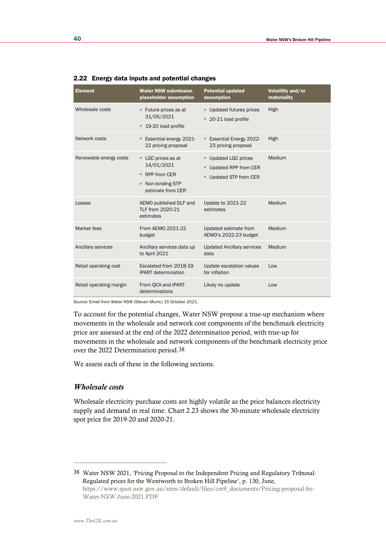| <b>Element</b>          | <b>Water NSW submission</b><br>placeholder assumption                                                 | <b>Potential updated</b><br>assumption                                   | Volatility and/or<br>materiality |
|-------------------------|-------------------------------------------------------------------------------------------------------|--------------------------------------------------------------------------|----------------------------------|
| Wholesale costs         | Future prices as at<br>ш.<br>31/05/2021<br>19-20 load profile<br>ш                                    | Updated futures prices<br>20-21 load profile                             | High                             |
| Network costs           | Essential energy 2021-<br>$\blacksquare$<br>22 pricing proposal                                       | <b>Essential Energy 2022-</b><br>23 pricing proposal                     | High                             |
| Renewable energy costs  | LGC prices as at<br>ш<br>14/01/2021<br>RPP from CER<br>ш<br>Non-binding STP<br>ш<br>estimate from CER | Updated LGC prices<br>Updated RPP from CER<br>ш.<br>Updated STP from CER | Medium                           |
| Losses                  | AEMO published DLF and<br>TLF from 2020-21<br>estimates                                               | Update to 2021-22<br>estimates                                           | Medium                           |
| Market fees             | From AEMO 2021-22<br>budget                                                                           | Updated estimate from<br>AEMO's 2022-23 budget                           | Medium                           |
| Ancillary services      | Ancillary services data up<br>to April 2021                                                           | <b>Updated Ancillary services</b><br>data                                | Medium                           |
| Retail operating cost   | Escalated from 2018-19<br><b>IPART</b> determination                                                  | Update escalation values<br>for inflation                                | Low                              |
| Retail operating margin | From QCA and IPART<br>determinations                                                                  | Likely no update                                                         | Low                              |

#### 2.22 Energy data inputs and potential changes

*Source:* Email from Water NSW (Stevan Munic) 15 October 2021.

To account for the potential changes, Water NSW propose a true-up mechanism where movements in the wholesale and network cost components of the benchmark electricity price are assessed at the end of the 2022 determination period, with true-up for movements in the wholesale and network components of the benchmark electricity price over the 2022 Determination period.38

We assess each of these in the following sections.

## *Wholesale costs*

Wholesale electricity purchase costs are highly volatile as the price balances electricity supply and demand in real time. Chart 2.23 shows the 30-minute wholesale electricity spot price for 2019-20 and 2020-21.

<sup>38</sup> Water NSW 2021, 'Pricing Proposal to the Independent Pricing and Regulatory Tribunal: Regulated prices for the Wentworth to Broken Hill Pipeline', p. 130, June, [https://www.ipart.nsw.gov.au/sites/default/files/cm9\\_documents/Pricing-proposal-by-](https://www.ipart.nsw.gov.au/sites/default/files/cm9_documents/Pricing-proposal-by-Water-NSW-June-2021.PDF)[Water-NSW-June-2021.PDF](https://www.ipart.nsw.gov.au/sites/default/files/cm9_documents/Pricing-proposal-by-Water-NSW-June-2021.PDF)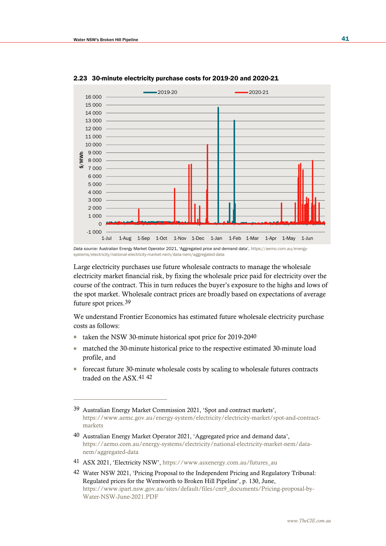

2.23 30-minute electricity purchase costs for 2019-20 and 2020-21

Large electricity purchases use future wholesale contracts to manage the wholesale electricity market financial risk, by fixing the wholesale price paid for electricity over the course of the contract. This in turn reduces the buyer's exposure to the highs and lows of the spot market. Wholesale contract prices are broadly based on expectations of average future spot prices.39

We understand Frontier Economics has estimated future wholesale electricity purchase costs as follows:

- taken the NSW 30-minute historical spot price for 2019-20<sup>40</sup>
- matched the 30-minute historical price to the respective estimated 30-minute load profile, and
- forecast future 30-minute wholesale costs by scaling to wholesale futures contracts traded on the ASX.41 42

41 ASX 2021, 'Electricity NSW', [https://www.asxenergy.com.au/futures\\_au](https://www.asxenergy.com.au/futures_au)

*Data source:* Australian Energy Market Operator 2021, 'Aggregated price and demand data', [https://aemo.com.au/energy](https://aemo.com.au/energy-systems/electricity/national-electricity-market-nem/data-nem/aggregated-data)[systems/electricity/national-electricity-market-nem/data-nem/aggregated-data](https://aemo.com.au/energy-systems/electricity/national-electricity-market-nem/data-nem/aggregated-data)

<sup>39</sup> Australian Energy Market Commission 2021, 'Spot and contract markets', [https://www.aemc.gov.au/energy-system/electricity/electricity-market/spot-and-contract](https://www.aemc.gov.au/energy-system/electricity/electricity-market/spot-and-contract-markets)[markets](https://www.aemc.gov.au/energy-system/electricity/electricity-market/spot-and-contract-markets)

<sup>40</sup> Australian Energy Market Operator 2021, 'Aggregated price and demand data', [https://aemo.com.au/energy-systems/electricity/national-electricity-market-nem/data](https://aemo.com.au/energy-systems/electricity/national-electricity-market-nem/data-nem/aggregated-data)[nem/aggregated-data](https://aemo.com.au/energy-systems/electricity/national-electricity-market-nem/data-nem/aggregated-data)

<sup>42</sup> Water NSW 2021, 'Pricing Proposal to the Independent Pricing and Regulatory Tribunal: Regulated prices for the Wentworth to Broken Hill Pipeline', p. 130, June, [https://www.ipart.nsw.gov.au/sites/default/files/cm9\\_documents/Pricing-proposal-by-](https://www.ipart.nsw.gov.au/sites/default/files/cm9_documents/Pricing-proposal-by-Water-NSW-June-2021.PDF)[Water-NSW-June-2021.PDF](https://www.ipart.nsw.gov.au/sites/default/files/cm9_documents/Pricing-proposal-by-Water-NSW-June-2021.PDF)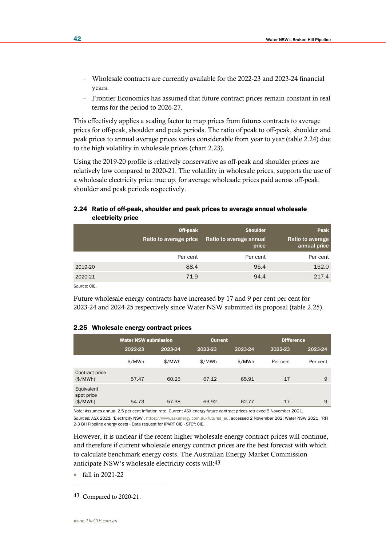- Wholesale contracts are currently available for the 2022-23 and 2023-24 financial years.
- Frontier Economics has assumed that future contract prices remain constant in real terms for the period to 2026-27.

This effectively applies a scaling factor to map prices from futures contracts to average prices for off-peak, shoulder and peak periods. The ratio of peak to off-peak, shoulder and peak prices to annual average prices varies considerable from year to year (table 2.24) due to the high volatility in wholesale prices (chart 2.23).

Using the 2019-20 profile is relatively conservative as off-peak and shoulder prices are relatively low compared to 2020-21. The volatility in wholesale prices, supports the use of a wholesale electricity price true up, for average wholesale prices paid across off-peak, shoulder and peak periods respectively.

## 2.24 Ratio of off-peak, shoulder and peak prices to average annual wholesale electricity price

|         | Off-peak<br>Ratio to average price | <b>Shoulder</b><br>Ratio to average annual<br>price | Peak<br>Ratio to average<br>annual price |
|---------|------------------------------------|-----------------------------------------------------|------------------------------------------|
|         | Per cent                           | Per cent                                            | Per cent                                 |
| 2019-20 | 88.4                               | 95.4                                                | 152.0                                    |
| 2020-21 | 71.9                               | 94.4                                                | 217.4                                    |

*Source:* CIE.

Future wholesale energy contracts have increased by 17 and 9 per cent per cent for 2023-24 and 2024-25 respectively since Water NSW submitted its proposal (table 2.25).

#### 2.25 Wholesale energy contract prices

|                                      | <b>Water NSW submission</b> |         | <b>Current</b> |         | <b>Difference</b> |          |  |
|--------------------------------------|-----------------------------|---------|----------------|---------|-------------------|----------|--|
|                                      | 2022-23                     | 2023-24 | 2022-23        | 2023-24 | 2022-23           | 2023-24  |  |
|                                      | \$/MWh                      | \$/MWh  | \$/MWh         | \$/MWh  | Per cent          | Per cent |  |
| Contract price<br>(\$/MWh)           | 57.47                       | 60.25   | 67.12          | 65.91   | 17                | 9        |  |
| Equivalent<br>spot price<br>(\$/MWh) | 54.73                       | 57.38   | 63.92          | 62.77   | 17                | 9        |  |

*Note:* Assumes annual 2.5 per cent inflation rate. Current ASX energy future contract prices retrieved 5 November 2021.

*Sources:* ASX 2021, 'Electricity NSW', [https://www.asxenergy.com.au/futures\\_au,](https://www.asxenergy.com.au/futures_au) accessed 2 November 202; Water NSW 2021, "RFI 2-3 BH Pipeline energy costs - Data request for IPART CIE - STC"; CIE.

However, it is unclear if the recent higher wholesale energy contract prices will continue, and therefore if current wholesale energy contract prices are the best forecast with which to calculate benchmark energy costs. The Australian Energy Market Commission anticipate NSW's wholesale electricity costs will:43

■ fall in 2021-22

<sup>43</sup> Compared to 2020-21.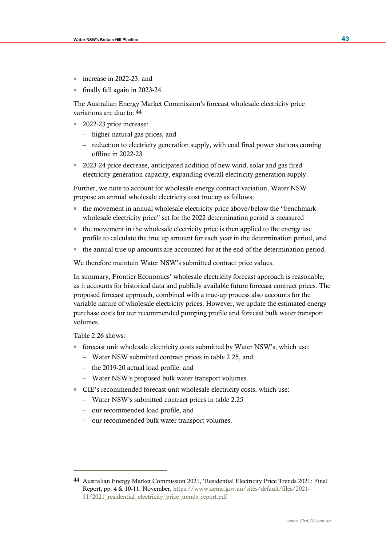- increase in 2022-23, and
- finally fall again in 2023-24.

The Australian Energy Market Commission's forecast wholesale electricity price variations are due to: 44

- 2022-23 price increase:
	- higher natural gas prices, and
	- reduction to electricity generation supply, with coal fired power stations coming offline in 2022-23
- 2023-24 price decrease, anticipated addition of new wind, solar and gas fired electricity generation capacity, expanding overall electricity generation supply.

Further, we note to account for wholesale energy contract variation, Water NSW propose an annual wholesale electricity cost true up as follows:

- the movement in annual wholesale electricity price above/below the "benchmark wholesale electricity price" set for the 2022 determination period is measured
- the movement in the wholesale electricity price is then applied to the energy use profile to calculate the true up amount for each year in the determination period, and
- the annual true up amounts are accounted for at the end of the determination period.

We therefore maintain Water NSW's submitted contract price values.

In summary, Frontier Economics' wholesale electricity forecast approach is reasonable, as it accounts for historical data and publicly available future forecast contract prices. The proposed forecast approach, combined with a true-up process also accounts for the variable nature of wholesale electricity prices. However, we update the estimated energy purchase costs for our recommended pumping profile and forecast bulk water transport volumes.

Table 2.26 shows:

- forecast unit wholesale electricity costs submitted by Water NSW's, which use:
	- Water NSW submitted contract prices in table 2.25, and
	- the 2019-20 actual load profile, and
	- Water NSW's proposed bulk water transport volumes.
- CIE's recommended forecast unit wholesale electricity costs, which use:
	- Water NSW's submitted contract prices in table 2.25
	- our recommended load profile, and
	- our recommended bulk water transport volumes.

<sup>44</sup> Australian Energy Market Commission 2021, 'Residential Electricity Price Trends 2021: Final Report, pp. 4 & 10-11, November, [https://www.aemc.gov.au/sites/default/files/2021-](https://www.aemc.gov.au/sites/default/files/2021-11/2021_residential_electricity_price_trends_report.pdf) [11/2021\\_residential\\_electricity\\_price\\_trends\\_report.pdf](https://www.aemc.gov.au/sites/default/files/2021-11/2021_residential_electricity_price_trends_report.pdf)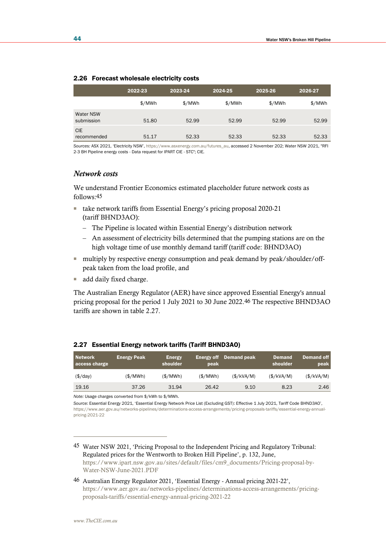|                           | <b>E.EU TURGUST MINICSUR CICOLIGITY COSTS</b> |         |         |         |         |  |  |  |  |
|---------------------------|-----------------------------------------------|---------|---------|---------|---------|--|--|--|--|
|                           | 2022-23                                       | 2023-24 | 2024-25 | 2025-26 | 2026-27 |  |  |  |  |
|                           | \$/MWh                                        | \$/MWh  | \$/MWh  | \$/MWh  | \$/MWh  |  |  |  |  |
| Water NSW<br>submission   | 51.80                                         | 52.99   | 52.99   | 52.99   | 52.99   |  |  |  |  |
| <b>CIE</b><br>recommended | 51.17                                         | 52.33   | 52.33   | 52.33   | 52.33   |  |  |  |  |

#### 2.26 Forecast wholesale electricity costs

*Sources:* ASX 2021, 'Electricity NSW', [https://www.asxenergy.com.au/futures\\_au,](https://www.asxenergy.com.au/futures_au) accessed 2 November 202; Water NSW 2021, "RFI 2-3 BH Pipeline energy costs - Data request for IPART CIE - STC"; CIE.

#### *Network costs*

We understand Frontier Economics estimated placeholder future network costs as follows:45

- take network tariffs from Essential Energy's pricing proposal 2020-21 (tariff BHND3AO):
	- The Pipeline is located within Essential Energy's distribution network
	- An assessment of electricity bills determined that the pumping stations are on the high voltage time of use monthly demand tariff (tariff code: BHND3AO)
- multiply by respective energy consumption and peak demand by peak/shoulder/offpeak taken from the load profile, and
- add daily fixed charge.

The Australian Energy Regulator (AER) have since approved Essential Energy's annual pricing proposal for the period 1 July 2021 to 30 June 2022.46 The respective BHND3AO tariffs are shown in table 2.27.

## 2.27 Essential Energy network tariffs (Tariff BHND3AO)

| shoulder<br>access charge                 | peak    |            | shoulder   | peak       |
|-------------------------------------------|---------|------------|------------|------------|
| (\$/MWh)<br>(\$/MWh)<br>$(\frac{\pi}{4})$ | (S/MWh) | (\$/kVA/M) | (\$/kVA/M) | (\$/kVA/M) |
| 19.16<br>37.26<br>31.94                   | 26.42   | 9.10       | 8.23       | 2.46       |

*Note:* Usage charges converted from \$/kWh to \$/MWh.

*Source:* Essential Energy 2021, 'Essential Energy Network Price List (Excluding GST): Effective 1 July 2021, Tariff Code BHND3AO', [https://www.aer.gov.au/networks-pipelines/determinations-access-arrangements/pricing-proposals-tariffs/essential-energy-annual](https://www.aer.gov.au/networks-pipelines/determinations-access-arrangements/pricing-proposals-tariffs/essential-energy-annual-pricing-2021-22)[pricing-2021-22](https://www.aer.gov.au/networks-pipelines/determinations-access-arrangements/pricing-proposals-tariffs/essential-energy-annual-pricing-2021-22)

45 Water NSW 2021, 'Pricing Proposal to the Independent Pricing and Regulatory Tribunal: Regulated prices for the Wentworth to Broken Hill Pipeline', p. 132, June, [https://www.ipart.nsw.gov.au/sites/default/files/cm9\\_documents/Pricing-proposal-by-](https://www.ipart.nsw.gov.au/sites/default/files/cm9_documents/Pricing-proposal-by-Water-NSW-June-2021.PDF)[Water-NSW-June-2021.PDF](https://www.ipart.nsw.gov.au/sites/default/files/cm9_documents/Pricing-proposal-by-Water-NSW-June-2021.PDF)

46 Australian Energy Regulator 2021, 'Essential Energy - Annual pricing 2021-22', [https://www.aer.gov.au/networks-pipelines/determinations-access-arrangements/pricing](https://www.aer.gov.au/networks-pipelines/determinations-access-arrangements/pricing-proposals-tariffs/essential-energy-annual-pricing-2021-22)[proposals-tariffs/essential-energy-annual-pricing-2021-22](https://www.aer.gov.au/networks-pipelines/determinations-access-arrangements/pricing-proposals-tariffs/essential-energy-annual-pricing-2021-22)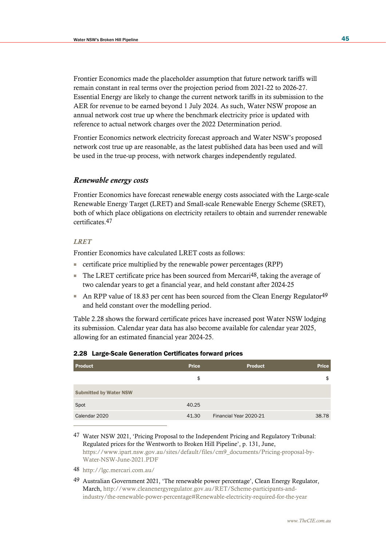Frontier Economics made the placeholder assumption that future network tariffs will remain constant in real terms over the projection period from 2021-22 to 2026-27. Essential Energy are likely to change the current network tariffs in its submission to the AER for revenue to be earned beyond 1 July 2024. As such, Water NSW propose an annual network cost true up where the benchmark electricity price is updated with reference to actual network charges over the 2022 Determination period.

Frontier Economics network electricity forecast approach and Water NSW's proposed network cost true up are reasonable, as the latest published data has been used and will be used in the true-up process, with network charges independently regulated.

## *Renewable energy costs*

Frontier Economics have forecast renewable energy costs associated with the Large-scale Renewable Energy Target (LRET) and Small-scale Renewable Energy Scheme (SRET), both of which place obligations on electricity retailers to obtain and surrender renewable certificates.47

#### *LRET*

Frontier Economics have calculated LRET costs as follows:

- certificate price multiplied by the renewable power percentages (RPP)
- **The LRET certificate price has been sourced from Mercari**<sup>48</sup>, taking the average of two calendar years to get a financial year, and held constant after 2024-25
- An RPP value of 18.83 per cent has been sourced from the Clean Energy Regulator <sup>49</sup> and held constant over the modelling period.

Table 2.28 shows the forward certificate prices have increased post Water NSW lodging its submission. Calendar year data has also become available for calendar year 2025, allowing for an estimated financial year 2024-25.

| <b>Product</b>                | <b>Price</b> | <b>Product</b>         | <b>Price</b> |
|-------------------------------|--------------|------------------------|--------------|
|                               | \$           |                        | \$           |
| <b>Submitted by Water NSW</b> |              |                        |              |
| Spot                          | 40.25        |                        |              |
| Calendar 2020                 | 41.30        | Financial Year 2020-21 | 38.78        |

#### 2.28 Large-Scale Generation Certificates forward prices

47 Water NSW 2021, 'Pricing Proposal to the Independent Pricing and Regulatory Tribunal: Regulated prices for the Wentworth to Broken Hill Pipeline', p. 131, June, [https://www.ipart.nsw.gov.au/sites/default/files/cm9\\_documents/Pricing-proposal-by-](https://www.ipart.nsw.gov.au/sites/default/files/cm9_documents/Pricing-proposal-by-Water-NSW-June-2021.PDF)[Water-NSW-June-2021.PDF](https://www.ipart.nsw.gov.au/sites/default/files/cm9_documents/Pricing-proposal-by-Water-NSW-June-2021.PDF)

48 <http://lgc.mercari.com.au/>

49 Australian Government 2021, 'The renewable power percentage', Clean Energy Regulator, March, [http://www.cleanenergyregulator.gov.au/RET/Scheme-participants-and](http://www.cleanenergyregulator.gov.au/RET/Scheme-participants-and-industry/the-renewable-power-percentage#Renewable-electricity-required-for-the-year)[industry/the-renewable-power-percentage#Renewable-electricity-required-for-the-year](http://www.cleanenergyregulator.gov.au/RET/Scheme-participants-and-industry/the-renewable-power-percentage#Renewable-electricity-required-for-the-year)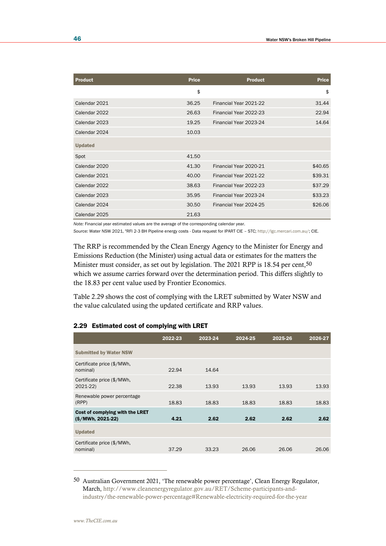| <b>Product</b> | <b>Price</b> | <b>Product</b>         | <b>Price</b> |
|----------------|--------------|------------------------|--------------|
|                | \$           |                        | \$           |
| Calendar 2021  | 36.25        | Financial Year 2021-22 | 31.44        |
| Calendar 2022  | 26.63        | Financial Year 2022-23 | 22.94        |
| Calendar 2023  | 19.25        | Financial Year 2023-24 | 14.64        |
| Calendar 2024  | 10.03        |                        |              |
| <b>Updated</b> |              |                        |              |
| Spot           | 41.50        |                        |              |
| Calendar 2020  | 41.30        | Financial Year 2020-21 | \$40.65      |
| Calendar 2021  | 40.00        | Financial Year 2021-22 | \$39.31      |
| Calendar 2022  | 38.63        | Financial Year 2022-23 | \$37.29      |
| Calendar 2023  | 35.95        | Financial Year 2023-24 | \$33.23      |
| Calendar 2024  | 30.50        | Financial Year 2024-25 | \$26.06      |
| Calendar 2025  | 21.63        |                        |              |

*Note:* Financial year estimated values are the average of the corresponding calendar year.

*Source:* Water NSW 2021, "RFI 2-3 BH Pipeline energy costs - Data request for IPART CIE – STC; [http://lgc.mercari.com.au/;](http://lgc.mercari.com.au/) CIE.

The RRP is recommended by the Clean Energy Agency to the Minister for Energy and Emissions Reduction (the Minister) using actual data or estimates for the matters the Minister must consider, as set out by legislation. The 2021 RPP is 18.54 per cent,<sup>50</sup> which we assume carries forward over the determination period. This differs slightly to the 18.83 per cent value used by Frontier Economics.

Table 2.29 shows the cost of complying with the LRET submitted by Water NSW and the value calculated using the updated certificate and RRP values.

|                                                       | 2022-23 | 2023-24 | 2024-25 | 2025-26 | 2026-27 |
|-------------------------------------------------------|---------|---------|---------|---------|---------|
| <b>Submitted by Water NSW</b>                         |         |         |         |         |         |
| Certificate price (\$/MWh,<br>nominal)                | 22.94   | 14.64   |         |         |         |
| Certificate price (\$/MWh,<br>2021-22)                | 22.38   | 13.93   | 13.93   | 13.93   | 13.93   |
| Renewable power percentage<br>(RPP)                   | 18.83   | 18.83   | 18.83   | 18.83   | 18.83   |
| Cost of complying with the LRET<br>$(S/MWh, 2021-22)$ | 4.21    | 2.62    | 2.62    | 2.62    | 2.62    |
| <b>Updated</b>                                        |         |         |         |         |         |
| Certificate price (\$/MWh,<br>nominal)                | 37.29   | 33.23   | 26.06   | 26.06   | 26.06   |

## 2.29 Estimated cost of complying with LRET

<sup>50</sup> Australian Government 2021, 'The renewable power percentage', Clean Energy Regulator, March, [http://www.cleanenergyregulator.gov.au/RET/Scheme-participants-and](http://www.cleanenergyregulator.gov.au/RET/Scheme-participants-and-industry/the-renewable-power-percentage#Renewable-electricity-required-for-the-year)[industry/the-renewable-power-percentage#Renewable-electricity-required-for-the-year](http://www.cleanenergyregulator.gov.au/RET/Scheme-participants-and-industry/the-renewable-power-percentage#Renewable-electricity-required-for-the-year)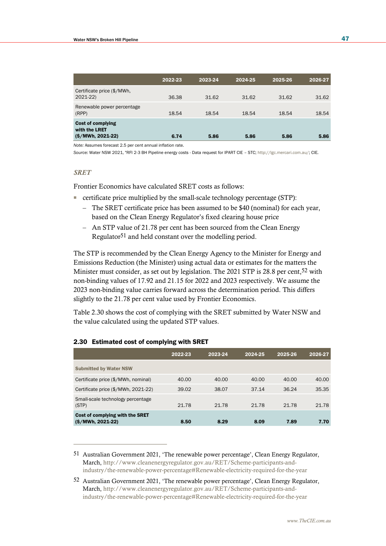|                                                                 | 2022-23 | 2023-24 | 2024-25 | 2025-26 | 2026-27 |
|-----------------------------------------------------------------|---------|---------|---------|---------|---------|
| Certificate price (\$/MWh,<br>$2021 - 22$                       | 36.38   | 31.62   | 31.62   | 31.62   | 31.62   |
| Renewable power percentage<br>(RPP)                             | 18.54   | 18.54   | 18.54   | 18.54   | 18.54   |
| <b>Cost of complying</b><br>with the LRET<br>$(S/MWh, 2021-22)$ | 6.74    | 5.86    | 5.86    | 5.86    | 5.86    |

*Note:* Assumes forecast 2.5 per cent annual inflation rate.

*Source:* Water NSW 2021, "RFI 2-3 BH Pipeline energy costs - Data request for IPART CIE – STC[; http://lgc.mercari.com.au/;](http://lgc.mercari.com.au/) CIE.

#### *SRET*

Frontier Economics have calculated SRET costs as follows:

- certificate price multiplied by the small-scale technology percentage (STP):
	- The SRET certificate price has been assumed to be \$40 (nominal) for each year, based on the Clean Energy Regulator's fixed clearing house price
	- An STP value of 21.78 per cent has been sourced from the Clean Energy Regulator51 and held constant over the modelling period.

The STP is recommended by the Clean Energy Agency to the Minister for Energy and Emissions Reduction (the Minister) using actual data or estimates for the matters the Minister must consider, as set out by legislation. The 2021 STP is 28.8 per cent,<sup>52</sup> with non-binding values of 17.92 and 21.15 for 2022 and 2023 respectively. We assume the 2023 non-binding value carries forward across the determination period. This differs slightly to the 21.78 per cent value used by Frontier Economics.

Table 2.30 shows the cost of complying with the SRET submitted by Water NSW and the value calculated using the updated STP values.

|                                                       | 2022-23 | 2023-24 | 2024-25 | 2025-26 | 2026-27 |
|-------------------------------------------------------|---------|---------|---------|---------|---------|
| <b>Submitted by Water NSW</b>                         |         |         |         |         |         |
| Certificate price (\$/MWh, nominal)                   | 40.00   | 40.00   | 40.00   | 40.00   | 40.00   |
| Certificate price (\$/MWh, 2021-22)                   | 39.02   | 38.07   | 37.14   | 36.24   | 35.35   |
| Small-scale technology percentage<br>(STP)            | 21.78   | 21.78   | 21.78   | 21.78   | 21.78   |
| Cost of complying with the SRET<br>$(S/MWh, 2021-22)$ | 8.50    | 8.29    | 8.09    | 7.89    | 7.70    |

#### 2.30 Estimated cost of complying with SRET

51 Australian Government 2021, 'The renewable power percentage', Clean Energy Regulator, March, [http://www.cleanenergyregulator.gov.au/RET/Scheme-participants-and](http://www.cleanenergyregulator.gov.au/RET/Scheme-participants-and-industry/the-renewable-power-percentage#Renewable-electricity-required-for-the-year)[industry/the-renewable-power-percentage#Renewable-electricity-required-for-the-year](http://www.cleanenergyregulator.gov.au/RET/Scheme-participants-and-industry/the-renewable-power-percentage#Renewable-electricity-required-for-the-year)

<sup>52</sup> Australian Government 2021, 'The renewable power percentage', Clean Energy Regulator, March, [http://www.cleanenergyregulator.gov.au/RET/Scheme-participants-and](http://www.cleanenergyregulator.gov.au/RET/Scheme-participants-and-industry/the-renewable-power-percentage#Renewable-electricity-required-for-the-year)[industry/the-renewable-power-percentage#Renewable-electricity-required-for-the-year](http://www.cleanenergyregulator.gov.au/RET/Scheme-participants-and-industry/the-renewable-power-percentage#Renewable-electricity-required-for-the-year)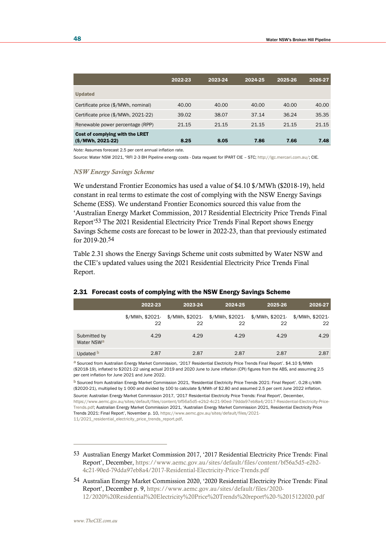|                                                       | 2022-23 | 2023-24 | 2024-25 | 2025-26 | 2026-27 |
|-------------------------------------------------------|---------|---------|---------|---------|---------|
| <b>Updated</b>                                        |         |         |         |         |         |
| Certificate price (\$/MWh, nominal)                   | 40.00   | 40.00   | 40.00   | 40.00   | 40.00   |
| Certificate price (\$/MWh, 2021-22)                   | 39.02   | 38.07   | 37.14   | 36.24   | 35.35   |
| Renewable power percentage (RPP)                      | 21.15   | 21.15   | 21.15   | 21.15   | 21.15   |
| Cost of complying with the LRET<br>$(S/MWh, 2021-22)$ | 8.25    | 8.05    | 7.86    | 7.66    | 7.48    |

*Note:* Assumes forecast 2.5 per cent annual inflation rate.

*Source:* Water NSW 2021, "RFI 2-3 BH Pipeline energy costs - Data request for IPART CIE – STC[; http://lgc.mercari.com.au/;](http://lgc.mercari.com.au/) CIE.

#### *NSW Energy Savings Scheme*

We understand Frontier Economics has used a value of \$4.10 \$/MWh (\$2018-19), held constant in real terms to estimate the cost of complying with the NSW Energy Savings Scheme (ESS). We understand Frontier Economics sourced this value from the 'Australian Energy Market Commission, 2017 Residential Electricity Price Trends Final Report'53 The 2021 Residential Electricity Price Trends Final Report shows Energy Savings Scheme costs are forecast to be lower in 2022-23, than that previously estimated for 2019-20.54

Table 2.31 shows the Energy Savings Scheme unit costs submitted by Water NSW and the CIE's updated values using the 2021 Residential Electricity Price Trends Final Report.

|                                        | 2022-23 | 2023-24 | 2024-25                                                                               | 2025-26 | 2026-27 |
|----------------------------------------|---------|---------|---------------------------------------------------------------------------------------|---------|---------|
|                                        | 22      | 22      | \$/MWh, \$2021- \$/MWh, \$2021- \$/MWh, \$2021- \$/MWh, \$2021- \$/MWh, \$2021-<br>22 | 22      | 22      |
| Submitted by<br>Water NSW <sup>a</sup> | 4.29    | 4.29    | 4.29                                                                                  | 4.29    | 4.29    |
| Updated <b>D</b>                       | 2.87    | 2.87    | 2.87                                                                                  | 2.87    | 2.87    |

#### 2.31 Forecast costs of complying with the NSW Energy Savings Scheme

a Sourced from Australian Energy Market Commission, '2017 Residential Electricity Price Trends Final Report'. \$4.10 \$/MWh (\$2018-19), inflated to \$2021-22 using actual 2019 and 2020 June to June inflation (CPI) figures from the ABS, and assuming 2.5 per cent inflation for June 2021 and June 2022.

b Sourced from Australian Energy Market Commission 2021, 'Residential Electricity Price Trends 2021: Final Report'. 0.28 c/kWh (\$2020-21), multiplied by 1 000 and divided by 100 to calculate \$/MWh of \$2.80 and assumed 2.5 per cent June 2022 inflation. *Source:* Australian Energy Market Commission 2017, '2017 Residential Electricity Price Trends: Final Report', December, [https://www.aemc.gov.au/sites/default/files/content/bf56a5d5-e2b2-4c21-90ed-79dda97eb8a4/2017-Residential-Electricity-Price-](https://www.aemc.gov.au/sites/default/files/content/bf56a5d5-e2b2-4c21-90ed-79dda97eb8a4/2017-Residential-Electricity-Price-Trends.pdf)[Trends.pdf;](https://www.aemc.gov.au/sites/default/files/content/bf56a5d5-e2b2-4c21-90ed-79dda97eb8a4/2017-Residential-Electricity-Price-Trends.pdf) Australian Energy Market Commission 2021, 'Australian Energy Market Commission 2021, Residential Electricity Price Trends 2021: Final Report', November p. 10, [https://www.aemc.gov.au/sites/default/files/2021-](https://www.aemc.gov.au/sites/default/files/2021-11/2021_residential_electricity_price_trends_report.pdf) [11/2021\\_residential\\_electricity\\_price\\_trends\\_report.pdf.](https://www.aemc.gov.au/sites/default/files/2021-11/2021_residential_electricity_price_trends_report.pdf)

54 Australian Energy Market Commission 2020, '2020 Residential Electricity Price Trends: Final Report', December p. 9[, https://www.aemc.gov.au/sites/default/files/2020-](https://www.aemc.gov.au/sites/default/files/2020-12/2020%20Residential%20Electricity%20Price%20Trends%20report%20-%2015122020.pdf) [12/2020%20Residential%20Electricity%20Price%20Trends%20report%20-%2015122020.pdf](https://www.aemc.gov.au/sites/default/files/2020-12/2020%20Residential%20Electricity%20Price%20Trends%20report%20-%2015122020.pdf)

<sup>53</sup> Australian Energy Market Commission 2017, '2017 Residential Electricity Price Trends: Final Report', December, [https://www.aemc.gov.au/sites/default/files/content/bf56a5d5-e2b2-](https://www.aemc.gov.au/sites/default/files/content/bf56a5d5-e2b2-4c21-90ed-79dda97eb8a4/2017-Residential-Electricity-Price-Trends.pdf) [4c21-90ed-79dda97eb8a4/2017-Residential-Electricity-Price-Trends.pdf](https://www.aemc.gov.au/sites/default/files/content/bf56a5d5-e2b2-4c21-90ed-79dda97eb8a4/2017-Residential-Electricity-Price-Trends.pdf)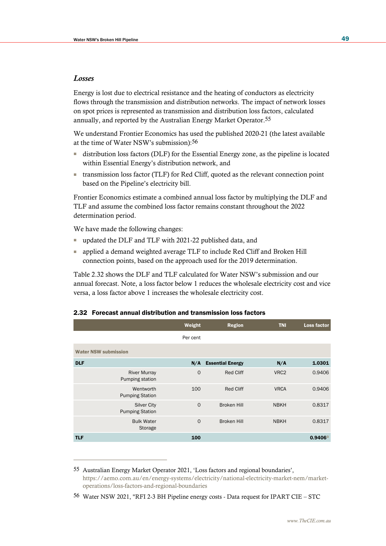### *Losses*

Energy is lost due to electrical resistance and the heating of conductors as electricity flows through the transmission and distribution networks. The impact of network losses on spot prices is represented as transmission and distribution loss factors, calculated annually, and reported by the Australian Energy Market Operator.55

We understand Frontier Economics has used the published 2020-21 (the latest available at the time of Water NSW's submission):56

- distribution loss factors (DLF) for the Essential Energy zone, as the pipeline is located within Essential Energy's distribution network, and
- transmission loss factor (TLF) for Red Cliff, quoted as the relevant connection point based on the Pipeline's electricity bill.

Frontier Economics estimate a combined annual loss factor by multiplying the DLF and TLF and assume the combined loss factor remains constant throughout the 2022 determination period.

We have made the following changes:

- updated the DLF and TLF with 2021-22 published data, and
- applied a demand weighted average TLF to include Red Cliff and Broken Hill connection points, based on the approach used for the 2019 determination.

Table 2.32 shows the DLF and TLF calculated for Water NSW's submission and our annual forecast. Note, a loss factor below 1 reduces the wholesale electricity cost and vice versa, a loss factor above 1 increases the wholesale electricity cost.

|                                              | Weight   | <b>Region</b>           | <b>TNI</b>       | Loss factor |
|----------------------------------------------|----------|-------------------------|------------------|-------------|
|                                              | Per cent |                         |                  |             |
| <b>Water NSW submission</b>                  |          |                         |                  |             |
| <b>DLF</b>                                   | N/A      | <b>Essential Energy</b> | N/A              | 1.0301      |
| <b>River Murray</b><br>Pumping station       | $\circ$  | <b>Red Cliff</b>        | VRC <sub>2</sub> | 0.9406      |
| Wentworth<br><b>Pumping Station</b>          | 100      | <b>Red Cliff</b>        | <b>VRCA</b>      | 0.9406      |
| <b>Silver City</b><br><b>Pumping Station</b> | $\Omega$ | <b>Broken Hill</b>      | <b>NBKH</b>      | 0.8317      |
| <b>Bulk Water</b><br>Storage                 | $\circ$  | <b>Broken Hill</b>      | <b>NBKH</b>      | 0.8317      |
| <b>TLF</b>                                   | 100      |                         |                  | 0.9406a     |

### 2.32 Forecast annual distribution and transmission loss factors

<sup>55</sup> Australian Energy Market Operator 2021, 'Loss factors and regional boundaries', [https://aemo.com.au/en/energy-systems/electricity/national-electricity-market-nem/market](https://aemo.com.au/en/energy-systems/electricity/national-electricity-market-nem/market-operations/loss-factors-and-regional-boundaries)[operations/loss-factors-and-regional-boundaries](https://aemo.com.au/en/energy-systems/electricity/national-electricity-market-nem/market-operations/loss-factors-and-regional-boundaries)

<sup>56</sup> Water NSW 2021, "RFI 2-3 BH Pipeline energy costs - Data request for IPART CIE – STC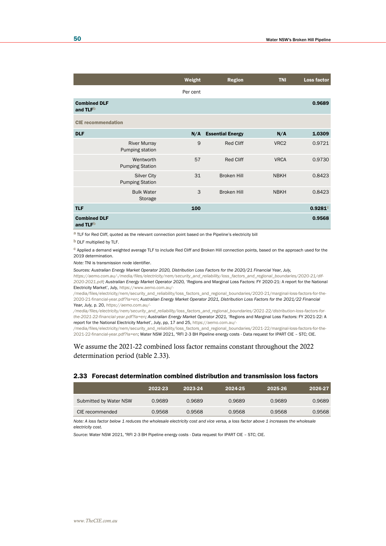|                                             |                                              | Weight   | <b>Region</b>           | <b>TNI</b>       | <b>Loss factor</b> |
|---------------------------------------------|----------------------------------------------|----------|-------------------------|------------------|--------------------|
|                                             |                                              | Per cent |                         |                  |                    |
| <b>Combined DLF</b><br>and TLF <sup>b</sup> |                                              |          |                         |                  | 0.9689             |
| <b>CIE</b> recommendation                   |                                              |          |                         |                  |                    |
| <b>DLF</b>                                  |                                              | N/A      | <b>Essential Energy</b> | N/A              | 1.0309             |
|                                             | <b>River Murray</b><br>Pumping station       | 9        | Red Cliff               | VRC <sub>2</sub> | 0.9721             |
|                                             | Wentworth<br><b>Pumping Station</b>          | 57       | <b>Red Cliff</b>        | <b>VRCA</b>      | 0.9730             |
|                                             | <b>Silver City</b><br><b>Pumping Station</b> | 31       | <b>Broken Hill</b>      | <b>NBKH</b>      | 0.8423             |
|                                             | <b>Bulk Water</b><br>Storage                 | 3        | <b>Broken Hill</b>      | <b>NBKH</b>      | 0.8423             |
| <b>TLF</b>                                  |                                              | 100      |                         |                  | 0.9281c            |
| <b>Combined DLF</b><br>and TLFb             |                                              |          |                         |                  | 0.9568             |

a TLF for Red Cliff, quoted as the relevant connection point based on the Pipeline's electricity bill

**b** DLF multiplied by TLF.

c Applied a demand weighted average TLF to include Red Cliff and Broken Hill connection points, based on the approach used for the 2019 determination.

*Note:* TNI is transmission node identifier.

*Sources: Australian Energy Market Operator 2020, Distribution Loss Factors for the 2020/21 Financial Year, July,* 

*[https://aemo.com.au/-/media/files/electricity/nem/security\\_and\\_reliability/loss\\_factors\\_and\\_regional\\_boundaries/2020-21/dlf-](https://aemo.com.au/-/media/files/electricity/nem/security_and_reliability/loss_factors_and_regional_boundaries/2020-21/dlf-2020-2021.pdf)[2020-2021.pdf;](https://aemo.com.au/-/media/files/electricity/nem/security_and_reliability/loss_factors_and_regional_boundaries/2020-21/dlf-2020-2021.pdf) Australian Energy Market Operator 2020,* 'Regions and Marginal Loss Factors: FY 2020-21: A report for the National Electricity Market', July, [https://www.aemo.com.au/-](https://www.aemo.com.au/-/media/files/electricity/nem/security_and_reliability/loss_factors_and_regional_boundaries/2020-21/marginal-loss-factors-for-the-2020-21-financial-year.pdf?la=en)

[/media/files/electricity/nem/security\\_and\\_reliability/loss\\_factors\\_and\\_regional\\_boundaries/2020-21/marginal-loss-factors-for-the-](https://www.aemo.com.au/-/media/files/electricity/nem/security_and_reliability/loss_factors_and_regional_boundaries/2020-21/marginal-loss-factors-for-the-2020-21-financial-year.pdf?la=en)[2020-21-financial-year.pdf?la=en;](https://www.aemo.com.au/-/media/files/electricity/nem/security_and_reliability/loss_factors_and_regional_boundaries/2020-21/marginal-loss-factors-for-the-2020-21-financial-year.pdf?la=en) *Australian Energy Market Operator 2021, Distribution Loss Factors for the 2021/22 Financial Year, July,* p. 20, *[https://aemo.com.au/-](https://aemo.com.au/-/media/files/electricity/nem/security_and_reliability/loss_factors_and_regional_boundaries/2021-22/distribution-loss-factors-for-the-2021-22-financial-year.pdf?la=en)*

*[/media/files/electricity/nem/security\\_and\\_reliability/loss\\_factors\\_and\\_regional\\_boundaries/2021-22/distribution-loss-factors-for](https://aemo.com.au/-/media/files/electricity/nem/security_and_reliability/loss_factors_and_regional_boundaries/2021-22/distribution-loss-factors-for-the-2021-22-financial-year.pdf?la=en)[the-2021-22-financial-year.pdf?la=en;](https://aemo.com.au/-/media/files/electricity/nem/security_and_reliability/loss_factors_and_regional_boundaries/2021-22/distribution-loss-factors-for-the-2021-22-financial-year.pdf?la=en) Australian Energy Market Operator 2021,* 'Regions and Marginal Loss Factors: FY 2021-22: A report for the National Electricity Market', July, pp, 17 and 25[, https://aemo.com.au/-](https://aemo.com.au/-/media/files/electricity/nem/security_and_reliability/loss_factors_and_regional_boundaries/2021-22/marginal-loss-factors-for-the-2021-22-financial-year.pdf?la=en)

[/media/files/electricity/nem/security\\_and\\_reliability/loss\\_factors\\_and\\_regional\\_boundaries/2021-22/marginal-loss-factors-for-the-](https://aemo.com.au/-/media/files/electricity/nem/security_and_reliability/loss_factors_and_regional_boundaries/2021-22/marginal-loss-factors-for-the-2021-22-financial-year.pdf?la=en)[2021-22-financial-year.pdf?la=en;](https://aemo.com.au/-/media/files/electricity/nem/security_and_reliability/loss_factors_and_regional_boundaries/2021-22/marginal-loss-factors-for-the-2021-22-financial-year.pdf?la=en) Water NSW 2021, "RFI 2-3 BH Pipeline energy costs - Data request for IPART CIE – STC; CIE.

We assume the 2021-22 combined loss factor remains constant throughout the 2022 determination period (table 2.33).

### 2.33 Forecast determination combined distribution and transmission loss factors

|                        | 2022-23 | 2023-24 | 2024-25 | 2025-26 | 2026-27 |
|------------------------|---------|---------|---------|---------|---------|
| Submitted by Water NSW | 0.9689  | 0.9689  | 0.9689  | 0.9689  | 0.9689  |
| CIE recommended        | 0.9568  | 0.9568  | 0.9568  | 0.9568  | 0.9568  |

*Note: A loss factor below 1 reduces the wholesale electricity cost and vice versa, a loss factor above 1 increases the wholesale electricity cost.*

*Source:* Water NSW 2021, "RFI 2-3 BH Pipeline energy costs - Data request for IPART CIE – STC; CIE.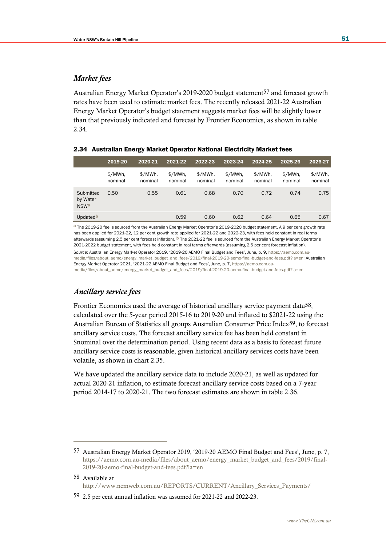## *Market fees*

Australian Energy Market Operator's 2019-2020 budget statement<sup>57</sup> and forecast growth rates have been used to estimate market fees. The recently released 2021-22 Australian Energy Market Operator's budget statement suggests market fees will be slightly lower than that previously indicated and forecast by Frontier Economics, as shown in table 2.34.

|  | 2.34 Australian Energy Market Operator National Electricity Market fees |  |  |  |  |  |  |  |
|--|-------------------------------------------------------------------------|--|--|--|--|--|--|--|
|--|-------------------------------------------------------------------------|--|--|--|--|--|--|--|

|                                      | 2019-20            | 2020-21            | 2021-22            | 2022-23            | 2023-24            | 2024-25            | 2025-26            | 2026-27            |
|--------------------------------------|--------------------|--------------------|--------------------|--------------------|--------------------|--------------------|--------------------|--------------------|
|                                      | \$/MWh.<br>nominal | \$/MWh.<br>nominal | \$/MWh.<br>nominal | \$/MWh.<br>nominal | \$/MWh.<br>nominal | \$/MWh.<br>nominal | \$/MWh.<br>nominal | \$/MWh.<br>nominal |
| Submitted<br>by Water<br><b>NSWa</b> | 0.50               | 0.55               | 0.61               | 0.68               | 0.70               | 0.72               | 0.74               | 0.75               |
| Updated <sup>b</sup>                 |                    |                    | 0.59               | 0.60               | 0.62               | 0.64               | 0.65               | 0.67               |

a The 2019-20 fee is sourced from the Australian Energy Market Operator's 2019-2020 budget statement. A 9 per cent growth rate has been applied for 2021-22, 12 per cent growth rate applied for 2021-22 and 2022-23, with fees held constant in real terms afterwards (assuming 2.5 per cent forecast inflation). <sup>b</sup> The 2021-22 fee is sourced from the Australian Energy Market Operator's 2021-2022 budget statement, with fees held constant in real terms afterwards (assuming 2.5 per cent forecast inflation). *Source:* Australian Energy Market Operator 2019, '2019-20 AEMO Final Budget and Fees', June, p. 9[, https://aemo.com.au](https://aemo.com.au-media/files/about_aemo/energy_market_budget_and_fees/2019/final-2019-20-aemo-final-budget-and-fees.pdf?la=en)[media/files/about\\_aemo/energy\\_market\\_budget\\_and\\_fees/2019/final-2019-20-aemo-final-budget-and-fees.pdf?la=en;](https://aemo.com.au-media/files/about_aemo/energy_market_budget_and_fees/2019/final-2019-20-aemo-final-budget-and-fees.pdf?la=en) Australian Energy Market Operator 2021, '2021-22 AEMO Final Budget and Fees', June, p. 7, [https://aemo.com.au](https://aemo.com.au-media/files/about_aemo/energy_market_budget_and_fees/2019/final-2019-20-aemo-final-budget-and-fees.pdf?la=en)[media/files/about\\_aemo/energy\\_market\\_budget\\_and\\_fees/2019/final-2019-20-aemo-final-budget-and-fees.pdf?la=en](https://aemo.com.au-media/files/about_aemo/energy_market_budget_and_fees/2019/final-2019-20-aemo-final-budget-and-fees.pdf?la=en)

## *Ancillary service fees*

Frontier Economics used the average of historical ancillary service payment data58, calculated over the 5-year period 2015-16 to 2019-20 and inflated to \$2021-22 using the Australian Bureau of Statistics all groups Australian Consumer Price Index59, to forecast ancillary service costs. The forecast ancillary service fee has been held constant in \$nominal over the determination period. Using recent data as a basis to forecast future ancillary service costs is reasonable, given historical ancillary services costs have been volatile, as shown in chart 2.35.

We have updated the ancillary service data to include 2020-21, as well as updated for actual 2020-21 inflation, to estimate forecast ancillary service costs based on a 7-year period 2014-17 to 2020-21. The two forecast estimates are shown in table 2.36.

<sup>57</sup> Australian Energy Market Operator 2019, '2019-20 AEMO Final Budget and Fees', June, p. 7, [https://aemo.com.au-media/files/about\\_aemo/energy\\_market\\_budget\\_and\\_fees/2019/final-](https://aemo.com.au-media/files/about_aemo/energy_market_budget_and_fees/2019/final-2019-20-aemo-final-budget-and-fees.pdf?la=en)[2019-20-aemo-final-budget-and-fees.pdf?la=en](https://aemo.com.au-media/files/about_aemo/energy_market_budget_and_fees/2019/final-2019-20-aemo-final-budget-and-fees.pdf?la=en)

<sup>58</sup> Available at [http://www.nemweb.com.au/REPORTS/CURRENT/Ancillary\\_Services\\_Payments/](http://www.nemweb.com.au/REPORTS/CURRENT/Ancillary_Services_Payments/)

<sup>59</sup> 2.5 per cent annual inflation was assumed for 2021-22 and 2022-23.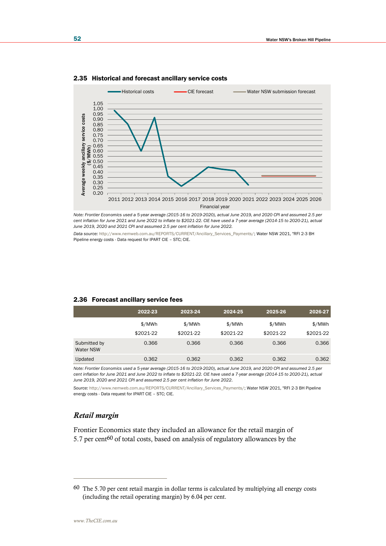

#### 2.35 Historical and forecast ancillary service costs

*Note: Frontier Economics used a 5-year average (2015-16 to 2019-2020), actual June 2019, and 2020 CPI and assumed 2.5 per cent inflation for June 2021 and June 2022 to inflate to \$2021-22. CIE have used a 7-year average (2014-15 to 2020-21), actual June 2019, 2020 and 2021 CPI and assumed 2.5 per cent inflation for June 2022.*

*Data source:* [http://www.nemweb.com.au/REPORTS/CURRENT/Ancillary\\_Services\\_Payments/;](http://www.nemweb.com.au/REPORTS/CURRENT/Ancillary_Services_Payments/) Water NSW 2021, "RFI 2-3 BH Pipeline energy costs - Data request for IPART CIE – STC; CIE.

#### 2.36 Forecast ancillary service fees

|                           | 2022-23   | 2023-24   | 2024-25   | 2025-26   | 2026-27   |
|---------------------------|-----------|-----------|-----------|-----------|-----------|
|                           | \$/MWh    | \$/MWh    | \$/MWh    | \$/MWh    | \$/MWh    |
|                           | \$2021-22 | \$2021-22 | \$2021-22 | \$2021-22 | \$2021-22 |
| Submitted by<br>Water NSW | 0.366     | 0.366     | 0.366     | 0.366     | 0.366     |
| Updated                   | 0.362     | 0.362     | 0.362     | 0.362     | 0.362     |

*Note: Frontier Economics used a 5-year average (2015-16 to 2019-2020), actual June 2019, and 2020 CPI and assumed 2.5 per cent inflation for June 2021 and June 2022 to inflate to \$2021-22. CIE have used a 7-year average (2014-15 to 2020-21), actual June 2019, 2020 and 2021 CPI and assumed 2.5 per cent inflation for June 2022.*

Source: [http://www.nemweb.com.au/REPORTS/CURRENT/Ancillary\\_Services\\_Payments/;](http://www.nemweb.com.au/REPORTS/CURRENT/Ancillary_Services_Payments/) Water NSW 2021, "RFI 2-3 BH Pipeline energy costs - Data request for IPART CIE - STC; CIE.

## *Retail margin*

Frontier Economics state they included an allowance for the retail margin of 5.7 per cent<sup>60</sup> of total costs, based on analysis of regulatory allowances by the

<sup>60</sup> The 5.70 per cent retail margin in dollar terms is calculated by multiplying all energy costs (including the retail operating margin) by 6.04 per cent.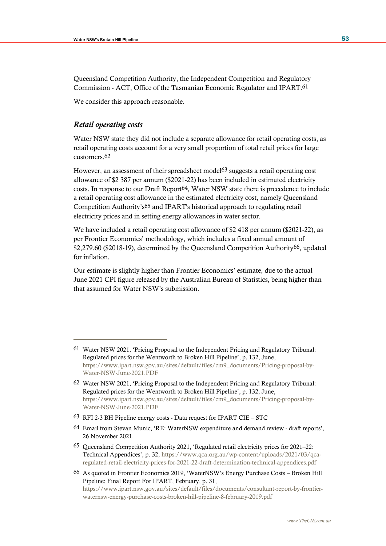Queensland Competition Authority, the Independent Competition and Regulatory Commission - ACT, Office of the Tasmanian Economic Regulator and IPART.61

We consider this approach reasonable.

## *Retail operating costs*

Water NSW state they did not include a separate allowance for retail operating costs, as retail operating costs account for a very small proportion of total retail prices for large customers.62

However, an assessment of their spreadsheet model63 suggests a retail operating cost allowance of \$2 387 per annum (\$2021-22) has been included in estimated electricity costs. In response to our Draft Report64, Water NSW state there is precedence to include a retail operating cost allowance in the estimated electricity cost, namely Queensland Competition Authority's65 and IPART's historical approach to regulating retail electricity prices and in setting energy allowances in water sector.

We have included a retail operating cost allowance of \$2 418 per annum (\$2021-22), as per Frontier Economics' methodology, which includes a fixed annual amount of \$2,279.60 (\$2018-19), determined by the Queensland Competition Authority66, updated for inflation.

Our estimate is slightly higher than Frontier Economics' estimate, due to the actual June 2021 CPI figure released by the Australian Bureau of Statistics, being higher than that assumed for Water NSW's submission.

- 63 RFI 2-3 BH Pipeline energy costs Data request for IPART CIE STC
- 64 Email from Stevan Munic, 'RE: WaterNSW expenditure and demand review draft reports', 26 November 2021.

<sup>61</sup> Water NSW 2021, 'Pricing Proposal to the Independent Pricing and Regulatory Tribunal: Regulated prices for the Wentworth to Broken Hill Pipeline', p. 132, June, [https://www.ipart.nsw.gov.au/sites/default/files/cm9\\_documents/Pricing-proposal-by-](https://www.ipart.nsw.gov.au/sites/default/files/cm9_documents/Pricing-proposal-by-Water-NSW-June-2021.PDF)[Water-NSW-June-2021.PDF](https://www.ipart.nsw.gov.au/sites/default/files/cm9_documents/Pricing-proposal-by-Water-NSW-June-2021.PDF)

<sup>62</sup> Water NSW 2021, 'Pricing Proposal to the Independent Pricing and Regulatory Tribunal: Regulated prices for the Wentworth to Broken Hill Pipeline', p. 132, June, [https://www.ipart.nsw.gov.au/sites/default/files/cm9\\_documents/Pricing-proposal-by-](https://www.ipart.nsw.gov.au/sites/default/files/cm9_documents/Pricing-proposal-by-Water-NSW-June-2021.PDF)[Water-NSW-June-2021.PDF](https://www.ipart.nsw.gov.au/sites/default/files/cm9_documents/Pricing-proposal-by-Water-NSW-June-2021.PDF)

<sup>65</sup> Queensland Competition Authority 2021, 'Regulated retail electricity prices for 2021–22: Technical Appendices', p. 32, [https://www.qca.org.au/wp-content/uploads/2021/03/qca](https://www.qca.org.au/wp-content/uploads/2021/03/qca-regulated-retail-electricity-prices-for-2021-22-draft-determination-technical-appendices.pdf)[regulated-retail-electricity-prices-for-2021-22-draft-determination-technical-appendices.pdf](https://www.qca.org.au/wp-content/uploads/2021/03/qca-regulated-retail-electricity-prices-for-2021-22-draft-determination-technical-appendices.pdf)

<sup>66</sup> As quoted in Frontier Economics 2019, 'WaterNSW's Energy Purchase Costs – Broken Hill Pipeline: Final Report For IPART, February, p. 31,

[https://www.ipart.nsw.gov.au/sites/default/files/documents/consultant-report-by-frontier](https://www.ipart.nsw.gov.au/sites/default/files/documents/consultant-report-by-frontier-waternsw-energy-purchase-costs-broken-hill-pipeline-8-february-2019.pdf)[waternsw-energy-purchase-costs-broken-hill-pipeline-8-february-2019.pdf](https://www.ipart.nsw.gov.au/sites/default/files/documents/consultant-report-by-frontier-waternsw-energy-purchase-costs-broken-hill-pipeline-8-february-2019.pdf)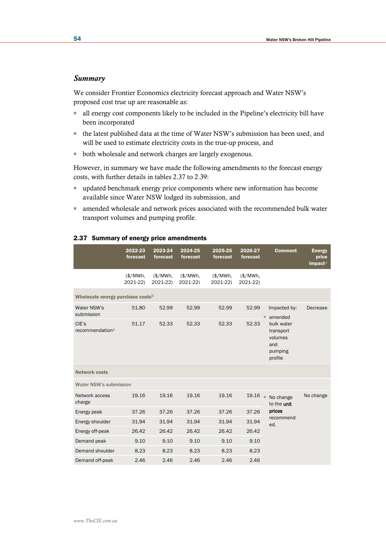#### *Summary*

We consider Frontier Economics electricity forecast approach and Water NSW's proposed cost true up are reasonable as:

- all energy cost components likely to be included in the Pipeline's electricity bill have been incorporated
- the latest published data at the time of Water NSW's submission has been used, and will be used to estimate electricity costs in the true-up process, and
- both wholesale and network charges are largely exogenous.

However, in summary we have made the following amendments to the forecast energy costs, with further details in tables 2.37 to 2.39:

- updated benchmark energy price components where new information has become available since Water NSW lodged its submission, and
- amended wholesale and network prices associated with the recommended bulk water transport volumes and pumping profile.

|                                              | 2022-23<br>forecast   | 2023-24<br>forecast  | 2024-25<br>forecast  | 2025-26<br>forecast  | 2026-27<br>forecast   | <b>Comment</b>                                                  | <b>Energy</b><br>price<br>impacta |
|----------------------------------------------|-----------------------|----------------------|----------------------|----------------------|-----------------------|-----------------------------------------------------------------|-----------------------------------|
|                                              | $(*/MWh,$<br>2021-22) | (\$/MWh.<br>2021-22) | (\$/MWh.<br>2021-22) | (\$/MWh,<br>2021-22) | $(*/MWh,$<br>2021-22) |                                                                 |                                   |
| Wholesale energy purchase costs <sup>b</sup> |                       |                      |                      |                      |                       |                                                                 |                                   |
| Water NSW's<br>submission                    | 51.80                 | 52.99                | 52.99                | 52.99                | 52.99                 | Impacted by:<br>amended<br>ш                                    | Decrease                          |
| CIE's<br>recommendation <sup>c</sup>         | 51.17                 | 52.33                | 52.33                | 52.33                | 52.33                 | bulk water<br>transport<br>volumes<br>and<br>pumping<br>profile |                                   |
| <b>Network costs</b>                         |                       |                      |                      |                      |                       |                                                                 |                                   |
| <b>Water NSW's submission</b>                |                       |                      |                      |                      |                       |                                                                 |                                   |
| Network access<br>charge                     | 19.16                 | 19.16                | 19.16                | 19.16                | 19.16                 | ×,<br>No change<br>to the unit                                  | No change                         |
| Energy peak                                  | 37.26                 | 37.26                | 37.26                | 37.26                | 37.26                 | prices                                                          |                                   |
| Energy shoulder                              | 31.94                 | 31.94                | 31.94                | 31.94                | 31.94                 | recommend<br>ed.                                                |                                   |
| Energy off-peak                              | 26.42                 | 26.42                | 26.42                | 26.42                | 26.42                 |                                                                 |                                   |
| Demand peak                                  | 9.10                  | 9.10                 | 9.10                 | 9.10                 | 9.10                  |                                                                 |                                   |
| Demand shoulder                              | 8.23                  | 8.23                 | 8.23                 | 8.23                 | 8.23                  |                                                                 |                                   |
| Demand off-peak                              | 2.46                  | 2.46                 | 2.46                 | 2.46                 | 2.46                  |                                                                 |                                   |

#### 2.37 Summary of energy price amendments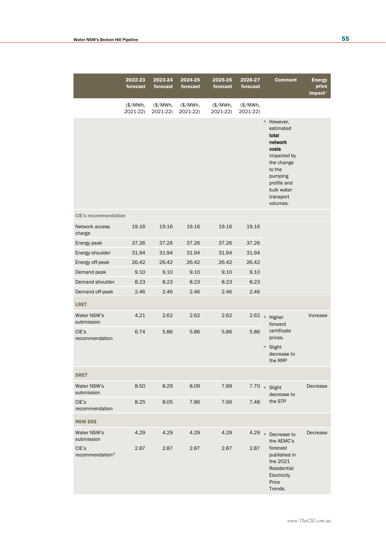|                             | 2022-23<br>forecast  | $2023 - 24$<br>forecast | 2024-25<br>forecast  | 2025-26<br>forecast  | 2026-27<br>forecast  |   | <b>Comment</b>                                                                                                                                               | <b>Energy</b><br>price<br>impacta |
|-----------------------------|----------------------|-------------------------|----------------------|----------------------|----------------------|---|--------------------------------------------------------------------------------------------------------------------------------------------------------------|-----------------------------------|
|                             | (\$/MWh,<br>2021-22) | (\$/MWh,<br>2021-22)    | (\$/MWh,<br>2021-22) | (\$/MWh,<br>2021-22) | (\$/MWh,<br>2021-22) |   |                                                                                                                                                              |                                   |
|                             |                      |                         |                      |                      |                      |   | ■ However,<br>estimated<br>total<br>network<br>costs<br>impacted by<br>the change<br>to the<br>pumping<br>profile and<br>bulk water<br>transport<br>volumes. |                                   |
| <b>CIE's recommendation</b> |                      |                         |                      |                      |                      |   |                                                                                                                                                              |                                   |
| Network access<br>charge    | 19.16                | 19.16                   | 19.16                | 19.16                | 19.16                |   |                                                                                                                                                              |                                   |
| Energy peak                 | 37.26                | 37.26                   | 37.26                | 37.26                | 37.26                |   |                                                                                                                                                              |                                   |
| Energy shoulder             | 31.94                | 31.94                   | 31.94                | 31.94                | 31.94                |   |                                                                                                                                                              |                                   |
| Energy off-peak             | 26.42                | 26.42                   | 26.42                | 26.42                | 26.42                |   |                                                                                                                                                              |                                   |
| Demand peak                 | 9.10                 | 9.10                    | 9.10                 | 9.10                 | 9.10                 |   |                                                                                                                                                              |                                   |
| Demand shoulder             | 8.23                 | 8.23                    | 8.23                 | 8.23                 | 8.23                 |   |                                                                                                                                                              |                                   |
| Demand off-peak             | 2.46                 | 2.46                    | 2.46                 | 2.46                 | 2.46                 |   |                                                                                                                                                              |                                   |
| <b>LRET</b>                 |                      |                         |                      |                      |                      |   |                                                                                                                                                              |                                   |
| Water NSW's<br>submission   | 4.21                 | 2.62                    | 2.62                 | 2.62                 | 2.62                 |   | Higher<br>forward                                                                                                                                            | Increase                          |
| CIE's<br>recommendation     | 6.74                 | 5.86                    | 5.86                 | 5.86                 | 5.86                 |   | certificate<br>prices.<br>■ Slight<br>decrease to<br>the RRP                                                                                                 |                                   |
| <b>SRET</b>                 |                      |                         |                      |                      |                      |   |                                                                                                                                                              |                                   |
| Water NSW's<br>submission   | 8.50                 | 8.29                    | 8.09                 | 7.89                 |                      |   | $7.70$ = Slight<br>decrease to                                                                                                                               | Decrease                          |
| CIE's<br>recommendation     | 8.25                 | 8.05                    | 7.86                 | 7.66                 | 7.48                 |   | the STP                                                                                                                                                      |                                   |
| <b>NSW ESS</b>              |                      |                         |                      |                      |                      |   |                                                                                                                                                              |                                   |
| Water NSW's<br>submission   | 4.29                 | 4.29                    | 4.29                 | 4.29                 | 4.29                 | × | Decrease to<br>the AEMC's                                                                                                                                    | Decrease                          |
| CIE's<br>recommendationd    | 2.87                 | 2.87                    | 2.87                 | 2.87                 | 2.87                 |   | forecast<br>published in<br>the 2021<br>Residential<br>Electricity<br>Price<br>Trends.                                                                       |                                   |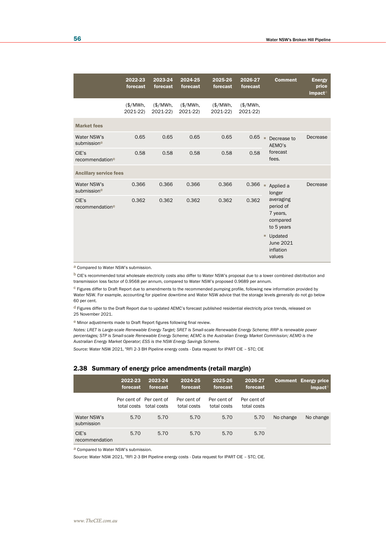|                               | 2022-23<br>forecast | 2023-24<br>forecast              | 2024-25<br>forecast  | 2025-26<br>forecast | 2026-27<br>forecast | <b>Comment</b>                                               | <b>Energy</b><br>price<br>impacta |
|-------------------------------|---------------------|----------------------------------|----------------------|---------------------|---------------------|--------------------------------------------------------------|-----------------------------------|
|                               | \$/MWh.<br>2021-22) | $(\frac{4}{3})$ MWh,<br>2021-22) | (\$/MWh.<br>2021-22) | \$/MWh.<br>2021-22) | \$/MWh.<br>2021-22) |                                                              |                                   |
| <b>Market fees</b>            |                     |                                  |                      |                     |                     |                                                              |                                   |
| Water NSW's<br>submissione    | 0.65                | 0.65                             | 0.65                 | 0.65                | 0.65                | ٠<br>Decrease to<br>AEMO's                                   | Decrease                          |
| CIE's<br>recommendatione      | 0.58                | 0.58                             | 0.58                 | 0.58                | 0.58                | forecast<br>fees.                                            |                                   |
| <b>Ancillary service fees</b> |                     |                                  |                      |                     |                     |                                                              |                                   |
| Water NSW's<br>submissione    | 0.366               | 0.366                            | 0.366                | 0.366               | 0.366               | ٠<br>Applied a<br>longer                                     | Decrease                          |
| CIE's<br>recommendatione      | 0.362               | 0.362                            | 0.362                | 0.362               | 0.362               | averaging<br>period of<br>7 years,<br>compared<br>to 5 years |                                   |
|                               |                     |                                  |                      |                     |                     | Updated<br>ш<br>June 2021<br>inflation<br>values             |                                   |

a Compared to Water NSW's submission.

b CIE's recommended total wholesale electricity costs also differ to Water NSW's proposal due to a lower combined distribution and transmission loss factor of 0.9568 per annum, compared to Water NSW's proposed 0.9689 per annum.

c Figures differ to Draft Report due to amendments to the recommended pumping profile, following new information provided by Water NSW. For example, accounting for pipeline downtime and Water NSW advice that the storage levels generally do not go below 60 per cent.

 $d$  Figures differ to the Draft Report due to updated AEMC's forecast published residential electricity price trends, released on 25 November 2021.

e Minor adjustments made to Draft Report figures following final review.

*Notes: LRET is Large-scale Renewable Energy Target; SRET is Small-scale Renewable Energy Scheme; RRP is renewable power percentages; STP is Small-scale Renewable Energy Scheme; AEMC is the Australian Energy Market Commission; AEMO is the Australian Energy Market Operator; ESS is the NSW Energy Savings Scheme.*

*Source:* Water NSW 2021, "RFI 2-3 BH Pipeline energy costs - Data request for IPART CIE – STC; CIE

#### 2.38 Summary of energy price amendments (retail margin)

|                           | 2022-23<br>forecast | 2023-24<br>forecast                    | 2024-25<br>forecast        | 2025-26<br>forecast        | 2026-27<br>forecast        |           | <b>Comment Energy price</b><br>impact <sup>a</sup> |
|---------------------------|---------------------|----------------------------------------|----------------------------|----------------------------|----------------------------|-----------|----------------------------------------------------|
|                           | total costs         | Per cent of Per cent of<br>total costs | Per cent of<br>total costs | Per cent of<br>total costs | Per cent of<br>total costs |           |                                                    |
| Water NSW's<br>submission | 5.70                | 5.70                                   | 5.70                       | 5.70                       | 5.70                       | No change | No change                                          |
| CIE's<br>recommendation   | 5.70                | 5.70                                   | 5.70                       | 5.70                       | 5.70                       |           |                                                    |

a Compared to Water NSW's submission.

*Source:* Water NSW 2021, "RFI 2-3 BH Pipeline energy costs - Data request for IPART CIE – STC; CIE.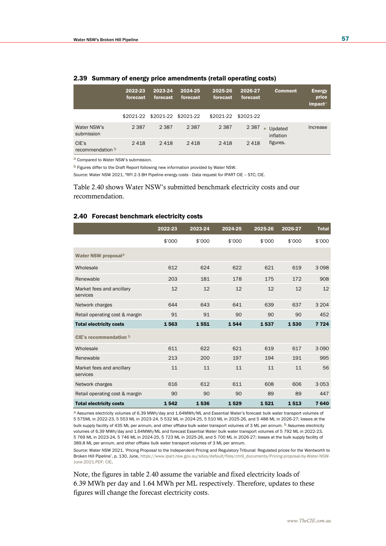|                                  | 2022-23<br>forecast | 2023-24<br>forecast | 2024-25<br>forecast | 2025-26<br>forecast | 2026-27<br>forecast | <b>Comment</b>            | <b>Energy</b><br>price<br>impact |
|----------------------------------|---------------------|---------------------|---------------------|---------------------|---------------------|---------------------------|----------------------------------|
|                                  | \$2021-22           | \$2021-22 \$2021-22 |                     | \$2021-22           | \$2021-22           |                           |                                  |
| Water NSW's<br>submission        | 2 3 8 7             | 2 3 8 7             | 2 3 8 7             | 2 3 8 7             | 2 3 8 7             | Updated<br>٠<br>inflation | Increase                         |
| CIE's<br>recommendation <b>b</b> | 2418                | 2418                | 2418                | 2418                | 2418                | figures.                  |                                  |

#### 2.39 Summary of energy price amendments (retail operating costs)

a Compared to Water NSW's submission.

b Figures differ to the Draft Report following new information provided by Water NSW.

*Source:* Water NSW 2021, "RFI 2-3 BH Pipeline energy costs - Data request for IPART CIE – STC; CIE.

Table 2.40 shows Water NSW's submitted benchmark electricity costs and our recommendation.

#### 2.40 Forecast benchmark electricity costs

|                                       | 2022-23 | 2023-24 | 2024-25 | 2025-26 | 2026-27 | <b>Total</b> |
|---------------------------------------|---------|---------|---------|---------|---------|--------------|
|                                       | \$'000  | \$'000  | \$'000  | \$'000  | \$'000  | \$'000       |
| Water NSW proposal <sup>a</sup>       |         |         |         |         |         |              |
| Wholesale                             | 612     | 624     | 622     | 621     | 619     | 3098         |
| Renewable                             | 203     | 181     | 178     | 175     | 172     | 908          |
| Market fees and ancillary<br>services | 12      | 12      | 12      | 12      | 12      | 12           |
| Network charges                       | 644     | 643     | 641     | 639     | 637     | 3 2 0 4      |
| Retail operating cost & margin        | 91      | 91      | 90      | 90      | 90      | 452          |
| <b>Total electricity costs</b>        | 1563    | 1551    | 1544    | 1537    | 1530    | 7 7 2 4      |
| CIE's recommendation b                |         |         |         |         |         |              |
| Wholesale                             | 611     | 622     | 621     | 619     | 617     | 3 0 9 0      |
| Renewable                             | 213     | 200     | 197     | 194     | 191     | 995          |
| Market fees and ancillary<br>services | 11      | 11      | 11      | 11      | 11      | 56           |
| Network charges                       | 616     | 612     | 611     | 608     | 606     | 3053         |
| Retail operating cost & margin        | 90      | 90      | 90      | 89      | 89      | 447          |
| <b>Total electricity costs</b>        | 1542    | 1536    | 1529    | 1521    | 1513    | 7640         |

a Assumes electricity volumes of 6.39 MWh/day and 1.64MWh/ML and Essential Water's forecast bulk water transport volumes of 5 575ML in 2022-23, 5 553 ML in 2023-24, 5 532 ML in 2024-25, 5 510 ML in 2025-26, and 5 488 ML in 2026-27; losses at the bulk supply facility of 435 ML per annum, and other offtake bulk water transport volumes of 3 ML per annum. <sup>b</sup> Assumes electricity volumes of 6.39 MWh/day and 1.64MWh/ML and forecast Essential Water bulk water transport volumes of 5 792 ML in 2022-23, 5 769 ML in 2023-24, 5 746 ML in 2024-25, 5 723 ML in 2025-26, and 5 700 ML in 2026-27; losses at the bulk supply facility of 389.8 ML per annum, and other offtake bulk water transport volumes of 3 ML per annum.

*Source:* Water NSW 2021, 'Pricing Proposal to the Independent Pricing and Regulatory Tribunal: Regulated prices for the Wentworth to Broken Hill Pipeline', p. 130, June, [https://www.ipart.nsw.gov.au/sites/default/files/cm9\\_documents/Pricing-proposal-by-Water-NSW-](https://www.ipart.nsw.gov.au/sites/default/files/cm9_documents/Pricing-proposal-by-Water-NSW-June-2021.PDF)[June-2021.PDF;](https://www.ipart.nsw.gov.au/sites/default/files/cm9_documents/Pricing-proposal-by-Water-NSW-June-2021.PDF) CIE.

Note, the figures in table 2.40 assume the variable and fixed electricity loads of 6.39 MWh per day and 1.64 MWh per ML respectively. Therefore, updates to these figures will change the forecast electricity costs.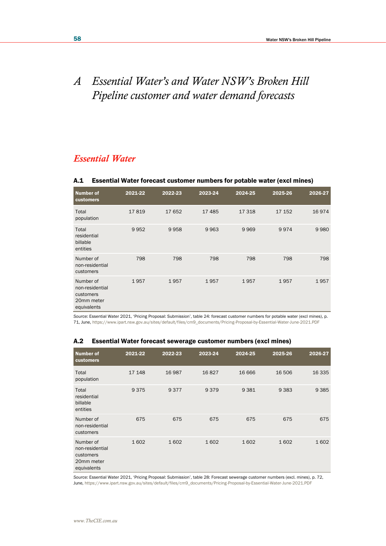# *A Essential Water's and Water NSW's Broken Hill Pipeline customer and water demand forecasts*

## *Essential Water*

### A.1 Essential Water forecast customer numbers for potable water (excl mines)

| <b>Number of</b><br>customers                                          | 2021-22 | 2022-23 | 2023-24 | 2024-25 | 2025-26 | 2026-27 |
|------------------------------------------------------------------------|---------|---------|---------|---------|---------|---------|
| Total<br>population                                                    | 17819   | 17652   | 17485   | 17318   | 17 152  | 16974   |
| Total<br>residential<br>billable<br>entities                           | 9952    | 9958    | 9963    | 9969    | 9974    | 9980    |
| Number of<br>non-residential<br>customers                              | 798     | 798     | 798     | 798     | 798     | 798     |
| Number of<br>non-residential<br>customers<br>20mm meter<br>equivalents | 1957    | 1957    | 1957    | 1957    | 1957    | 1957    |

*Source:* Essential Water 2021, 'Pricing Proposal: Submission', table 24: forecast customer numbers for potable water (excl mines), p. 71, June[, https://www.ipart.nsw.gov.au/sites/default/files/cm9\\_documents/Pricing-Proposal-by-Essential-Water-June-2021.PDF](https://www.ipart.nsw.gov.au/sites/default/files/cm9_documents/Pricing-Proposal-by-Essential-Water-June-2021.PDF)

| Number of<br>customers                                                 | 2021-22 | 2022-23 | 2023-24 | 2024-25 | 2025-26 | 2026-27 |
|------------------------------------------------------------------------|---------|---------|---------|---------|---------|---------|
| Total<br>population                                                    | 17 148  | 16987   | 16827   | 16 6 66 | 16 506  | 16 3 35 |
| Total<br>residential<br>billable<br>entities                           | 9375    | 9377    | 9379    | 9381    | 9 3 8 3 | 9 3 8 5 |
| Number of<br>non-residential<br>customers                              | 675     | 675     | 675     | 675     | 675     | 675     |
| Number of<br>non-residential<br>customers<br>20mm meter<br>equivalents | 1602    | 1602    | 1602    | 1602    | 1602    | 1602    |

## A.2 Essential Water forecast sewerage customer numbers (excl mines)

*Source:* Essential Water 2021, 'Pricing Proposal: Submission', table 28: Forecast sewerage customer numbers (excl. mines), p. 72, June[, https://www.ipart.nsw.gov.au/sites/default/files/cm9\\_documents/Pricing-Proposal-by-Essential-Water-June-2021.PDF](https://www.ipart.nsw.gov.au/sites/default/files/cm9_documents/Pricing-Proposal-by-Essential-Water-June-2021.PDF)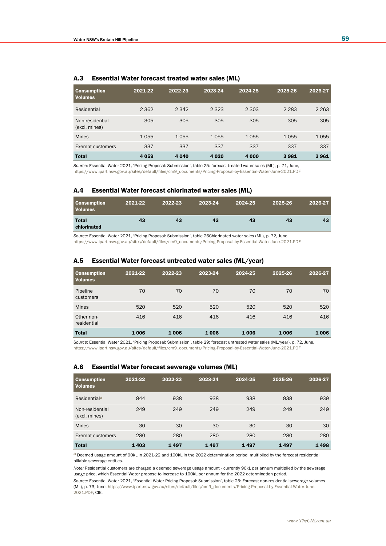| <b>Consumption</b><br><b>Volumes</b> | 2021-22 | 2022-23 | 2023-24 | 2024-25 | 2025-26 | 2026-27 |
|--------------------------------------|---------|---------|---------|---------|---------|---------|
| Residential                          | 2 3 6 2 | 2 3 4 2 | 2 3 2 3 | 2 3 0 3 | 2 2 8 3 | 2 2 6 3 |
| Non-residential<br>(excl. mines)     | 305     | 305     | 305     | 305     | 305     | 305     |
| <b>Mines</b>                         | 1055    | 1055    | 1055    | 1055    | 1055    | 1055    |
| Exempt customers                     | 337     | 337     | 337     | 337     | 337     | 337     |
| <b>Total</b>                         | 4 0 5 9 | 4 0 4 0 | 4 0 2 0 | 4 0 0 0 | 3981    | 3961    |

#### A.3 Essential Water forecast treated water sales (ML)

*Source:* Essential Water 2021, 'Pricing Proposal: Submission', table 25: forecast treated water sales (ML), p. 71, June, [https://www.ipart.nsw.gov.au/sites/default/files/cm9\\_documents/Pricing-Proposal-by-Essential-Water-June-2021.PDF](https://www.ipart.nsw.gov.au/sites/default/files/cm9_documents/Pricing-Proposal-by-Essential-Water-June-2021.PDF)

#### A.4 Essential Water forecast chlorinated water sales (ML)

| <b>Consumption</b><br><b>Volumes</b> | 2021-22 | 2022-23 | 2023-24 | 2024-25 | 2025-26 | 2026-27 |
|--------------------------------------|---------|---------|---------|---------|---------|---------|
| <b>Total</b><br>chlorinated          | 43      | 43      | 43      | 43      | 43      | 43      |

*Source:* Essential Water 2021, 'Pricing Proposal: Submission', table 26Chlorinated water sales (ML), p. 72, June, [https://www.ipart.nsw.gov.au/sites/default/files/cm9\\_documents/Pricing-Proposal-by-Essential-Water-June-2021.PDF](https://www.ipart.nsw.gov.au/sites/default/files/cm9_documents/Pricing-Proposal-by-Essential-Water-June-2021.PDF)

#### A.5 Essential Water forecast untreated water sales (ML/year)

| <b>Consumption</b><br><b>Volumes</b> | 2021-22 | 2022-23 | 2023-24 | 2024-25 | 2025-26 | 2026-27 |
|--------------------------------------|---------|---------|---------|---------|---------|---------|
| Pipeline<br>customers                | 70      | 70      | 70      | 70      | 70      | 70      |
| <b>Mines</b>                         | 520     | 520     | 520     | 520     | 520     | 520     |
| Other non-<br>residential            | 416     | 416     | 416     | 416     | 416     | 416     |
| <b>Total</b>                         | 1006    | 1006    | 1006    | 1006    | 1006    | 1006    |

*Source:* Essential Water 2021, 'Pricing Proposal: Submission', table 29: forecast untreated water sales (ML/year), p. 72, June, [https://www.ipart.nsw.gov.au/sites/default/files/cm9\\_documents/Pricing-Proposal-by-Essential-Water-June-2021.PDF](https://www.ipart.nsw.gov.au/sites/default/files/cm9_documents/Pricing-Proposal-by-Essential-Water-June-2021.PDF)

#### A.6 Essential Water forecast sewerage volumes (ML)

| <b>Consumption</b><br><b>Volumes</b> | 2021-22 | 2022-23 | 2023-24 | 2024-25 | 2025-26 | 2026-27 |
|--------------------------------------|---------|---------|---------|---------|---------|---------|
| Residential <sup>a</sup>             | 844     | 938     | 938     | 938     | 938     | 939     |
| Non-residential<br>(excl. mines)     | 249     | 249     | 249     | 249     | 249     | 249     |
| <b>Mines</b>                         | 30      | 30      | 30      | 30      | 30      | 30      |
| Exempt customers                     | 280     | 280     | 280     | 280     | 280     | 280     |
| <b>Total</b>                         | 1403    | 1497    | 1497    | 1497    | 1497    | 1498    |

a Deemed usage amount of 90kL in 2021-22 and 100kL in the 2022 determination period, multiplied by the forecast residential billable sewerage entities.

*Note:* Residential customers are charged a deemed sewerage usage amount - currently 90kL per annum multiplied by the sewerage usage price, which Essential Water propose to increase to 100kL per annum for the 2022 determination period.

*Source:* Essential Water 2021, 'Essential Water Pricing Proposal: Submission', table 25: Forecast non-residential sewerage volumes (ML), p. 73, June[, https://www.ipart.nsw.gov.au/sites/default/files/cm9\\_documents/Pricing-Proposal-by-Essential-Water-June-](https://www.ipart.nsw.gov.au/sites/default/files/cm9_documents/Pricing-Proposal-by-Essential-Water-June-2021.PDF)[2021.PDF;](https://www.ipart.nsw.gov.au/sites/default/files/cm9_documents/Pricing-Proposal-by-Essential-Water-June-2021.PDF) CIE.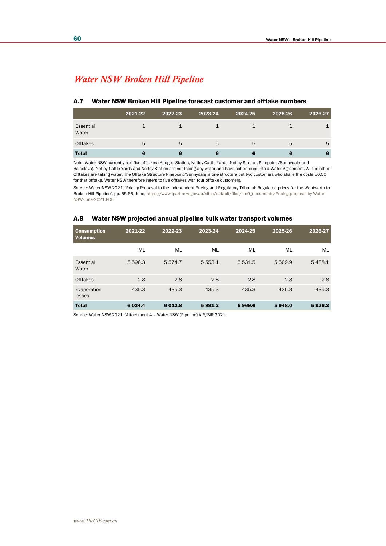## *Water NSW Broken Hill Pipeline*

### A.7 Water NSW Broken Hill Pipeline forecast customer and offtake numbers

|                    | 2021-22 | 2022-23 | 2023-24 | 2024-25 | 2025-26 | 2026-27 |
|--------------------|---------|---------|---------|---------|---------|---------|
| Essential<br>Water |         |         |         |         |         |         |
| <b>Offtakes</b>    | 5       | 5       | 5       | 5       | 5       | 5       |
| <b>Total</b>       |         |         |         |         |         | 6       |

Note: Water NSW currently has five offtakes (Kudgee Station, Netley Cattle Yards, Netley Station, Pinepoint /Sunnydale and Balaclava). Netley Cattle Yards and Netley Station are not taking any water and have not entered into a Water Agreement. All the other Offtakes are taking water. The Offtake Structure Pinepoint/Sunnydale is one structure but two customers who share the costs 50:50 for that offtake. Water NSW therefore refers to five offtakes with four offtake customers.

*Source:* Water NSW 2021, 'Pricing Proposal to the Independent Pricing and Regulatory Tribunal: Regulated prices for the Wentworth to Broken Hill Pipeline', pp. 65-66, June[, https://www.ipart.nsw.gov.au/sites/default/files/cm9\\_documents/Pricing-proposal-by-Water-](https://www.ipart.nsw.gov.au/sites/default/files/cm9_documents/Pricing-proposal-by-Water-NSW-June-2021.PDF)[NSW-June-2021.PDF.](https://www.ipart.nsw.gov.au/sites/default/files/cm9_documents/Pricing-proposal-by-Water-NSW-June-2021.PDF) 

#### A.8 Water NSW projected annual pipeline bulk water transport volumes

| <b>Consumption</b><br><b>Volumes</b> | 2021-22   | 2022-23     | 2023-24   | 2024-25   | 2025-26 | 2026-27 |
|--------------------------------------|-----------|-------------|-----------|-----------|---------|---------|
|                                      | ML        | ML          | ML        | <b>ML</b> | ML      | ML      |
| Essential<br>Water                   | 5 5 9 6.3 | 5 5 7 4 . 7 | 5 5 5 3.1 | 5 5 3 1.5 | 5 509.9 | 5488.1  |
| <b>Offtakes</b>                      | 2.8       | 2.8         | 2.8       | 2.8       | 2.8     | 2.8     |
| Evaporation<br>losses                | 435.3     | 435.3       | 435.3     | 435.3     | 435.3   | 435.3   |
| <b>Total</b>                         | 6 0 34.4  | 6 0 1 2.8   | 5991.2    | 5969.6    | 5948.0  | 5926.2  |

Source: Water NSW 2021, 'Attachment 4 – Water NSW (Pipeline) AIR/SIR 2021.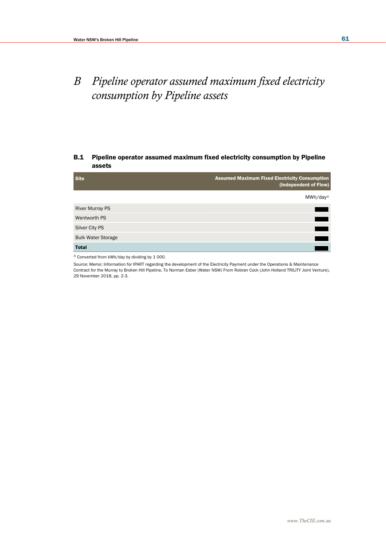# *B Pipeline operator assumed maximum fixed electricity consumption by Pipeline assets*

## B.1 Pipeline operator assumed maximum fixed electricity consumption by Pipeline assets

| <b>Site</b>               | <b>Assumed Maximum Fixed Electricity Consumption</b><br>(Independent of Flow) |
|---------------------------|-------------------------------------------------------------------------------|
|                           | MWh/day <sup>a</sup>                                                          |
| <b>River Murray PS</b>    |                                                                               |
| Wentworth PS              |                                                                               |
| Silver City PS            |                                                                               |
| <b>Bulk Water Storage</b> |                                                                               |
| <b>Total</b>              |                                                                               |

a Converted from kWh/day by dividing by 1 000.

*Source:* Memo: Information for IPART regarding the development of the Electricity Payment under the Operations & Maintenance Contract for the Murray to Broken Hill Pipeline, To Norman Esber (Water NSW) From Robran Cock (John Holland TRILITY Joint Venture), 29 November 2018, pp. 2-3.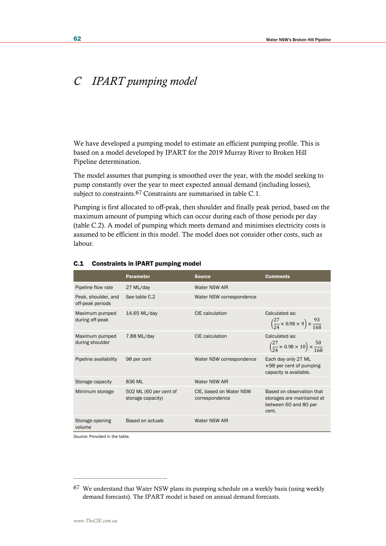# *C IPART pumping model*

We have developed a pumping model to estimate an efficient pumping profile. This is based on a model developed by IPART for the 2019 Murray River to Broken Hill Pipeline determination.

The model assumes that pumping is smoothed over the year, with the model seeking to pump constantly over the year to meet expected annual demand (including losses), subject to constraints.<sup>67</sup> Constraints are summarised in table C.1.

Pumping is first allocated to off-peak, then shoulder and finally peak period, based on the maximum amount of pumping which can occur during each of those periods per day (table C.2). A model of pumping which meets demand and minimises electricity costs is assumed to be efficient in this model. The model does not consider other costs, such as labour.

|                                         | <b>Parameter</b>                            | <b>Source</b>                             | <b>Comments</b>                                                                            |
|-----------------------------------------|---------------------------------------------|-------------------------------------------|--------------------------------------------------------------------------------------------|
| Pipeline flow rate                      | 27 ML/day                                   | Water NSW AIR                             |                                                                                            |
| Peak, shoulder, and<br>off-peak periods | See table C.2                               | Water NSW correspondence                  |                                                                                            |
| Maximum pumped<br>during off-peak       | 14.65 ML/day                                | CIE calculation                           | Calculated as:<br>$\left(\frac{27}{24} \times 0.98 \times 9\right) \times \frac{93}{168}$  |
| Maximum pumped<br>during shoulder       | 7.88 ML/day                                 | CIE calculation                           | Calculated as:<br>$\left(\frac{27}{24} \times 0.98 \times 10\right) \times \frac{50}{168}$ |
| Pipeline availability                   | 98 per cent                                 | Water NSW correspondence                  | Each day only 27 ML<br>$\times$ 98 per cent of pumping<br>capacity is available.           |
| Storage capacity                        | 836 ML                                      | Water NSW AIR                             |                                                                                            |
| Minimum storage                         | 502 ML (60 per cent of<br>storage capacity) | CIE, based on Water NSW<br>correspondence | Based on observation that<br>storages are maintained at<br>between 60 and 80 per<br>cent.  |
| Storage opening<br>volume               | Based on actuals                            | Water NSW AIR                             |                                                                                            |

#### C.1 Constraints in IPART pumping model

*Source:* Provided in the table.

<sup>67</sup> We understand that Water NSW plans its pumping schedule on a weekly basis (using weekly demand forecasts). The IPART model is based on annual demand forecasts.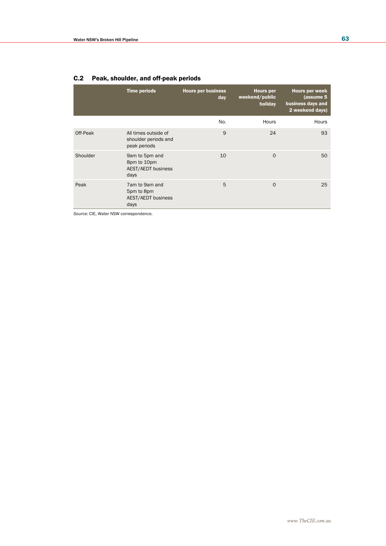|          | <b>Time periods</b>                                                | <b>Hours per business</b><br>day | <b>Hours</b> per<br>weekend/public<br>holiday | Hours per week<br>(assume 5<br>business days and<br>2 weekend days) |
|----------|--------------------------------------------------------------------|----------------------------------|-----------------------------------------------|---------------------------------------------------------------------|
|          |                                                                    | No.                              | Hours                                         | Hours                                                               |
| Off-Peak | All times outside of<br>shoulder periods and<br>peak periods       | 9                                | 24                                            | 93                                                                  |
| Shoulder | 9am to 5pm and<br>8pm to 10pm<br><b>AEST/AEDT business</b><br>days | 10                               | $\circ$                                       | 50                                                                  |
| Peak     | 7am to 9am and<br>5pm to 8pm<br><b>AEST/AEDT business</b><br>days  | 5                                | $\Omega$                                      | 25                                                                  |

## C.2 Peak, shoulder, and off-peak periods

*Source:* CIE, Water NSW correspondence.